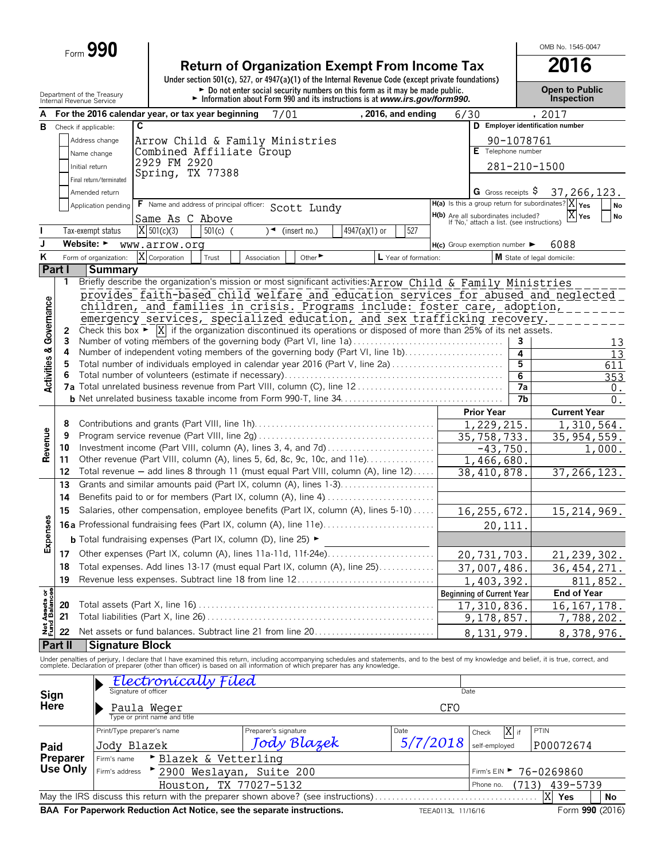Form **990**

# **Return of Organization Exempt From Income Tax**<br>
Under section 501(c), 527, or 4947(a)(1) of the Internal Revenue Code (except private foundations)

Department of the Treasury **Depen to Public**<br>Internal Revenue Service **Connect of the Connect of the Connect of the Connect of the Internal Revenue Service Connection** 

OMB No. 1545-0047

|                                    |                 | Internal Revenue Service       |                                |                                                   | I information about Form 990 and its instructions is at <i>www.irs.gov/form990.</i>                                                             |               |                      |                    |                                                                                          |            | mspection                                                                                                                                                                                                                         |
|------------------------------------|-----------------|--------------------------------|--------------------------------|---------------------------------------------------|-------------------------------------------------------------------------------------------------------------------------------------------------|---------------|----------------------|--------------------|------------------------------------------------------------------------------------------|------------|-----------------------------------------------------------------------------------------------------------------------------------------------------------------------------------------------------------------------------------|
|                                    |                 |                                |                                | For the 2016 calendar year, or tax year beginning | 7/01                                                                                                                                            |               | , 2016, and ending   | 6/30               |                                                                                          |            | , 2017                                                                                                                                                                                                                            |
| в                                  |                 | Check if applicable:           | C                              |                                                   |                                                                                                                                                 |               |                      |                    |                                                                                          |            | D Employer identification number                                                                                                                                                                                                  |
|                                    |                 | Address change                 |                                |                                                   | Arrow Child & Family Ministries                                                                                                                 |               |                      |                    |                                                                                          | 90-1078761 |                                                                                                                                                                                                                                   |
|                                    |                 | Name change                    |                                | Combined Affiliate Group                          |                                                                                                                                                 |               |                      |                    | E Telephone number                                                                       |            |                                                                                                                                                                                                                                   |
|                                    |                 |                                | 2929 FM 2920                   |                                                   |                                                                                                                                                 |               |                      |                    |                                                                                          |            |                                                                                                                                                                                                                                   |
|                                    |                 | Initial return                 | Spring, TX 77388               |                                                   |                                                                                                                                                 |               |                      |                    |                                                                                          |            | 281-210-1500                                                                                                                                                                                                                      |
|                                    |                 | Final return/terminated        |                                |                                                   |                                                                                                                                                 |               |                      |                    |                                                                                          |            |                                                                                                                                                                                                                                   |
|                                    |                 | Amended return                 |                                |                                                   |                                                                                                                                                 |               |                      |                    | G Gross receipts $\hat{S}$                                                               |            | 37, 266, 123.                                                                                                                                                                                                                     |
|                                    |                 | Application pending            |                                |                                                   | F Name and address of principal officer: Scott Lundy                                                                                            |               |                      |                    |                                                                                          |            | $H(a)$ Is this a group return for subordinates? $X _{Yes}$<br>No                                                                                                                                                                  |
|                                    |                 |                                | Same As C Above                |                                                   |                                                                                                                                                 |               |                      |                    | <b>H(b)</b> Are all subordinates included?<br>If 'No,' attach a list. (see instructions) |            | $X$ Yes<br>No                                                                                                                                                                                                                     |
|                                    |                 | Tax-exempt status              | $X$ 501(c)(3)                  | $501(c)$ (                                        | $\sqrt{ }$ (insert no.)                                                                                                                         | 4947(a)(1) or | 527                  |                    |                                                                                          |            |                                                                                                                                                                                                                                   |
| J                                  |                 | Website: $\blacktriangleright$ |                                |                                                   |                                                                                                                                                 |               |                      |                    | $H(c)$ Group exemption number $\blacktriangleright$                                      |            | 6088                                                                                                                                                                                                                              |
| Κ                                  |                 |                                | www.arrow.org<br>X Corporation |                                                   | Other $\blacktriangleright$                                                                                                                     |               |                      |                    |                                                                                          |            |                                                                                                                                                                                                                                   |
|                                    |                 | Form of organization:          |                                | Trust                                             | Association                                                                                                                                     |               | L Year of formation: |                    |                                                                                          |            | M State of legal domicile:                                                                                                                                                                                                        |
|                                    | Part I          | <b>Summary</b>                 |                                |                                                   |                                                                                                                                                 |               |                      |                    |                                                                                          |            |                                                                                                                                                                                                                                   |
|                                    | 1               |                                |                                |                                                   | Briefly describe the organization's mission or most significant activities: Arrow Child & Family Ministries                                     |               |                      |                    |                                                                                          |            |                                                                                                                                                                                                                                   |
|                                    |                 |                                |                                |                                                   |                                                                                                                                                 |               |                      |                    |                                                                                          |            | provides faith-based child welfare and education services for abused and neglected                                                                                                                                                |
|                                    |                 |                                |                                |                                                   | children, and families in crisis. Programs include: foster care, adoption,                                                                      |               |                      |                    |                                                                                          |            |                                                                                                                                                                                                                                   |
|                                    |                 |                                |                                |                                                   | emergency services, specialized education, and sex trafficking recovery.                                                                        |               |                      |                    |                                                                                          |            |                                                                                                                                                                                                                                   |
|                                    | 2               |                                |                                |                                                   | Check this box $\triangleright$ $\vert X \vert$ if the organization discontinued its operations or disposed of more than 25% of its net assets. |               |                      |                    |                                                                                          |            |                                                                                                                                                                                                                                   |
|                                    | 3               |                                |                                |                                                   | Number of voting members of the governing body (Part VI, line 1a)                                                                               |               |                      |                    |                                                                                          | 3          | 13                                                                                                                                                                                                                                |
|                                    | 4               |                                |                                |                                                   | Number of independent voting members of the governing body (Part VI, line 1b)                                                                   |               |                      |                    |                                                                                          | 4          | 13                                                                                                                                                                                                                                |
|                                    | 5               |                                |                                |                                                   | Total number of individuals employed in calendar year 2016 (Part V, line 2a)                                                                    |               |                      |                    |                                                                                          | 5          | 611                                                                                                                                                                                                                               |
| <b>Activities &amp; Governance</b> |                 |                                |                                |                                                   |                                                                                                                                                 |               |                      |                    |                                                                                          | 6          | 353                                                                                                                                                                                                                               |
|                                    |                 |                                |                                |                                                   |                                                                                                                                                 |               |                      |                    |                                                                                          | 7a         | 0.                                                                                                                                                                                                                                |
|                                    |                 |                                |                                |                                                   |                                                                                                                                                 |               |                      |                    |                                                                                          | 7b         | 0.                                                                                                                                                                                                                                |
|                                    |                 |                                |                                |                                                   |                                                                                                                                                 |               |                      |                    |                                                                                          |            | <b>Current Year</b>                                                                                                                                                                                                               |
| Revenue                            | 8               |                                |                                |                                                   |                                                                                                                                                 |               |                      |                    | 1,229,215.                                                                               |            | 1,310,564.                                                                                                                                                                                                                        |
|                                    | 9               |                                |                                |                                                   |                                                                                                                                                 |               |                      |                    | $\overline{35,758,733}$ .                                                                |            | 35, 954, 559.                                                                                                                                                                                                                     |
|                                    | 10              |                                |                                |                                                   | Investment income (Part VIII, column (A), lines 3, 4, and 7d)                                                                                   |               |                      |                    | $-43,750.$                                                                               |            | 1,000.                                                                                                                                                                                                                            |
|                                    | 11              |                                |                                |                                                   | Other revenue (Part VIII, column (A), lines 5, 6d, 8c, 9c, 10c, and 11e)                                                                        |               |                      |                    | 1,466,680.                                                                               |            |                                                                                                                                                                                                                                   |
|                                    | 12              |                                |                                |                                                   | Total revenue - add lines 8 through 11 (must equal Part VIII, column (A), line 12)                                                              |               |                      |                    | 38,410,878.                                                                              |            | 37, 266, 123.                                                                                                                                                                                                                     |
|                                    | 13              |                                |                                |                                                   | Grants and similar amounts paid (Part IX, column (A), lines 1-3)                                                                                |               |                      |                    |                                                                                          |            |                                                                                                                                                                                                                                   |
|                                    | 14              |                                |                                |                                                   | Benefits paid to or for members (Part IX, column (A), line 4)                                                                                   |               |                      |                    |                                                                                          |            |                                                                                                                                                                                                                                   |
|                                    |                 |                                |                                |                                                   |                                                                                                                                                 |               |                      |                    |                                                                                          |            |                                                                                                                                                                                                                                   |
|                                    | 15              |                                |                                |                                                   | Salaries, other compensation, employee benefits (Part IX, column (A), lines 5-10)                                                               |               |                      | 16, 255, 672.      |                                                                                          |            | 15, 214, 969.                                                                                                                                                                                                                     |
| Expenses                           |                 |                                |                                |                                                   | <b>16a</b> Professional fundraising fees (Part IX, column (A), line 11e)                                                                        |               |                      |                    | 20,111                                                                                   |            |                                                                                                                                                                                                                                   |
|                                    |                 |                                |                                |                                                   | <b>b</b> Total fundraising expenses (Part IX, column (D), line 25) $\blacktriangleright$                                                        |               |                      |                    |                                                                                          |            |                                                                                                                                                                                                                                   |
|                                    |                 |                                |                                |                                                   |                                                                                                                                                 |               |                      | 20,731,703.        |                                                                                          |            | 21, 239, 302.                                                                                                                                                                                                                     |
|                                    | 18              |                                |                                |                                                   | Total expenses. Add lines 13-17 (must equal Part IX, column (A), line 25)                                                                       |               |                      |                    | 37,007,486.                                                                              |            | 36, 454, 271.                                                                                                                                                                                                                     |
|                                    | 19              |                                |                                |                                                   | Revenue less expenses. Subtract line 18 from line 12                                                                                            |               |                      |                    |                                                                                          |            |                                                                                                                                                                                                                                   |
|                                    |                 |                                |                                |                                                   |                                                                                                                                                 |               |                      |                    | 1,403,392.                                                                               |            | 811,852.                                                                                                                                                                                                                          |
| Net Assets or<br>Fund Balances     |                 |                                |                                |                                                   |                                                                                                                                                 |               |                      |                    | <b>Beginning of Current Year</b>                                                         |            | <b>End of Year</b>                                                                                                                                                                                                                |
|                                    | 20              |                                |                                |                                                   |                                                                                                                                                 |               |                      |                    | 17,310,836.                                                                              |            | 16, 167, 178.                                                                                                                                                                                                                     |
|                                    | 21              |                                |                                |                                                   |                                                                                                                                                 |               |                      |                    | 9,178,857.                                                                               |            | 7,788,202.                                                                                                                                                                                                                        |
|                                    | 22              |                                |                                |                                                   | Net assets or fund balances. Subtract line 21 from line 20                                                                                      |               |                      |                    | 8, 131, 979                                                                              |            | 8,378,976.                                                                                                                                                                                                                        |
|                                    | Part II         | <b>Signature Block</b>         |                                |                                                   |                                                                                                                                                 |               |                      |                    |                                                                                          |            |                                                                                                                                                                                                                                   |
|                                    |                 |                                |                                |                                                   |                                                                                                                                                 |               |                      |                    |                                                                                          |            | Under penalties of perjury, I declare that I have examined this return, including accompanying schedules and statements, and to the best of my knowledge and belief, it is true, correct, and<br>complete. Declaration of prepare |
|                                    |                 |                                |                                |                                                   |                                                                                                                                                 |               |                      |                    |                                                                                          |            |                                                                                                                                                                                                                                   |
|                                    |                 |                                |                                | Fíled                                             |                                                                                                                                                 |               |                      |                    |                                                                                          |            |                                                                                                                                                                                                                                   |
| Sign                               |                 |                                | Signature of officer           |                                                   |                                                                                                                                                 |               |                      | Date               |                                                                                          |            |                                                                                                                                                                                                                                   |
| Here                               |                 |                                | Paula Weger                    |                                                   |                                                                                                                                                 |               |                      | CF <sub>0</sub>    |                                                                                          |            |                                                                                                                                                                                                                                   |
|                                    |                 |                                | Type or print name and title   |                                                   |                                                                                                                                                 |               |                      |                    |                                                                                          |            |                                                                                                                                                                                                                                   |
|                                    |                 |                                | Print/Type preparer's name     |                                                   | Preparer's signature                                                                                                                            |               | Date                 |                    | Check                                                                                    | X if       | PTIN                                                                                                                                                                                                                              |
|                                    |                 |                                |                                |                                                   | Tody Blazek                                                                                                                                     |               | 5/7/2018             |                    |                                                                                          |            |                                                                                                                                                                                                                                   |
| Paid                               |                 | Jody Blazek                    |                                |                                                   |                                                                                                                                                 |               |                      |                    | self-employed                                                                            |            | P00072674                                                                                                                                                                                                                         |
|                                    | Preparer        | Firm's name                    |                                | ► Blazek & Vetterling                             |                                                                                                                                                 |               |                      |                    |                                                                                          |            |                                                                                                                                                                                                                                   |
|                                    | <b>Use Only</b> | Firm's address                 |                                |                                                   | 2900 Weslayan, Suite 200                                                                                                                        |               |                      |                    | Firm's $EIN$                                                                             |            | 76-0269860                                                                                                                                                                                                                        |
|                                    |                 |                                |                                |                                                   | Houston, TX 77027-5132                                                                                                                          |               |                      |                    | Phone no.                                                                                | (713)      | 439-5739                                                                                                                                                                                                                          |
|                                    |                 |                                |                                |                                                   | May the IRS discuss this return with the preparer shown above? (see instructions)                                                               |               |                      |                    |                                                                                          |            | X<br>Yes<br>No                                                                                                                                                                                                                    |
|                                    |                 |                                |                                |                                                   | BAA For Paperwork Reduction Act Notice, see the separate instructions.                                                                          |               |                      | TEEA0113L 11/16/16 |                                                                                          |            | Form 990 (2016)                                                                                                                                                                                                                   |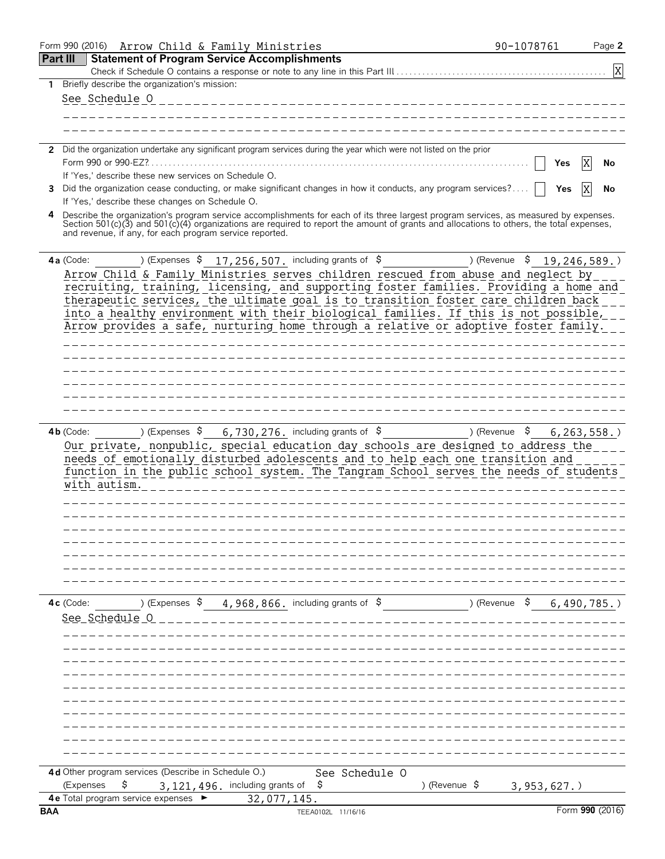| Form 990 (2016) Arrow Child & Family Ministries                                                                                                                                                                                                                                                                                                     | 90-1078761               | Page 2          |
|-----------------------------------------------------------------------------------------------------------------------------------------------------------------------------------------------------------------------------------------------------------------------------------------------------------------------------------------------------|--------------------------|-----------------|
| <b>Part III</b><br><b>Statement of Program Service Accomplishments</b>                                                                                                                                                                                                                                                                              |                          |                 |
|                                                                                                                                                                                                                                                                                                                                                     |                          | X               |
| 1 Briefly describe the organization's mission:                                                                                                                                                                                                                                                                                                      |                          |                 |
| See Schedule O                                                                                                                                                                                                                                                                                                                                      |                          |                 |
|                                                                                                                                                                                                                                                                                                                                                     |                          |                 |
|                                                                                                                                                                                                                                                                                                                                                     |                          |                 |
| 2 Did the organization undertake any significant program services during the year which were not listed on the prior                                                                                                                                                                                                                                |                          |                 |
|                                                                                                                                                                                                                                                                                                                                                     | Yes                      | X<br>No         |
| If 'Yes,' describe these new services on Schedule O.                                                                                                                                                                                                                                                                                                |                          |                 |
| Did the organization cease conducting, or make significant changes in how it conducts, any program services?<br>3.                                                                                                                                                                                                                                  | Yes                      | No              |
| If 'Yes,' describe these changes on Schedule O.                                                                                                                                                                                                                                                                                                     |                          |                 |
| Describe the organization's program service accomplishments for each of its three largest program services, as measured by expenses.<br>Section 501(c)(3) and 501(c)(4) organizations are required to report the amount of grants and allocations to others, the total expenses,<br>and revenue, if any, for each program service reported.         |                          |                 |
| ) (Expenses $\frac{17}{256}$ , 507. including grants of $\frac{1}{2}$<br>4a (Code:                                                                                                                                                                                                                                                                  | )(Revenue \$             | 19,246,589.)    |
| Arrow Child & Family Ministries serves children rescued from abuse and neglect by                                                                                                                                                                                                                                                                   |                          |                 |
| recruiting, training, licensing, and supporting foster families. Providing a home and                                                                                                                                                                                                                                                               |                          |                 |
| therapeutic services, the ultimate goal is to transition foster care children back                                                                                                                                                                                                                                                                  |                          |                 |
| into a healthy environment with their biological families. If this is not possible,<br>Arrow provides a safe, nurturing home through a relative or adoptive foster family.                                                                                                                                                                          |                          |                 |
|                                                                                                                                                                                                                                                                                                                                                     |                          |                 |
|                                                                                                                                                                                                                                                                                                                                                     |                          |                 |
|                                                                                                                                                                                                                                                                                                                                                     |                          |                 |
|                                                                                                                                                                                                                                                                                                                                                     |                          |                 |
|                                                                                                                                                                                                                                                                                                                                                     |                          |                 |
|                                                                                                                                                                                                                                                                                                                                                     |                          |                 |
|                                                                                                                                                                                                                                                                                                                                                     |                          |                 |
| 6,730,276. including grants of $\$$<br>) (Expenses Ş<br>$4b$ (Code:<br>Our private, nonpublic, special education day schools are designed to address the<br>needs of emotionally disturbed adolescents and to help each one transition and<br>function in the public school system. The Tangram School serves the needs of students<br>with autism. | ) (Revenue $\frac{1}{2}$ | 6, 263, 558.    |
|                                                                                                                                                                                                                                                                                                                                                     |                          |                 |
| (Expenses $\frac{2}{3}$ 4, 968, 866. including grants of $\frac{2}{3}$<br>$4c$ (Code:                                                                                                                                                                                                                                                               | ) (Revenue \$            |                 |
| See Schedule O                                                                                                                                                                                                                                                                                                                                      |                          | $6,490,785.$ )  |
|                                                                                                                                                                                                                                                                                                                                                     |                          |                 |
|                                                                                                                                                                                                                                                                                                                                                     |                          |                 |
|                                                                                                                                                                                                                                                                                                                                                     |                          |                 |
|                                                                                                                                                                                                                                                                                                                                                     |                          |                 |
|                                                                                                                                                                                                                                                                                                                                                     |                          |                 |
|                                                                                                                                                                                                                                                                                                                                                     |                          |                 |
|                                                                                                                                                                                                                                                                                                                                                     |                          |                 |
| 4d Other program services (Describe in Schedule O.)<br>See Schedule O<br>\$<br>\$<br>) (Revenue $\frac{1}{2}$<br>(Expenses<br>3, 121, 496. including grants of                                                                                                                                                                                      | 3,953,627.               |                 |
| 4e Total program service expenses<br>32,077,145.<br><b>BAA</b><br>TEEA0102L 11/16/16                                                                                                                                                                                                                                                                |                          | Form 990 (2016) |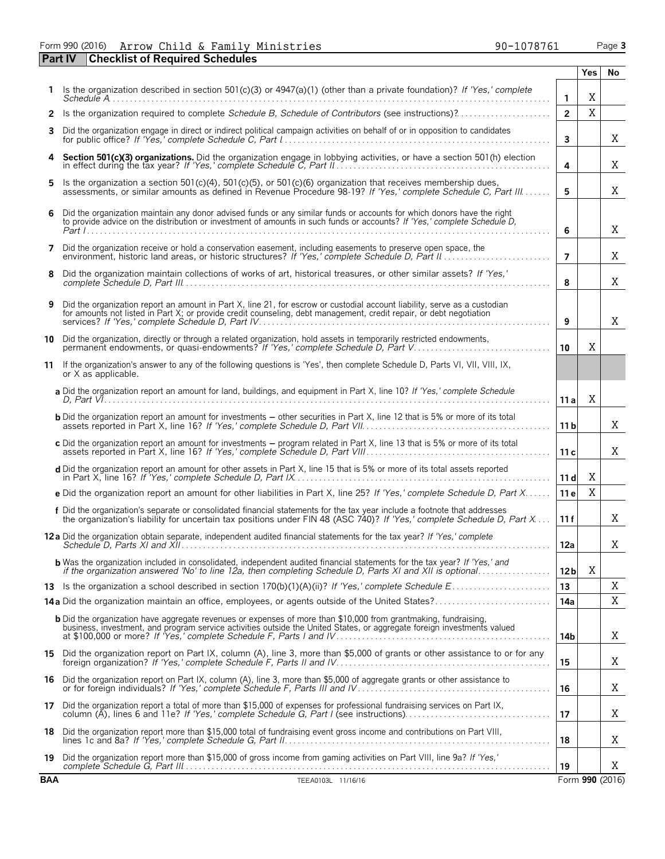Form 990 (2016) Page **3** Arrow Child & Family Ministries 90-1078761 **Part IV Checklist of Required Schedules**

|            | ncewnst of neganea seneaa                                                                                                                                                                                                                           |                 | <b>Yes</b> | No              |
|------------|-----------------------------------------------------------------------------------------------------------------------------------------------------------------------------------------------------------------------------------------------------|-----------------|------------|-----------------|
|            | Is the organization described in section 501(c)(3) or 4947(a)(1) (other than a private foundation)? If 'Yes,' complete                                                                                                                              | $\mathbf{1}$    | X          |                 |
| 2          | Is the organization required to complete Schedule B, Schedule of Contributors (see instructions)?                                                                                                                                                   | $\overline{2}$  | X          |                 |
| 3          | Did the organization engage in direct or indirect political campaign activities on behalf of or in opposition to candidates                                                                                                                         | 3               |            | X               |
| 4          | Section 501(c)(3) organizations. Did the organization engage in lobbying activities, or have a section 501(h) election in effect during the tax year? If 'Yes,' complete Schedule C, Part II                                                        | 4               |            | X               |
| 5          | Is the organization a section 501(c)(4), 501(c)(5), or 501(c)(6) organization that receives membership dues, assessments, or similar amounts as defined in Revenue Procedure 98-19? If 'Yes,' complete Schedule C, Part III.                        | 5               |            | X               |
| 6          | Did the organization maintain any donor advised funds or any similar funds or accounts for which donors have the right<br>to provide advice on the distribution or investment of amounts in such funds or accounts? If 'Yes,' complete Schedule D,  | 6               |            | X               |
| 7          | Did the organization receive or hold a conservation easement, including easements to preserve open space, the                                                                                                                                       | $\overline{7}$  |            | X               |
| 8          | Did the organization maintain collections of works of art, historical treasures, or other similar assets? If 'Yes,'                                                                                                                                 | 8               |            | X               |
| 9          | Did the organization report an amount in Part X, line 21, for escrow or custodial account liability, serve as a custodian<br>for amounts not listed in Part X; or provide credit counseling, debt management, credit repair, or debt negotiation    | 9               |            | X               |
|            | 10 Did the organization, directly or through a related organization, hold assets in temporarily restricted endowments,<br>permanent endowments, or quasi-endowments? If 'Yes,' complete Schedule D, Part V                                          | 10              | X          |                 |
| 11         | If the organization's answer to any of the following questions is 'Yes', then complete Schedule D, Parts VI, VII, VIII, IX,<br>or X as applicable.                                                                                                  |                 |            |                 |
|            | a Did the organization report an amount for land, buildings, and equipment in Part X, line 10? If 'Yes,' complete Schedule                                                                                                                          | 11a             | X          |                 |
|            | <b>b</b> Did the organization report an amount for investments – other securities in Part X, line 12 that is 5% or more of its total                                                                                                                | 11 <sub>b</sub> |            | Χ               |
|            | c Did the organization report an amount for investments – program related in Part X, line 13 that is 5% or more of its total<br>assets reported in Part X, line 16? If 'Yes,' complete Schedule D, Part VIII                                        | 11c             |            | Χ               |
|            | d Did the organization report an amount for other assets in Part X, line 15 that is 5% or more of its total assets reported                                                                                                                         | 11d             | Χ          |                 |
|            | e Did the organization report an amount for other liabilities in Part X, line 25? If 'Yes,' complete Schedule D, Part X                                                                                                                             | 11 e            | X          |                 |
|            | f Did the organization's separate or consolidated financial statements for the tax year include a footnote that addresses<br>the organization's liability for uncertain tax positions under FIN 48 (ASC 740)? If 'Yes,' complete Schedule D, Part X | 11f             |            | X               |
|            | 12a Did the organization obtain separate, independent audited financial statements for the tax year? If 'Yes,' complete                                                                                                                             | 12a             |            | Χ               |
|            | <b>b</b> Was the organization included in consolidated, independent audited financial statements for the tax year? If 'Yes,' and<br>if the organization answered 'No' to line 12a, then completing Schedule D, Parts XI and XII is optional         | 12 <sub>b</sub> | X          |                 |
|            |                                                                                                                                                                                                                                                     | 13              |            | X               |
|            |                                                                                                                                                                                                                                                     | 14a             |            | Χ               |
|            | <b>b</b> Did the organization have aggregate revenues or expenses of more than \$10,000 from grantmaking, fundraising,<br>business, investment, and program service activities outside the United States, or aggregate foreign investments valued   | 14b             |            | Χ               |
| 15         | Did the organization report on Part IX, column (A), line 3, more than \$5,000 of grants or other assistance to or for any                                                                                                                           | 15              |            | Χ               |
| 16         | Did the organization report on Part IX, column (A), line 3, more than \$5,000 of aggregate grants or other assistance to<br>or for foreign individuals? If 'Yes,' complete Schedule F, Parts III and IV                                             | 16              |            | Χ               |
|            | 17 Did the organization report a total of more than \$15,000 of expenses for professional fundraising services on Part IX,                                                                                                                          | 17              |            | Χ               |
| 18         | Did the organization report more than \$15,000 total of fundraising event gross income and contributions on Part VIII,                                                                                                                              | 18              |            | Χ               |
|            | 19 Did the organization report more than \$15,000 of gross income from gaming activities on Part VIII, line 9a? If 'Yes,'                                                                                                                           | 19              |            | Χ               |
| <b>BAA</b> | TEEA0103L 11/16/16                                                                                                                                                                                                                                  |                 |            | Form 990 (2016) |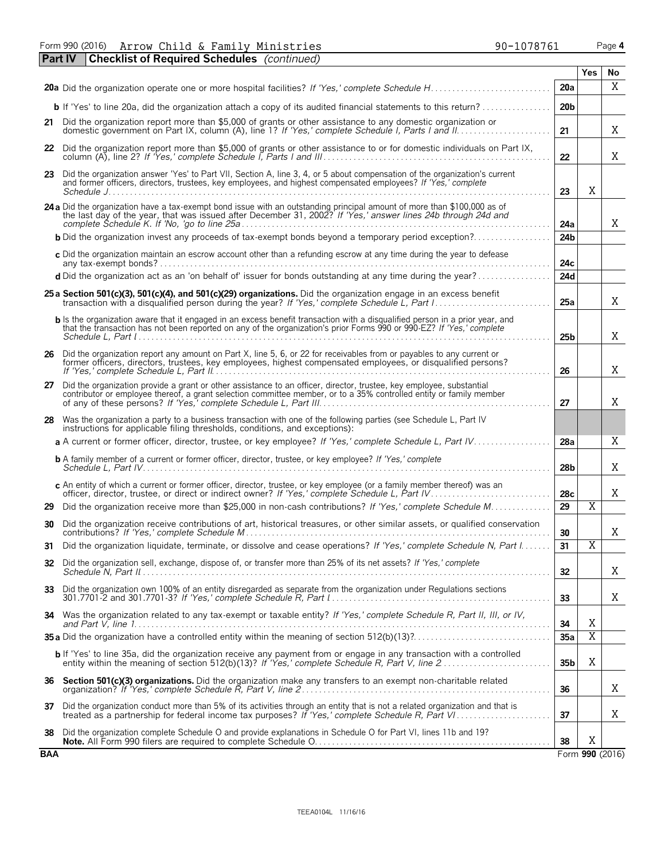Form 990 (2016) Page **4** Arrow Child & Family Ministries 190-1078761

|            | <b>Checklist of Required Schedules</b> (continued)<br><b>Part IV</b>                                                                                                                                                                                                                         |                 |                |                 |
|------------|----------------------------------------------------------------------------------------------------------------------------------------------------------------------------------------------------------------------------------------------------------------------------------------------|-----------------|----------------|-----------------|
|            |                                                                                                                                                                                                                                                                                              |                 | Yes            | No              |
|            |                                                                                                                                                                                                                                                                                              | 20a             |                | X               |
|            | <b>b</b> If 'Yes' to line 20a, did the organization attach a copy of its audited financial statements to this return?                                                                                                                                                                        | 20 <sub>b</sub> |                |                 |
|            | 21 Did the organization report more than \$5,000 of grants or other assistance to any domestic organization or                                                                                                                                                                               | 21              |                | Χ               |
| 22         | Did the organization report more than \$5,000 of grants or other assistance to or for domestic individuals on Part IX,                                                                                                                                                                       | 22              |                | Χ               |
|            | 23 Did the organization answer 'Yes' to Part VII, Section A, line 3, 4, or 5 about compensation of the organization's current<br>and former officers, directors, trustees, key employees, and highest compensated employees? If 'Yes,' complete                                              | 23              | X              |                 |
|            | 24 a Did the organization have a tax-exempt bond issue with an outstanding principal amount of more than \$100,000 as of the last day of the year, that was issued after December 31, 2002? If 'Yes,' answer lines 24b through                                                               | 24a             |                | X               |
|            | <b>b</b> Did the organization invest any proceeds of tax-exempt bonds beyond a temporary period exception?                                                                                                                                                                                   | 24 <sub>b</sub> |                |                 |
|            | c Did the organization maintain an escrow account other than a refunding escrow at any time during the year to defease                                                                                                                                                                       | 24c             |                |                 |
|            | d Did the organization act as an 'on behalf of' issuer for bonds outstanding at any time during the year?                                                                                                                                                                                    | 24d             |                |                 |
|            | 25 a Section 501(c)(3), 501(c)(4), and 501(c)(29) organizations. Did the organization engage in an excess benefit                                                                                                                                                                            | 25a             |                | X               |
|            | <b>b</b> Is the organization aware that it engaged in an excess benefit transaction with a disgualified person in a prior year, and<br>that the transaction has not been reported on any of the organization's prior Forms 990 or 990-EZ? If 'Yes,' complete                                 | 25 <sub>b</sub> |                | X               |
|            | 26 Did the organization report any amount on Part X, line 5, 6, or 22 for receivables from or payables to any current or<br>former officers, directors, trustees, key employees, highest compensated employees, or disqualified persons?                                                     | 26              |                | X               |
| 27         | Did the organization provide a grant or other assistance to an officer, director, trustee, key employee, substantial<br>contributor or employee thereof, a grant selection committee member, or to a 35% controlled entity or fam                                                            | 27              |                | Χ               |
| 28.        | Was the organization a party to a business transaction with one of the following parties (see Schedule L, Part IV<br>instructions for applicable filing thresholds, conditions, and exceptions):                                                                                             |                 |                |                 |
|            | a A current or former officer, director, trustee, or key employee? If 'Yes,' complete Schedule L, Part IV                                                                                                                                                                                    | 28a             |                | Χ               |
|            | <b>b</b> A family member of a current or former officer, director, trustee, or key employee? If 'Yes,' complete                                                                                                                                                                              | 28b             |                | Χ               |
|            | c An entity of which a current or former officer, director, trustee, or key employee (or a family member thereof) was an<br>officer, director, trustee, or direct or indirect owner? If 'Yes,' complete Schedule L, Part IV.                                                                 | 28c             |                | Χ               |
| 29         | Did the organization receive more than \$25,000 in non-cash contributions? If 'Yes,' complete Schedule M                                                                                                                                                                                     | 29              | Χ              |                 |
| 30         | Did the organization receive contributions of art, historical treasures, or other similar assets, or qualified conservation                                                                                                                                                                  | 30              |                | Χ               |
| 31         | Did the organization liquidate, terminate, or dissolve and cease operations? If 'Yes,' complete Schedule N, Part I.                                                                                                                                                                          | 31              | Χ              |                 |
| 32         | Did the organization sell, exchange, dispose of, or transfer more than 25% of its net assets? If 'Yes,' complete                                                                                                                                                                             | 32              |                | Χ               |
| 33         | Did the organization own 100% of an entity disregarded as separate from the organization under Regulations sections<br>301.7701-2 and 301.7701-3? If 'Yes,' complete Schedule R. Part $\lbrack  \rbrack$ , $\lbrack  \rbrack$ , $\lbrack  \rbrack$ , $\lbrack  \rbrack$ , $\lbrack  \rbrack$ | 33              |                | Χ               |
|            | 34 Was the organization related to any tax-exempt or taxable entity? If 'Yes,' complete Schedule R, Part II, III, or IV,                                                                                                                                                                     | 34              | Χ              |                 |
|            |                                                                                                                                                                                                                                                                                              | 35a             | $\overline{X}$ |                 |
|            | b If 'Yes' to line 35a, did the organization receive any payment from or engage in any transaction with a controlled                                                                                                                                                                         | 35b             | X              |                 |
| 36         | Section 501(c)(3) organizations. Did the organization make any transfers to an exempt non-charitable related                                                                                                                                                                                 | 36              |                | Χ               |
| 37         | Did the organization conduct more than 5% of its activities through an entity that is not a related organization and that is<br>treated as a partnership for federal income tax purposes? If 'Yes,' complete Schedule R, Part VI                                                             | 37              |                | Χ               |
| 38         | Did the organization complete Schedule O and provide explanations in Schedule O for Part VI, lines 11b and 19?                                                                                                                                                                               | 38              | Χ              |                 |
| <b>BAA</b> |                                                                                                                                                                                                                                                                                              |                 |                | Form 990 (2016) |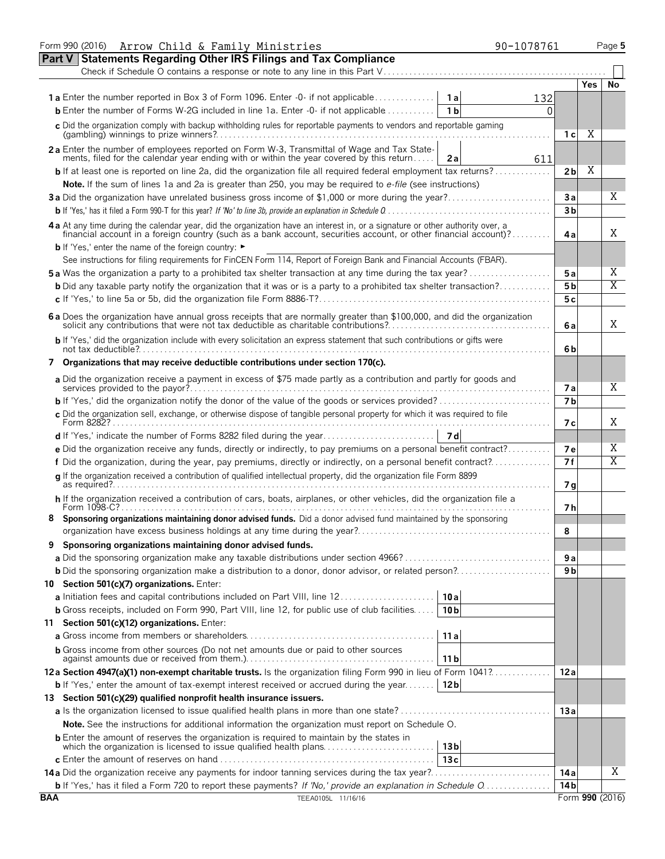|            | Form 990 (2016) Arrow Child & Family Ministries<br>90-1078761                                                                                                                                               |                 |            | Page 5                  |
|------------|-------------------------------------------------------------------------------------------------------------------------------------------------------------------------------------------------------------|-----------------|------------|-------------------------|
|            | <b>Part V Statements Regarding Other IRS Filings and Tax Compliance</b>                                                                                                                                     |                 |            |                         |
|            | Check if Schedule O contains a response or note to any line in this Part V                                                                                                                                  |                 |            |                         |
|            |                                                                                                                                                                                                             |                 | <b>Yes</b> | No                      |
|            | <b>1a</b> Enter the number reported in Box 3 of Form 1096. Enter -0- if not applicable<br>1 a<br>132                                                                                                        |                 |            |                         |
|            | <b>b</b> Enter the number of Forms W-2G included in line 1a. Enter -0- if not applicable<br>1 b<br>0                                                                                                        |                 |            |                         |
|            | c Did the organization comply with backup withholding rules for reportable payments to vendors and reportable gaming                                                                                        |                 |            |                         |
|            |                                                                                                                                                                                                             | 1 с             | Χ          |                         |
|            | 2a Enter the number of employees reported on Form W-3, Transmittal of Wage and Tax State-                                                                                                                   |                 |            |                         |
|            | ments, filed for the calendar year ending with or within the year covered by this return<br>2a<br>611                                                                                                       |                 |            |                         |
|            | <b>b</b> If at least one is reported on line 2a, did the organization file all required federal employment tax returns?                                                                                     | 2 <sub>b</sub>  | Χ          |                         |
|            | Note. If the sum of lines 1a and 2a is greater than 250, you may be required to e-file (see instructions)                                                                                                   |                 |            |                         |
|            |                                                                                                                                                                                                             | Зa              |            | Χ                       |
|            |                                                                                                                                                                                                             | 3 <sub>b</sub>  |            |                         |
|            | 4a At any time during the calendar year, did the organization have an interest in, or a signature or other authority over, a                                                                                |                 |            |                         |
|            | financial account in a foreign country (such as a bank account, securities account, or other financial account)?                                                                                            | 4a              |            | Χ                       |
|            | <b>b</b> If 'Yes,' enter the name of the foreign country: ►                                                                                                                                                 |                 |            |                         |
|            | See instructions for filing requirements for FinCEN Form 114, Report of Foreign Bank and Financial Accounts (FBAR).                                                                                         |                 |            |                         |
|            | <b>5a</b> Was the organization a party to a prohibited tax shelter transaction at any time during the tax year?                                                                                             | 5 a             |            | Χ                       |
|            | <b>b</b> Did any taxable party notify the organization that it was or is a party to a prohibited tax shelter transaction?                                                                                   | 5 <sub>b</sub>  |            | Χ                       |
|            |                                                                                                                                                                                                             | 5c              |            |                         |
|            |                                                                                                                                                                                                             |                 |            |                         |
|            | 6 a Does the organization have annual gross receipts that are normally greater than \$100,000, and did the organization solicit any contributions that were not tax deductible as charitable contributions? | 6 a             |            | Χ                       |
|            | b If 'Yes,' did the organization include with every solicitation an express statement that such contributions or gifts were                                                                                 |                 |            |                         |
|            |                                                                                                                                                                                                             | 6b              |            |                         |
|            | 7 Organizations that may receive deductible contributions under section 170(c).                                                                                                                             |                 |            |                         |
|            | a Did the organization receive a payment in excess of \$75 made partly as a contribution and partly for goods and                                                                                           |                 |            |                         |
|            |                                                                                                                                                                                                             | 7 a             |            | Χ                       |
|            |                                                                                                                                                                                                             | 7 <sub>b</sub>  |            |                         |
|            | c Did the organization sell, exchange, or otherwise dispose of tangible personal property for which it was required to file                                                                                 |                 |            |                         |
|            | Form 8282?                                                                                                                                                                                                  | 7 с             |            | Χ                       |
|            |                                                                                                                                                                                                             |                 |            |                         |
|            | e Did the organization receive any funds, directly or indirectly, to pay premiums on a personal benefit contract?                                                                                           | <b>7e</b>       |            | Χ                       |
|            | f Did the organization, during the year, pay premiums, directly or indirectly, on a personal benefit contract?                                                                                              | 7f              |            | $\overline{\mathrm{X}}$ |
|            | q If the organization received a contribution of qualified intellectual property, did the organization file Form 8899                                                                                       |                 |            |                         |
|            |                                                                                                                                                                                                             | 7 <sub>q</sub>  |            |                         |
|            | h If the organization received a contribution of cars, boats, airplanes, or other vehicles, did the organization file a<br>Form 1098-C?                                                                     | 7 h             |            |                         |
|            | Sponsoring organizations maintaining donor advised funds. Did a donor advised fund maintained by the sponsoring                                                                                             |                 |            |                         |
|            |                                                                                                                                                                                                             | 8               |            |                         |
|            | Sponsoring organizations maintaining donor advised funds.                                                                                                                                                   |                 |            |                         |
|            |                                                                                                                                                                                                             | 9а              |            |                         |
|            | <b>b</b> Did the sponsoring organization make a distribution to a donor, donor advisor, or related person?                                                                                                  | 9 <sub>b</sub>  |            |                         |
|            | 10 Section 501(c)(7) organizations. Enter:                                                                                                                                                                  |                 |            |                         |
|            | 10a                                                                                                                                                                                                         |                 |            |                         |
|            | a Initiation fees and capital contributions included on Part VIII, line 12<br><b>b</b> Gross receipts, included on Form 990, Part VIII, line 12, for public use of club facilities<br>10 <sub>b</sub>       |                 |            |                         |
|            |                                                                                                                                                                                                             |                 |            |                         |
|            | 11 Section 501(c)(12) organizations. Enter:                                                                                                                                                                 |                 |            |                         |
|            | 11a                                                                                                                                                                                                         |                 |            |                         |
|            | <b>b</b> Gross income from other sources (Do not net amounts due or paid to other sources<br>11 <sub>b</sub>                                                                                                |                 |            |                         |
|            | 12a Section 4947(a)(1) non-exempt charitable trusts. Is the organization filing Form 990 in lieu of Form 1041?                                                                                              | 12a             |            |                         |
|            | <b>b</b> If 'Yes,' enter the amount of tax-exempt interest received or accrued during the year<br>12 <sub>b</sub>                                                                                           |                 |            |                         |
|            | 13 Section 501(c)(29) qualified nonprofit health insurance issuers.                                                                                                                                         |                 |            |                         |
|            |                                                                                                                                                                                                             | 13a             |            |                         |
|            |                                                                                                                                                                                                             |                 |            |                         |
|            | Note. See the instructions for additional information the organization must report on Schedule O.                                                                                                           |                 |            |                         |
|            | 13 <sub>b</sub>                                                                                                                                                                                             |                 |            |                         |
|            | 13c                                                                                                                                                                                                         |                 |            |                         |
|            |                                                                                                                                                                                                             | 14 a            |            | X                       |
|            | b If 'Yes,' has it filed a Form 720 to report these payments? If 'No,' provide an explanation in Schedule O                                                                                                 | 14 <sub>b</sub> |            |                         |
| <b>BAA</b> | TEEA0105L 11/16/16                                                                                                                                                                                          |                 |            | Form 990 (2016)         |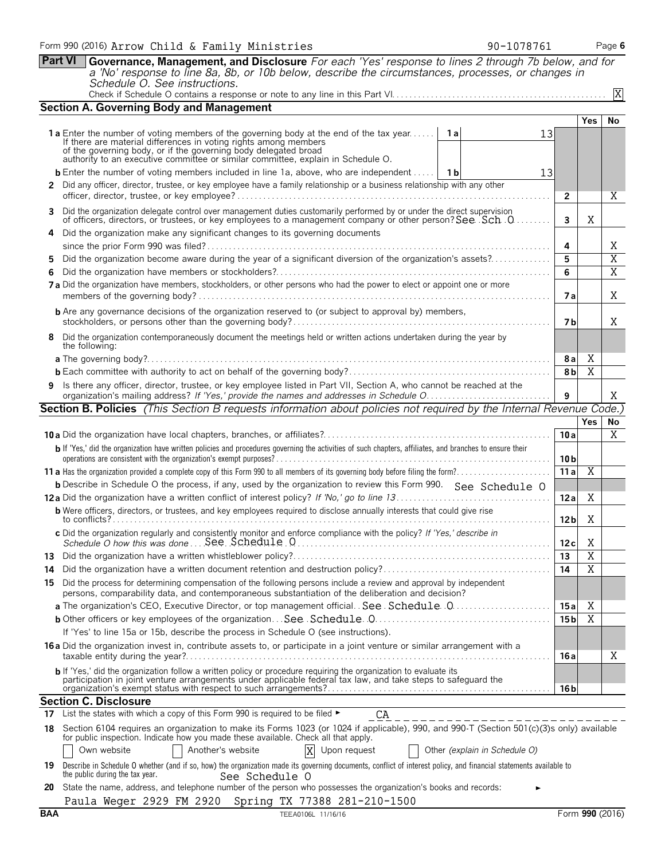**Part VI Governance, Management, and Disclosure** *For each 'Yes' response to lines 2 through 7b below, and for a 'No' response to line 8a, 8b, or 10b below, describe the circumstances, processes, or changes in Schedule O. See instructions.* Check if Schedule O contains a response or note to any line in this Part VI. . . . . . . . . . . . . . . . . . . . . . . . . . . . . . . . . . . . . . . . . . . . . . . . . . X

| <b>Section A. Governing Body and Management</b>                                                                                                                                                                                                                                                                                |                       |                     |                     |
|--------------------------------------------------------------------------------------------------------------------------------------------------------------------------------------------------------------------------------------------------------------------------------------------------------------------------------|-----------------------|---------------------|---------------------|
|                                                                                                                                                                                                                                                                                                                                |                       | <b>Yes</b>          | No                  |
| 1a Enter the number of voting members of the governing body at the end of the tax year<br>1 a<br>13<br>If there are material differences in voting rights among members<br>of the governing body, or if the governing body delegated broad<br>authority to an executive committee or similar committee, explain in Schedule O. |                       |                     |                     |
|                                                                                                                                                                                                                                                                                                                                |                       |                     |                     |
| <b>b</b> Enter the number of voting members included in line 1a, above, who are independent    1b<br>13                                                                                                                                                                                                                        |                       |                     |                     |
| 2 Did any officer, director, trustee, or key employee have a family relationship or a business relationship with any other                                                                                                                                                                                                     | 2                     |                     | Χ                   |
| 3 Did the organization delegate control over management duties customarily performed by or under the direct supervision                                                                                                                                                                                                        |                       |                     |                     |
| of officers, directors, or trustees, or key employees to a management company or other person? See Sch. 0                                                                                                                                                                                                                      | 3                     | X                   |                     |
| 4 Did the organization make any significant changes to its governing documents                                                                                                                                                                                                                                                 |                       |                     |                     |
| Did the organization become aware during the year of a significant diversion of the organization's assets?                                                                                                                                                                                                                     | 4<br>5                |                     | Χ<br>$\overline{X}$ |
| 5.<br>6.                                                                                                                                                                                                                                                                                                                       | 6                     |                     | $\overline{X}$      |
| 7 a Did the organization have members, stockholders, or other persons who had the power to elect or appoint one or more                                                                                                                                                                                                        |                       |                     |                     |
|                                                                                                                                                                                                                                                                                                                                | 7а                    |                     | X                   |
| <b>b</b> Are any governance decisions of the organization reserved to (or subject to approval by) members,                                                                                                                                                                                                                     | 7 b                   |                     | X                   |
| 8 Did the organization contemporaneously document the meetings held or written actions undertaken during the year by                                                                                                                                                                                                           |                       |                     |                     |
| the following:                                                                                                                                                                                                                                                                                                                 |                       |                     |                     |
|                                                                                                                                                                                                                                                                                                                                | 8 a<br>8 <sub>b</sub> | X<br>$\overline{X}$ |                     |
| 9 Is there any officer, director, trustee, or key employee listed in Part VII, Section A, who cannot be reached at the                                                                                                                                                                                                         |                       |                     |                     |
|                                                                                                                                                                                                                                                                                                                                | 9                     |                     | Χ                   |
| <b>Section B. Policies</b> (This Section B requests information about policies not required by the Internal Revenue Code.)                                                                                                                                                                                                     |                       |                     |                     |
|                                                                                                                                                                                                                                                                                                                                |                       | <b>Yes</b>          | No                  |
|                                                                                                                                                                                                                                                                                                                                | 10a                   |                     | X                   |
| b If 'Yes,' did the organization have written policies and procedures governing the activities of such chapters, affiliates, and branches to ensure their                                                                                                                                                                      | 10 <sub>b</sub>       |                     |                     |
|                                                                                                                                                                                                                                                                                                                                | 11a                   | Χ                   |                     |
| <b>b</b> Describe in Schedule O the process, if any, used by the organization to review this Form 990. See Schedule O                                                                                                                                                                                                          |                       |                     |                     |
|                                                                                                                                                                                                                                                                                                                                | 12a                   | X                   |                     |
| <b>b</b> Were officers, directors, or trustees, and key employees required to disclose annually interests that could give rise                                                                                                                                                                                                 | 12 <sub>b</sub>       | Χ                   |                     |
| c Did the organization regularly and consistently monitor and enforce compliance with the policy? If 'Yes,' describe in                                                                                                                                                                                                        | 12c                   | X                   |                     |
|                                                                                                                                                                                                                                                                                                                                | 13                    | $\overline{X}$      |                     |
| 14.                                                                                                                                                                                                                                                                                                                            | 14                    | $\overline{X}$      |                     |
| 15 Did the process for determining compensation of the following persons include a review and approval by independent<br>persons, comparability data, and contemporaneous substantiation of the deliberation and decision?                                                                                                     |                       |                     |                     |
| a The organization's CEO, Executive Director, or top management official. See. Schedule. 0                                                                                                                                                                                                                                     | 15 a                  | Χ                   |                     |
|                                                                                                                                                                                                                                                                                                                                | 15 <sub>b</sub>       | Χ                   |                     |
| If 'Yes' to line 15a or 15b, describe the process in Schedule O (see instructions).                                                                                                                                                                                                                                            |                       |                     |                     |
| 16 a Did the organization invest in, contribute assets to, or participate in a joint venture or similar arrangement with a                                                                                                                                                                                                     | 16 a                  |                     | Χ                   |
| b If 'Yes,' did the organization follow a written policy or procedure requiring the organization to evaluate its<br>participation in joint venture arrangements under applicable federal tax law, and take steps to safeguard the                                                                                              | 16 <sub>b</sub>       |                     |                     |
| <b>Section C. Disclosure</b>                                                                                                                                                                                                                                                                                                   |                       |                     |                     |
| 17 List the states with which a copy of this Form 990 is required to be filed $\blacktriangleright$<br>CA                                                                                                                                                                                                                      |                       |                     |                     |
| 18 Section 6104 requires an organization to make its Forms 1023 (or 1024 if applicable), 990, and 990-T (Section 501(c)(3)s only) available                                                                                                                                                                                    |                       |                     |                     |
| for public inspection. Indicate how you made these available. Check all that apply.                                                                                                                                                                                                                                            |                       |                     |                     |
| Other (explain in Schedule O)<br>Own website<br>Another's website<br>Upon request<br>X                                                                                                                                                                                                                                         |                       |                     |                     |
| 19 Describe in Schedule O whether (and if so, how) the organization made its governing documents, conflict of interest policy, and financial statements available to<br>the public during the tax year.<br>See Schedule O                                                                                                      |                       |                     |                     |
| 20 State the name address and telephone number of the person who possesses the organization's books and records                                                                                                                                                                                                                |                       |                     |                     |

| 20 State the name, address, and telephone number of the person who possesses the organization's books and records: |  |
|--------------------------------------------------------------------------------------------------------------------|--|
| Paula Weger 2929 FM 2920 Spring TX 77388 281-210-1500                                                              |  |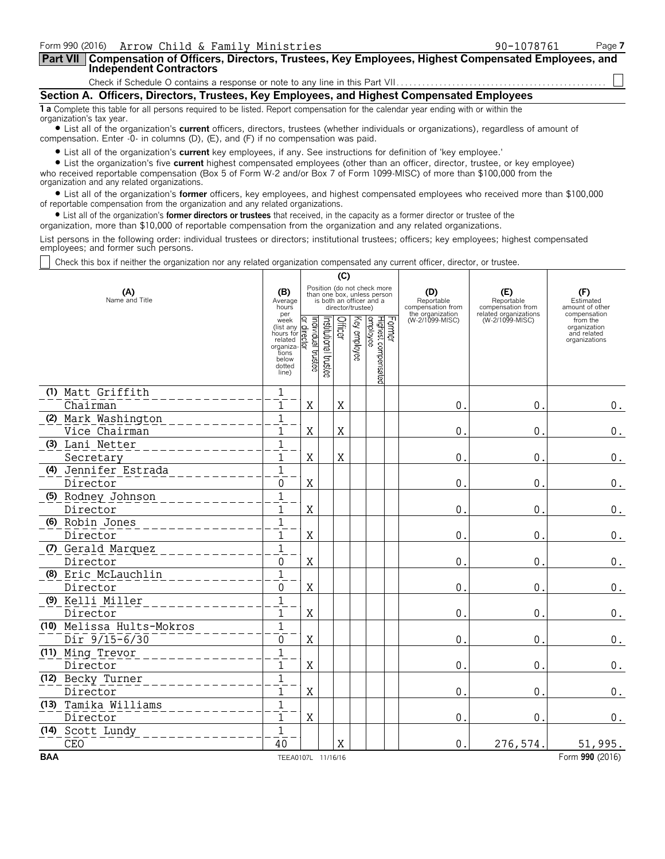| Form 990 (2016) Arrow Child & Family Ministries                                                                                                                                                                                                        | 90-1078761 | Page 7 |
|--------------------------------------------------------------------------------------------------------------------------------------------------------------------------------------------------------------------------------------------------------|------------|--------|
| Part VII   Compensation of Officers, Directors, Trustees, Key Employees, Highest Compensated Employees, and<br><b>Independent Contractors</b>                                                                                                          |            |        |
|                                                                                                                                                                                                                                                        |            |        |
| Section A. Officers, Directors, Trustees, Key Employees, and Highest Compensated Employees                                                                                                                                                             |            |        |
| 1 a Complete this table for all persons required to be listed. Report compensation for the calendar year ending with or within the<br>organization's tax year.                                                                                         |            |        |
| • List all of the organization's current officers, directors, trustees (whether individuals or organizations), regardless of amount of<br>compensation. Enter -0- in columns (D), $(E)$ , and $(F)$ if no compensation was paid.                       |            |        |
| • List all of the organization's current key employees, if any. See instructions for definition of 'key employee.'<br>• List the organization's five current highest compensated employees (other than an officer, director, trustee, or key employee) |            |        |

who received reportable compensation (Box 5 of Form W-2 and/or Box 7 of Form 1099-MISC) of more than \$100,000 from the organization and any related organizations.

? List all of the organization's **former** officers, key employees, and highest compensated employees who received more than \$100,000 of reportable compensation from the organization and any related organizations.

? List all of the organization's **former directors or trustees** that received, in the capacity as a former director or trustee of the

organization, more than \$10,000 of reportable compensation from the organization and any related organizations.

List persons in the following order: individual trustees or directors; institutional trustees; officers; key employees; highest compensated employees; and former such persons.

Check this box if neither the organization nor any related organization compensated any current officer, director, or trustee.

|                           |                                                                                             |                                                                                                             |                       | (C)     |              |                                           |                                                            |                                                                 |                                                          |
|---------------------------|---------------------------------------------------------------------------------------------|-------------------------------------------------------------------------------------------------------------|-----------------------|---------|--------------|-------------------------------------------|------------------------------------------------------------|-----------------------------------------------------------------|----------------------------------------------------------|
| (A)<br>Name and Title     | (B)<br>Average<br>hours<br>per                                                              | Position (do not check more<br>than one box, unless person<br>is both an officer and a<br>director/trustee) |                       |         |              |                                           | (D)<br>Reportable<br>compensation from<br>the organization | (E)<br>Reportable<br>compensation from<br>related organizations | (F)<br>Estimated<br>amount of other<br>compensation      |
|                           | week<br>(list any<br>hours for<br>related<br>organiza-<br>tions<br>below<br>dotted<br>line) | ndividual trustee<br>ō,<br>ireci<br>₫                                                                       | Institutional trustee | Officer | Key employee | Former<br>Highest compensated<br>employee | (W-2/1099-MISC)                                            | (W-2/1099-MISC)                                                 | from the<br>organization<br>and related<br>organizations |
| (1) Matt Griffith         | 1                                                                                           |                                                                                                             |                       |         |              |                                           |                                                            |                                                                 |                                                          |
| Chairman                  | 1                                                                                           | X                                                                                                           |                       | X       |              |                                           | 0                                                          | $\mathbf{0}$                                                    | 0.                                                       |
| (2) Mark Washington       | $\mathbf 1$                                                                                 |                                                                                                             |                       |         |              |                                           |                                                            |                                                                 |                                                          |
| Vice Chairman             | 1                                                                                           | $\mathbf X$                                                                                                 |                       | $\rm X$ |              |                                           | $\mathbf 0$                                                | $\mathbf 0$                                                     | $0$ .                                                    |
| (3) Lani Netter           | $\overline{1}$                                                                              |                                                                                                             |                       |         |              |                                           |                                                            |                                                                 |                                                          |
| Secretary                 | $\mathbf{1}$                                                                                | $\mathbf X$                                                                                                 |                       | $\rm X$ |              |                                           | $\mathbf 0$                                                | $\mathbf 0$                                                     | $0$ .                                                    |
| (4) Jennifer Estrada      | $\overline{1}$                                                                              |                                                                                                             |                       |         |              |                                           |                                                            |                                                                 |                                                          |
| Director                  | 0                                                                                           | X                                                                                                           |                       |         |              |                                           | 0                                                          | 0                                                               | 0.                                                       |
| (5) Rodney Johnson        | $\mathbf 1$                                                                                 |                                                                                                             |                       |         |              |                                           |                                                            |                                                                 |                                                          |
| Director                  | 1                                                                                           | X                                                                                                           |                       |         |              |                                           | $\mathbf 0$                                                | 0                                                               | $0$ .                                                    |
| (6) Robin Jones           | $\mathbf{1}$                                                                                |                                                                                                             |                       |         |              |                                           |                                                            |                                                                 |                                                          |
| Director                  | 1                                                                                           | $\rm X$                                                                                                     |                       |         |              |                                           | $\mathbf 0$                                                | $\mathbf 0$                                                     | $0$ .                                                    |
| (7) Gerald Marquez        | $\overline{1}$                                                                              |                                                                                                             |                       |         |              |                                           |                                                            |                                                                 |                                                          |
| Director                  | 0                                                                                           | $\mathbf X$                                                                                                 |                       |         |              |                                           | $\mathbf 0$                                                | $\mathbf 0$                                                     | $\boldsymbol{0}$ .                                       |
| (8) Eric McLauchlin       | $\mathbf{1}$                                                                                |                                                                                                             |                       |         |              |                                           |                                                            |                                                                 |                                                          |
| Director                  | 0                                                                                           | X                                                                                                           |                       |         |              |                                           | 0                                                          | 0                                                               | 0.                                                       |
| (9) Kelli Miller          | $\mathbf{1}$                                                                                |                                                                                                             |                       |         |              |                                           |                                                            |                                                                 |                                                          |
| Director                  | $\mathbf{1}$                                                                                | X                                                                                                           |                       |         |              |                                           | $\mathbf 0$                                                | $\mathbf 0$                                                     | $\boldsymbol{0}$ .                                       |
| (10) Melissa Hults-Mokros | $\mathbf{1}$                                                                                |                                                                                                             |                       |         |              |                                           |                                                            |                                                                 |                                                          |
| $Dir$ 9/15-6/30           | $\mathbf{0}$                                                                                | $\mathbf X$                                                                                                 |                       |         |              |                                           | $\mathbf 0$                                                | $\mathbf{0}$                                                    | $0$ .                                                    |
| (11) Ming Trevor          | $\overline{1}$                                                                              |                                                                                                             |                       |         |              |                                           |                                                            |                                                                 |                                                          |
| Director                  | $\mathbf{1}$                                                                                | $\rm X$                                                                                                     |                       |         |              |                                           | $\mathbf 0$                                                | $\mathbf 0$                                                     | $\boldsymbol{0}$ .                                       |
| (12) Becky Turner         | $\mathbf{1}$                                                                                |                                                                                                             |                       |         |              |                                           |                                                            |                                                                 |                                                          |
| Director                  | 1                                                                                           | $\rm X$                                                                                                     |                       |         |              |                                           | $\mathbf 0$                                                | 0                                                               | 0.                                                       |
| (13) Tamika Williams      | $\mathbf{1}$                                                                                |                                                                                                             |                       |         |              |                                           |                                                            |                                                                 |                                                          |
| Director                  | 1                                                                                           | $\rm X$                                                                                                     |                       |         |              |                                           | $\mathbf 0$                                                | $\mathbf 0$                                                     | 0.                                                       |
| (14) Scott Lundy          | $\mathbf{1}$                                                                                |                                                                                                             |                       |         |              |                                           |                                                            |                                                                 |                                                          |
| <b>CEO</b>                | 40                                                                                          |                                                                                                             |                       | X       |              |                                           | $\mathbf{0}$                                               | 276,574.                                                        | 51,995.                                                  |
| <b>BAA</b>                | TEEA0107L 11/16/16                                                                          |                                                                                                             |                       |         |              |                                           |                                                            |                                                                 | Form 990 (2016)                                          |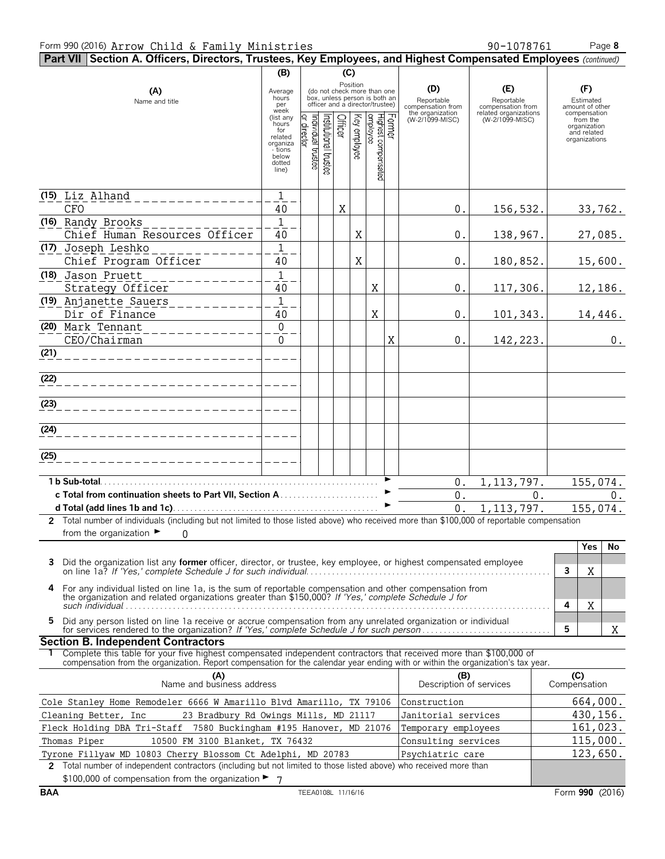#### Form 990 (2016) Page **8** Arrow Child & Family Ministries 90-1078761

| Part VII Section A. Officers, Directors, Trustees, Key Employees, and Highest Compensated Employees (continued)                                                                                                                                        |                                               |                                   |                                                                                                             |         |              |                                             |   |                                                            |                                                                 |   |                                                          |    |
|--------------------------------------------------------------------------------------------------------------------------------------------------------------------------------------------------------------------------------------------------------|-----------------------------------------------|-----------------------------------|-------------------------------------------------------------------------------------------------------------|---------|--------------|---------------------------------------------|---|------------------------------------------------------------|-----------------------------------------------------------------|---|----------------------------------------------------------|----|
|                                                                                                                                                                                                                                                        | (B)                                           | (C)                               |                                                                                                             |         |              |                                             |   |                                                            |                                                                 |   |                                                          |    |
| (A)<br>Name and title                                                                                                                                                                                                                                  | Average<br>hours<br>per<br>week               |                                   | Position<br>(do not check more than one<br>box, unless person is both an<br>officer and a director/trustee) |         |              |                                             |   | (D)<br>Reportable<br>compensation from<br>the organization | (E)<br>Reportable<br>compensation from<br>related organizations |   | (F)<br>Estimated<br>amount of other<br>compensation      |    |
|                                                                                                                                                                                                                                                        | (list any<br>hours<br>for<br>related          | or director<br>Individual trustee |                                                                                                             | Officer | Key employee |                                             |   | (W-2/1099-MISC)                                            | (W-2/1099-MISC)                                                 |   | from the<br>organization<br>and related<br>organizations |    |
|                                                                                                                                                                                                                                                        | organiza<br>tions<br>below<br>dotted<br>line) |                                   | Institutional trustee                                                                                       |         |              | Former<br> Highest compensated<br> employee |   |                                                            |                                                                 |   |                                                          |    |
|                                                                                                                                                                                                                                                        |                                               |                                   |                                                                                                             |         |              |                                             |   |                                                            |                                                                 |   |                                                          |    |
| (15) Liz Alhand                                                                                                                                                                                                                                        | $\mathbf{1}$                                  |                                   |                                                                                                             |         |              |                                             |   |                                                            |                                                                 |   |                                                          |    |
| <b>CFO</b>                                                                                                                                                                                                                                             | 40                                            |                                   |                                                                                                             | X       |              |                                             |   | 0.                                                         | 156,532.                                                        |   | 33,762.                                                  |    |
| (16) Randy Brooks                                                                                                                                                                                                                                      | $\mathbf{1}$                                  |                                   |                                                                                                             |         |              |                                             |   |                                                            |                                                                 |   |                                                          |    |
| Chief Human Resources Officer<br>(17) Joseph Leshko                                                                                                                                                                                                    | 40<br>$\mathbf 1$                             |                                   |                                                                                                             |         | X            |                                             |   | 0.                                                         | 138,967.                                                        |   | 27,085.                                                  |    |
| Chief Program Officer                                                                                                                                                                                                                                  | 40                                            |                                   |                                                                                                             |         | X            |                                             |   | 0.                                                         | 180,852.                                                        |   | 15,600.                                                  |    |
| (18) Jason Pruett                                                                                                                                                                                                                                      | $1\,$                                         |                                   |                                                                                                             |         |              |                                             |   |                                                            |                                                                 |   |                                                          |    |
| Strategy Officer                                                                                                                                                                                                                                       | 40                                            |                                   |                                                                                                             |         |              | Χ                                           |   | 0.                                                         | 117,306.                                                        |   | 12,186.                                                  |    |
| (19) Anjanette Sauers                                                                                                                                                                                                                                  | $\mathbf 1$                                   |                                   |                                                                                                             |         |              |                                             |   |                                                            |                                                                 |   |                                                          |    |
| Dir of Finance                                                                                                                                                                                                                                         | 40                                            |                                   |                                                                                                             |         |              | Χ                                           |   | 0.                                                         | 101,343.                                                        |   | 14,446.                                                  |    |
| (20) Mark Tennant                                                                                                                                                                                                                                      | $\pmb{0}$                                     |                                   |                                                                                                             |         |              |                                             |   |                                                            |                                                                 |   |                                                          |    |
| CEO/Chairman                                                                                                                                                                                                                                           | $\Omega$                                      |                                   |                                                                                                             |         |              |                                             | X | 0.                                                         | 142, 223.                                                       |   |                                                          | 0. |
| (21)                                                                                                                                                                                                                                                   |                                               |                                   |                                                                                                             |         |              |                                             |   |                                                            |                                                                 |   |                                                          |    |
|                                                                                                                                                                                                                                                        |                                               |                                   |                                                                                                             |         |              |                                             |   |                                                            |                                                                 |   |                                                          |    |
| (22)                                                                                                                                                                                                                                                   |                                               |                                   |                                                                                                             |         |              |                                             |   |                                                            |                                                                 |   |                                                          |    |
| (23)                                                                                                                                                                                                                                                   |                                               |                                   |                                                                                                             |         |              |                                             |   |                                                            |                                                                 |   |                                                          |    |
| ______________________                                                                                                                                                                                                                                 |                                               |                                   |                                                                                                             |         |              |                                             |   |                                                            |                                                                 |   |                                                          |    |
| (24)<br>_____________________                                                                                                                                                                                                                          |                                               |                                   |                                                                                                             |         |              |                                             |   |                                                            |                                                                 |   |                                                          |    |
| (25)                                                                                                                                                                                                                                                   |                                               |                                   |                                                                                                             |         |              |                                             |   |                                                            |                                                                 |   |                                                          |    |
| 1 b Sub-total                                                                                                                                                                                                                                          |                                               |                                   |                                                                                                             |         |              |                                             |   | 0.                                                         | 1, 113, 797.                                                    |   | 155,074.                                                 |    |
| c Total from continuation sheets to Part VII, Section A                                                                                                                                                                                                |                                               |                                   |                                                                                                             |         |              |                                             |   | 0.                                                         | 0.                                                              |   |                                                          | 0. |
|                                                                                                                                                                                                                                                        |                                               |                                   |                                                                                                             |         |              |                                             |   | 0.                                                         | 1, 113, 797.                                                    |   | 155,074.                                                 |    |
| 2 Total number of individuals (including but not limited to those listed above) who received more than \$100,000 of reportable compensation                                                                                                            |                                               |                                   |                                                                                                             |         |              |                                             |   |                                                            |                                                                 |   |                                                          |    |
| from the organization $\blacktriangleright$<br>0                                                                                                                                                                                                       |                                               |                                   |                                                                                                             |         |              |                                             |   |                                                            |                                                                 |   |                                                          |    |
|                                                                                                                                                                                                                                                        |                                               |                                   |                                                                                                             |         |              |                                             |   |                                                            |                                                                 |   | Yes                                                      | No |
| 3<br>Did the organization list any <b>former</b> officer, director, or trustee, key employee, or highest compensated employee                                                                                                                          |                                               |                                   |                                                                                                             |         |              |                                             |   |                                                            |                                                                 | 3 | X                                                        |    |
|                                                                                                                                                                                                                                                        |                                               |                                   |                                                                                                             |         |              |                                             |   |                                                            |                                                                 |   |                                                          |    |
| For any individual listed on line 1a, is the sum of reportable compensation and other compensation from<br>4<br>the organization and related organizations greater than \$150,000? If 'Yes,' complete Schedule J for<br>such individual $\ldots$       |                                               |                                   |                                                                                                             |         |              |                                             |   |                                                            |                                                                 | 4 | X                                                        |    |
| Did any person listed on line 1a receive or accrue compensation from any unrelated organization or individual<br>5.<br>for services rendered to the organization? If 'Yes,' complete Schedule J for such person                                        |                                               |                                   |                                                                                                             |         |              |                                             |   |                                                            |                                                                 | 5 |                                                          | X  |
| <b>Section B. Independent Contractors</b>                                                                                                                                                                                                              |                                               |                                   |                                                                                                             |         |              |                                             |   |                                                            |                                                                 |   |                                                          |    |
| Complete this table for your five highest compensated independent contractors that received more than \$100,000 of<br>compensation from the organization. Report compensation for the calendar year ending with or within the organization's tax year. |                                               |                                   |                                                                                                             |         |              |                                             |   |                                                            |                                                                 |   |                                                          |    |
| (A)<br>Name and business address                                                                                                                                                                                                                       |                                               |                                   |                                                                                                             |         |              |                                             |   | (B)<br>Description of services                             |                                                                 |   | (C)<br>Compensation                                      |    |
| Cole Stanley Home Remodeler 6666 W Amarillo Blvd Amarillo, TX 79106                                                                                                                                                                                    |                                               |                                   |                                                                                                             |         |              |                                             |   | Construction                                               |                                                                 |   | 664,000.                                                 |    |
| Cleaning Better, Inc.<br>23 Bradbury Rd Owings Mills, MD 21117                                                                                                                                                                                         |                                               |                                   |                                                                                                             |         |              |                                             |   | Janitorial services                                        |                                                                 |   | 430,156.                                                 |    |
| Fleck Holding DBA Tri-Staff 7580 Buckingham #195 Hanover, MD 21076                                                                                                                                                                                     |                                               |                                   |                                                                                                             |         |              |                                             |   | Temporary employees                                        |                                                                 |   | 161,023.                                                 |    |
| Thomas Piper<br>10500 FM 3100 Blanket, TX 76432                                                                                                                                                                                                        |                                               |                                   |                                                                                                             |         |              |                                             |   | Consulting services                                        |                                                                 |   | 115,000.                                                 |    |
| Tyrone Fillyaw MD 10803 Cherry Blossom Ct Adelphi, MD 20783                                                                                                                                                                                            |                                               |                                   |                                                                                                             |         |              |                                             |   | Psychiatric care                                           |                                                                 |   | 123,650.                                                 |    |

**2** Total number of independent contractors (including but not limited to those listed above) who received more than \$100,000 of compensation from the organization  $\blacktriangleright$  7 **BAA** TEEA0108L 11/16/16 TEEA0108L 11/16/16 Form 990 (2016)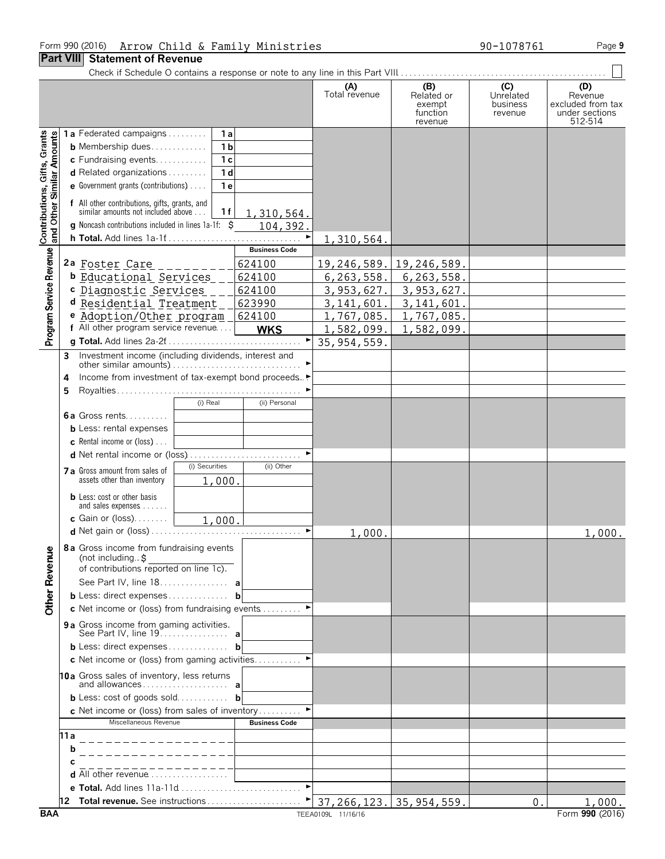#### Form 990 (2016) Page **9** Arrow Child & Family Ministries 90-1078761

#### **Part VIII Statement of Revenue**

|                                                           |           |                                                                                                                                                                                                                                                                     |                                                                      |                       | (A)<br>Total revenue        | (B)<br>Related or<br>exempt<br>function<br>revenue | (C)<br>Unrelated<br>business<br>revenue | (D)<br>Revenue<br>excluded from tax<br>under sections<br>512-514 |
|-----------------------------------------------------------|-----------|---------------------------------------------------------------------------------------------------------------------------------------------------------------------------------------------------------------------------------------------------------------------|----------------------------------------------------------------------|-----------------------|-----------------------------|----------------------------------------------------|-----------------------------------------|------------------------------------------------------------------|
| Contributions, Gifts, Grants<br>and Other Similar Amounts |           | 1a Federated campaigns<br><b>b</b> Membership dues<br>c Fundraising events<br><b>d</b> Related organizations $\ldots$<br><b>e</b> Government grants (contributions) $\ldots$<br>f All other contributions, gifts, grants, and<br>similar amounts not included above | 1a<br>1 <sub>b</sub><br>1 <sub>c</sub><br>1 <sub>d</sub><br>1e<br>1f | 1,310,564.            |                             |                                                    |                                         |                                                                  |
|                                                           |           | <b>g</b> Noncash contributions included in lines $1a-1f$ : $\zeta$                                                                                                                                                                                                  |                                                                      | 104,392.<br>►         | 1,310,564.                  |                                                    |                                         |                                                                  |
|                                                           |           |                                                                                                                                                                                                                                                                     |                                                                      | <b>Business Code</b>  |                             |                                                    |                                         |                                                                  |
| Program Service Revenue                                   |           | 2a Foster Care<br><b>b</b> Educational Services                                                                                                                                                                                                                     |                                                                      | 624100<br>624100      | 19,246,589.<br>6, 263, 558. | 19,246,589.<br>6, 263, 558.                        |                                         |                                                                  |
|                                                           |           | c Diagnostic Services                                                                                                                                                                                                                                               |                                                                      | 624100                | 3,953,627.                  | 3,953,627.                                         |                                         |                                                                  |
|                                                           |           | d Residential Treatment                                                                                                                                                                                                                                             |                                                                      | 623990                | 3, 141, 601.                | 3, 141, 601.                                       |                                         |                                                                  |
|                                                           |           | e Adoption/Other program                                                                                                                                                                                                                                            |                                                                      | 624100                | 1,767,085.                  | 1,767,085.                                         |                                         |                                                                  |
|                                                           |           | f All other program service revenue                                                                                                                                                                                                                                 |                                                                      | <b>WKS</b>            | 1,582,099.                  | 1,582,099.                                         |                                         |                                                                  |
|                                                           |           |                                                                                                                                                                                                                                                                     |                                                                      | $\blacktriangleright$ | 35, 954, 559.               |                                                    |                                         |                                                                  |
|                                                           | 3         |                                                                                                                                                                                                                                                                     |                                                                      |                       |                             |                                                    |                                         |                                                                  |
|                                                           | 4         | Income from investment of tax-exempt bond proceeds▶                                                                                                                                                                                                                 |                                                                      |                       |                             |                                                    |                                         |                                                                  |
|                                                           | 5         |                                                                                                                                                                                                                                                                     |                                                                      |                       |                             |                                                    |                                         |                                                                  |
|                                                           |           |                                                                                                                                                                                                                                                                     | (i) Real                                                             | (ii) Personal         |                             |                                                    |                                         |                                                                  |
|                                                           |           | 6a Gross rents                                                                                                                                                                                                                                                      |                                                                      |                       |                             |                                                    |                                         |                                                                  |
|                                                           |           | <b>b</b> Less: rental expenses                                                                                                                                                                                                                                      |                                                                      |                       |                             |                                                    |                                         |                                                                  |
|                                                           |           | <b>c</b> Rental income or (loss) $\ldots$                                                                                                                                                                                                                           |                                                                      |                       |                             |                                                    |                                         |                                                                  |
|                                                           |           |                                                                                                                                                                                                                                                                     | (i) Securities                                                       | (ii) Other            |                             |                                                    |                                         |                                                                  |
|                                                           |           | 7 a Gross amount from sales of<br>assets other than inventory                                                                                                                                                                                                       | 1,000                                                                |                       |                             |                                                    |                                         |                                                                  |
|                                                           |           | <b>b</b> Less: cost or other basis<br>and sales expenses                                                                                                                                                                                                            |                                                                      |                       |                             |                                                    |                                         |                                                                  |
|                                                           |           | <b>c</b> Gain or (loss)                                                                                                                                                                                                                                             | 1,000.                                                               |                       |                             |                                                    |                                         |                                                                  |
|                                                           |           |                                                                                                                                                                                                                                                                     |                                                                      |                       | 1,000.                      |                                                    |                                         | 1,000.                                                           |
| <b>Other Revenue</b>                                      |           | <b>8a</b> Gross income from fundraising events<br>(not including. $\uparrow$                                                                                                                                                                                        |                                                                      |                       |                             |                                                    |                                         |                                                                  |
|                                                           |           | of contributions reported on line 1c).                                                                                                                                                                                                                              |                                                                      |                       |                             |                                                    |                                         |                                                                  |
|                                                           |           | See Part IV, line 18. a                                                                                                                                                                                                                                             |                                                                      |                       |                             |                                                    |                                         |                                                                  |
|                                                           |           | <b>b</b> Less: direct expenses <b>b</b><br>c Net income or (loss) from fundraising events $\dots\dots\dots$                                                                                                                                                         |                                                                      |                       |                             |                                                    |                                         |                                                                  |
|                                                           |           | 9a Gross income from gaming activities.                                                                                                                                                                                                                             |                                                                      |                       |                             |                                                    |                                         |                                                                  |
|                                                           |           | <b>b</b> Less: direct expenses <b>b</b>                                                                                                                                                                                                                             |                                                                      |                       |                             |                                                    |                                         |                                                                  |
|                                                           |           | c Net income or (loss) from gaming activities                                                                                                                                                                                                                       |                                                                      |                       |                             |                                                    |                                         |                                                                  |
|                                                           |           | 10a Gross sales of inventory, less returns                                                                                                                                                                                                                          |                                                                      |                       |                             |                                                    |                                         |                                                                  |
|                                                           |           | <b>b</b> Less: cost of goods sold <b>b</b>                                                                                                                                                                                                                          |                                                                      |                       |                             |                                                    |                                         |                                                                  |
|                                                           |           | <b>c</b> Net income or (loss) from sales of inventory                                                                                                                                                                                                               |                                                                      |                       |                             |                                                    |                                         |                                                                  |
|                                                           |           | Miscellaneous Revenue                                                                                                                                                                                                                                               |                                                                      | <b>Business Code</b>  |                             |                                                    |                                         |                                                                  |
|                                                           | 11 a<br>b | _______________                                                                                                                                                                                                                                                     |                                                                      |                       |                             |                                                    |                                         |                                                                  |
|                                                           |           |                                                                                                                                                                                                                                                                     |                                                                      |                       |                             |                                                    |                                         |                                                                  |
|                                                           |           | <b>d</b> All other revenue $\ldots$ $\ldots$ $\ldots$ $\ldots$                                                                                                                                                                                                      |                                                                      |                       |                             |                                                    |                                         |                                                                  |
|                                                           |           |                                                                                                                                                                                                                                                                     |                                                                      |                       |                             |                                                    |                                         |                                                                  |
|                                                           |           |                                                                                                                                                                                                                                                                     |                                                                      |                       |                             |                                                    | 0.                                      | 1,000.                                                           |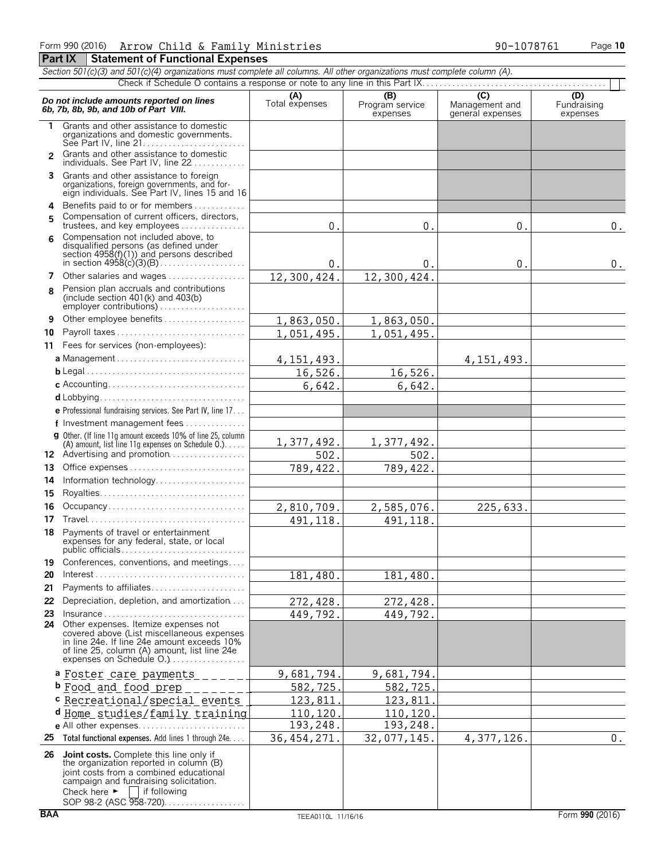*Section 501(c)(3) and 501(c)(4) organizations must complete all columns. All other organizations must complete column (A).*

|                | Do not include amounts reported on lines<br>6b, 7b, 8b, 9b, and 10b of Part VIII.                                                                                                                                                                        | (A)<br>Total expenses | (B)<br>Program service<br>expenses | $\overline{C}$<br>Management and<br>general expenses | (D)<br>Fundraising<br>expenses |
|----------------|----------------------------------------------------------------------------------------------------------------------------------------------------------------------------------------------------------------------------------------------------------|-----------------------|------------------------------------|------------------------------------------------------|--------------------------------|
| 1.             | Grants and other assistance to domestic<br>organizations and domestic governments.<br>See Part IV. line $21, \ldots, \ldots, \ldots, \ldots, \ldots, \ldots$                                                                                             |                       |                                    |                                                      |                                |
| $\mathfrak{p}$ | Grants and other assistance to domestic<br>individuals. See Part IV, line 22                                                                                                                                                                             |                       |                                    |                                                      |                                |
| 3              | Grants and other assistance to foreign<br>organizations, foreign governments, and for-<br>eign individuals. See Part IV, lines 15 and 16                                                                                                                 |                       |                                    |                                                      |                                |
| 4              | Benefits paid to or for members                                                                                                                                                                                                                          |                       |                                    |                                                      |                                |
| 5              | Compensation of current officers, directors,<br>trustees, and key employees                                                                                                                                                                              | 0.                    | 0.                                 | 0.                                                   | $0$ .                          |
| 6              | Compensation not included above, to<br>disqualified persons (as defined under<br>section $4958(f)(1)$ and persons described                                                                                                                              | 0.                    | 0.                                 | 0.                                                   | 0.                             |
| 7              | Other salaries and wages                                                                                                                                                                                                                                 | 12,300,424.           | 12,300,424.                        |                                                      |                                |
| 8              | Pension plan accruals and contributions<br>(include section $401(k)$ and $403(b)$                                                                                                                                                                        |                       |                                    |                                                      |                                |
| 9              | Other employee benefits                                                                                                                                                                                                                                  | 1,863,050.            | 1,863,050.                         |                                                      |                                |
| 10             | Payroll taxes                                                                                                                                                                                                                                            | 1,051,495.            | 1,051,495.                         |                                                      |                                |
| 11             | Fees for services (non-employees):                                                                                                                                                                                                                       |                       |                                    |                                                      |                                |
|                | a Management                                                                                                                                                                                                                                             | 4, 151, 493.          |                                    | 4, 151, 493.                                         |                                |
|                |                                                                                                                                                                                                                                                          | 16,526.               | 16,526.                            |                                                      |                                |
|                |                                                                                                                                                                                                                                                          | 6,642.                | 6,642.                             |                                                      |                                |
|                |                                                                                                                                                                                                                                                          |                       |                                    |                                                      |                                |
|                | e Professional fundraising services. See Part IV, line 17                                                                                                                                                                                                |                       |                                    |                                                      |                                |
|                | f Investment management fees                                                                                                                                                                                                                             |                       |                                    |                                                      |                                |
|                | <b>g</b> Other. (If line 11q amount exceeds 10% of line 25, column<br>(A) amount, list line 11g expenses on Schedule $0.$ )                                                                                                                              | 1,377,492.            | 1,377,492.                         |                                                      |                                |
|                | 12 Advertising and promotion                                                                                                                                                                                                                             | 502.                  | 502.                               |                                                      |                                |
| 13             | Office expenses                                                                                                                                                                                                                                          | 789, 422.             | 789, 422.                          |                                                      |                                |
| 14             | Information technology                                                                                                                                                                                                                                   |                       |                                    |                                                      |                                |
| 15             |                                                                                                                                                                                                                                                          |                       |                                    |                                                      |                                |
| 16             | Occupancy                                                                                                                                                                                                                                                | 2,810,709.            | 2,585,076.                         | 225,633.                                             |                                |
| 17             |                                                                                                                                                                                                                                                          | 491, 118.             | 491, 118.                          |                                                      |                                |
| 18             | Payments of travel or entertainment<br>expenses for any federal, state, or local                                                                                                                                                                         |                       |                                    |                                                      |                                |
|                | 19 Conferences, conventions, and meetings                                                                                                                                                                                                                |                       |                                    |                                                      |                                |
| 20             |                                                                                                                                                                                                                                                          | 181,480.              | 181,480.                           |                                                      |                                |
| 21             | Payments to affiliates                                                                                                                                                                                                                                   |                       |                                    |                                                      |                                |
| 22             | Depreciation, depletion, and amortization                                                                                                                                                                                                                | 272,428.              | 272,428.                           |                                                      |                                |
| 23             | Insurance                                                                                                                                                                                                                                                | 449,792.              | 449,792.                           |                                                      |                                |
|                | 24 Other expenses. Itemize expenses not<br>covered above (List miscellaneous expenses<br>in line 24e. If line 24e amount exceeds 10%<br>of line 25, column (A) amount, list line 24e<br>expenses on Schedule O.)                                         |                       |                                    |                                                      |                                |
|                | a <u>Foster care payments</u>                                                                                                                                                                                                                            | 9,681,794.            | 9,681,794                          |                                                      |                                |
|                | <b>b</b> Food and food prep                                                                                                                                                                                                                              | 582,725.              | 582,725.                           |                                                      |                                |
|                | c Recreational/special events                                                                                                                                                                                                                            | 123,811               | 123,811                            |                                                      |                                |
|                | d Home studies/family training                                                                                                                                                                                                                           | 110,120.              | 110,120.                           |                                                      |                                |
|                | e All other expenses                                                                                                                                                                                                                                     | 193,248.              | 193,248.                           |                                                      |                                |
| 25             | Total functional expenses. Add lines 1 through 24e                                                                                                                                                                                                       | 36, 454, 271.         | 32,077,145.                        | 4,377,126.                                           | $0$ .                          |
|                | 26 Joint costs. Complete this line only if<br>the organization reported in column (B)<br>joint costs from a combined educational<br>campaign and fundraising solicitation.<br>if following<br>Check here $\blacktriangleright$<br>SOP 98-2 (ASC 958-720) |                       |                                    |                                                      |                                |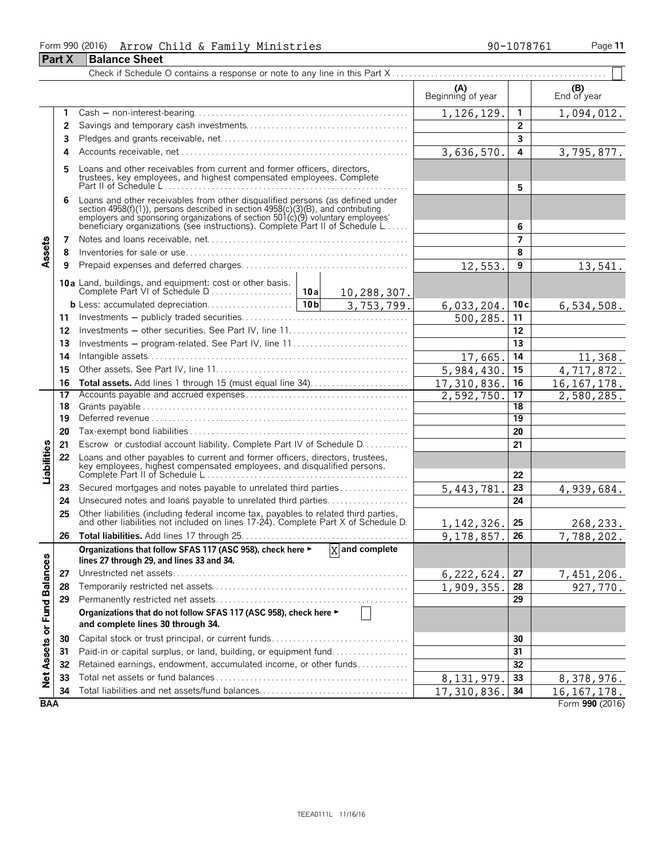#### Form 990 (2016) Page **11** Arrow Child & Family Ministries 90-1078761

|                             | <b>Part X</b> | <b>Balance Sheet</b>                                                                                                                                                                                                                                                                                                 |                             |                          |                         |                        |
|-----------------------------|---------------|----------------------------------------------------------------------------------------------------------------------------------------------------------------------------------------------------------------------------------------------------------------------------------------------------------------------|-----------------------------|--------------------------|-------------------------|------------------------|
|                             |               |                                                                                                                                                                                                                                                                                                                      |                             |                          |                         |                        |
|                             |               |                                                                                                                                                                                                                                                                                                                      |                             | (A)<br>Beginning of year |                         | $( B )$<br>End of year |
|                             | 1             |                                                                                                                                                                                                                                                                                                                      |                             | 1,126,129.               | $\mathbf{1}$            | 1,094,012.             |
|                             | 2             |                                                                                                                                                                                                                                                                                                                      |                             |                          | $\overline{2}$          |                        |
|                             | 3             |                                                                                                                                                                                                                                                                                                                      |                             |                          | $\overline{\mathbf{3}}$ |                        |
|                             | 4             |                                                                                                                                                                                                                                                                                                                      |                             | 3,636,570.               | 4                       | 3,795,877.             |
|                             | 5             | Loans and other receivables from current and former officers, directors,<br>trustees, key employees, and highest compensated employees. Complete                                                                                                                                                                     |                             |                          | 5                       |                        |
|                             | 6             | Loans and other receivables from other disqualified persons (as defined under<br>section 4958(f)(1)), persons described in section 4958(c)(3)(B), and contributing<br>employers and sponsoring organizations of section 501(c)(9) voluntary employees'<br>beneficiary organizations (see instructions). Complete Par |                             |                          | 6                       |                        |
|                             | 7             |                                                                                                                                                                                                                                                                                                                      |                             |                          | $\overline{7}$          |                        |
| Assets                      | 8             |                                                                                                                                                                                                                                                                                                                      |                             |                          | 8                       |                        |
|                             | 9             |                                                                                                                                                                                                                                                                                                                      |                             | 12,553.                  | 9                       | 13,541.                |
|                             |               |                                                                                                                                                                                                                                                                                                                      | 10,288,307.                 |                          |                         |                        |
|                             |               |                                                                                                                                                                                                                                                                                                                      | 3,753,799.                  | 6,033,204.               | 10c                     | 6,534,508.             |
|                             | 11            |                                                                                                                                                                                                                                                                                                                      |                             | 500,285.                 | 11                      |                        |
|                             | 12            |                                                                                                                                                                                                                                                                                                                      |                             |                          | 12                      |                        |
|                             | 13            | Investments – program-related. See Part IV, line 11                                                                                                                                                                                                                                                                  |                             |                          | 13                      |                        |
|                             | 14            |                                                                                                                                                                                                                                                                                                                      |                             | 17,665                   | 14                      | 11,368.                |
|                             | 15            |                                                                                                                                                                                                                                                                                                                      | 5,984,430                   | 15                       | 4,717,872.              |                        |
|                             | 16            |                                                                                                                                                                                                                                                                                                                      |                             | 17,310,836               | 16                      | 16, 167, 178.          |
|                             | 17            |                                                                                                                                                                                                                                                                                                                      |                             | 2,592,750                | 17                      | 2,580,285.             |
|                             | 18            |                                                                                                                                                                                                                                                                                                                      |                             |                          | 18                      |                        |
|                             | 19            |                                                                                                                                                                                                                                                                                                                      |                             |                          | $\overline{19}$         |                        |
|                             | 20            |                                                                                                                                                                                                                                                                                                                      |                             |                          | 20                      |                        |
|                             | 21            | Escrow or custodial account liability. Complete Part IV of Schedule D.                                                                                                                                                                                                                                               |                             |                          | 21                      |                        |
| Liabilities                 | 22            | Loans and other payables to current and former officers, directors, trustees,<br>key employees, highest compensated employees, and disqualified persons.<br>Complete Part II of Schedule L                                                                                                                           |                             |                          | 22                      |                        |
|                             | 23            | Secured mortgages and notes payable to unrelated third parties                                                                                                                                                                                                                                                       |                             | 5,443,781                | 23                      | 4,939,684.             |
|                             | 24            | Unsecured notes and loans payable to unrelated third parties                                                                                                                                                                                                                                                         |                             |                          | 24                      |                        |
|                             | 25            |                                                                                                                                                                                                                                                                                                                      |                             |                          |                         |                        |
|                             |               | Other liabilities (including federal income tax, payables to related third parties, and other liabilities not included on lines 17-24). Complete Part X of Schedule D.                                                                                                                                               |                             | 1, 142, 326.             | 25                      | 268,233.               |
|                             | 26            |                                                                                                                                                                                                                                                                                                                      |                             | 9,178,857.               | 26                      | 7,788,202.             |
|                             |               | Organizations that follow SFAS 117 (ASC 958), check here ►<br>lines 27 through 29, and lines 33 and 34.                                                                                                                                                                                                              | $\overline{X}$ and complete |                          |                         |                        |
|                             | 27            |                                                                                                                                                                                                                                                                                                                      |                             | 6, 222, 624.             | 27                      | 7,451,206.             |
|                             | 28            |                                                                                                                                                                                                                                                                                                                      |                             | 1,909,355.               | 28                      | 927,770.               |
|                             | 29            |                                                                                                                                                                                                                                                                                                                      |                             |                          | 29                      |                        |
| Net Assets or Fund Balances |               | Organizations that do not follow SFAS 117 (ASC 958), check here ►<br>and complete lines 30 through 34.                                                                                                                                                                                                               |                             |                          |                         |                        |
|                             | 30            |                                                                                                                                                                                                                                                                                                                      |                             |                          | 30                      |                        |
|                             | 31            | Paid-in or capital surplus, or land, building, or equipment fund                                                                                                                                                                                                                                                     |                             |                          | 31                      |                        |
|                             | 32            | Retained earnings, endowment, accumulated income, or other funds                                                                                                                                                                                                                                                     |                             |                          | 32                      |                        |
|                             | 33            |                                                                                                                                                                                                                                                                                                                      |                             | 8,131,979.               | 33                      | 8,378,976.             |
|                             | 34            | Total liabilities and net assets/fund balances                                                                                                                                                                                                                                                                       |                             | 17, 310, 836.            | 34                      | 16, 167, 178.          |
| <b>BAA</b>                  |               |                                                                                                                                                                                                                                                                                                                      |                             |                          |                         | Form 990 (2016)        |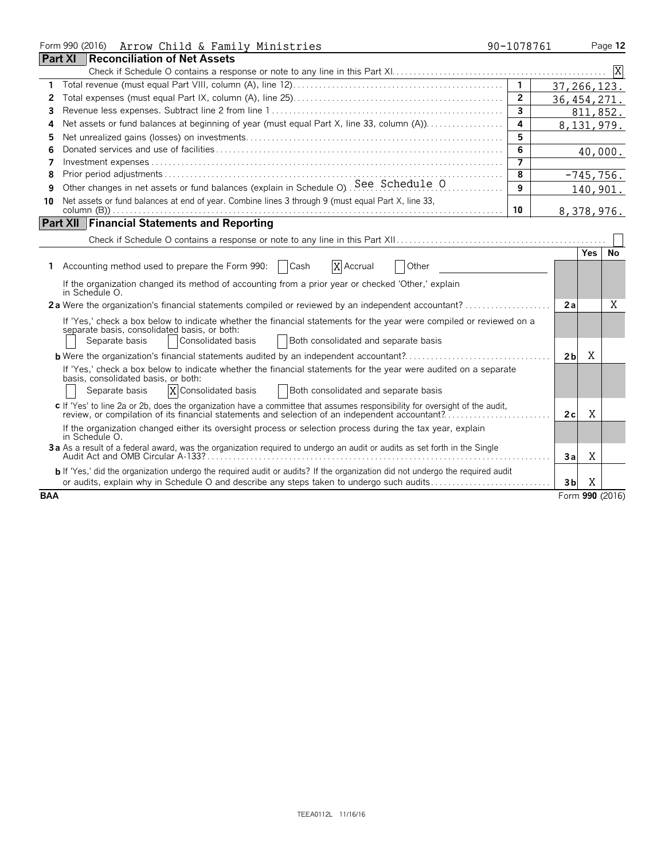|            | Form 990 (2016) Arrow Child & Family Ministries                                                                                                                                                                                                      | 90-1078761     |                |                 | Page 12 |
|------------|------------------------------------------------------------------------------------------------------------------------------------------------------------------------------------------------------------------------------------------------------|----------------|----------------|-----------------|---------|
|            | <b>Part XI</b><br><b>Reconciliation of Net Assets</b>                                                                                                                                                                                                |                |                |                 |         |
|            |                                                                                                                                                                                                                                                      |                |                |                 |         |
| 1          |                                                                                                                                                                                                                                                      | $\mathbf{1}$   | 37, 266, 123.  |                 |         |
| 2          |                                                                                                                                                                                                                                                      | $\overline{2}$ | 36, 454, 271.  |                 |         |
| 3          |                                                                                                                                                                                                                                                      | $\overline{3}$ |                | 811,852.        |         |
| 4          |                                                                                                                                                                                                                                                      | 4              |                | 8,131,979.      |         |
| 5          |                                                                                                                                                                                                                                                      | 5              |                |                 |         |
| 6          |                                                                                                                                                                                                                                                      | 6              |                | 40,000.         |         |
| 7          |                                                                                                                                                                                                                                                      | $\overline{7}$ |                |                 |         |
| 8          |                                                                                                                                                                                                                                                      | 8              |                | $-745,756.$     |         |
| 9          | Other changes in net assets or fund balances (explain in Schedule O). See: Schedule O                                                                                                                                                                | 9              |                | 140,901.        |         |
| 10         | Net assets or fund balances at end of year. Combine lines 3 through 9 (must equal Part X, line 33,                                                                                                                                                   |                |                |                 |         |
|            |                                                                                                                                                                                                                                                      | 10             |                | 8,378,976.      |         |
|            | <b>Part XII Financial Statements and Reporting</b>                                                                                                                                                                                                   |                |                |                 |         |
|            |                                                                                                                                                                                                                                                      |                |                |                 |         |
|            |                                                                                                                                                                                                                                                      |                |                | <b>Yes</b>      | No      |
| 1.         | X Accrual<br>Accounting method used to prepare the Form 990:<br>Cash<br>Other                                                                                                                                                                        |                |                |                 |         |
|            | If the organization changed its method of accounting from a prior year or checked 'Other,' explain<br>in Schedule O.                                                                                                                                 |                |                |                 |         |
|            |                                                                                                                                                                                                                                                      |                | 2a             |                 | X       |
|            | If 'Yes,' check a box below to indicate whether the financial statements for the year were compiled or reviewed on a<br>separate basis, consolidated basis, or both:<br>Both consolidated and separate basis<br>Consolidated basis<br>Separate basis |                |                |                 |         |
|            | <b>b</b> Were the organization's financial statements audited by an independent accountant?                                                                                                                                                          |                | 2 <sub>b</sub> | Χ               |         |
|            | If 'Yes,' check a box below to indicate whether the financial statements for the year were audited on a separate<br>basis, consolidated basis, or both:<br>X Consolidated basis<br>Both consolidated and separate basis<br>Separate basis            |                |                |                 |         |
|            | c If 'Yes' to line 2a or 2b, does the organization have a committee that assumes responsibility for oversight of the audit,<br>review, or compilation of its financial statements and selection of an independent accountant?                        |                | 2c             | X               |         |
|            | If the organization changed either its oversight process or selection process during the tax year, explain<br>in Schedule O.                                                                                                                         |                |                |                 |         |
|            | 3a As a result of a federal award, was the organization required to undergo an audit or audits as set forth in the Single<br>Audit Act and OMB Circular A-133?                                                                                       |                | 3a             | Χ               |         |
|            | b If 'Yes,' did the organization undergo the required audit or audits? If the organization did not undergo the required audit<br>or audits, explain why in Schedule O and describe any steps taken to undergo such audits                            |                | 3 <sub>b</sub> | Χ               |         |
| <b>BAA</b> |                                                                                                                                                                                                                                                      |                |                | Form 990 (2016) |         |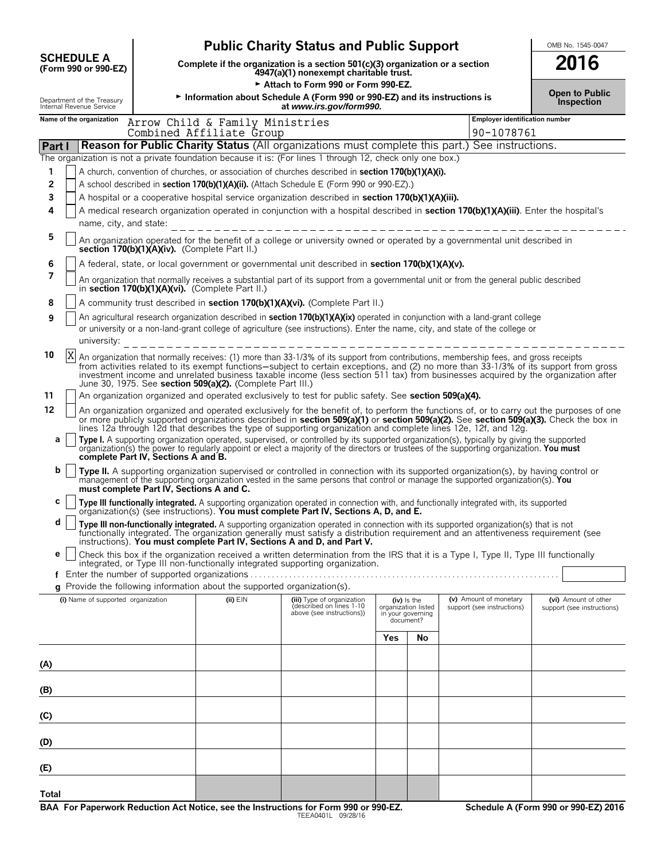|                                                                                                           |                                                                               | OMB No. 1545-0047<br><b>2016</b>                                                |                                                                                                                                                                                                                                                                                                                                                                                                                                                                                                                                                 |                                                                      |    |                                       |                                                    |
|-----------------------------------------------------------------------------------------------------------|-------------------------------------------------------------------------------|---------------------------------------------------------------------------------|-------------------------------------------------------------------------------------------------------------------------------------------------------------------------------------------------------------------------------------------------------------------------------------------------------------------------------------------------------------------------------------------------------------------------------------------------------------------------------------------------------------------------------------------------|----------------------------------------------------------------------|----|---------------------------------------|----------------------------------------------------|
| <b>SCHEDULE A</b><br>(Form 990 or 990-EZ)                                                                 | Complete if the organization is a section 501(c)(3) organization or a section |                                                                                 |                                                                                                                                                                                                                                                                                                                                                                                                                                                                                                                                                 |                                                                      |    |                                       |                                                    |
| Department of the Treasury<br>Internal Revenue Service                                                    |                                                                               |                                                                                 | Attach to Form 990 or Form 990-EZ.<br>Information about Schedule A (Form 990 or 990-EZ) and its instructions is<br>at www.irs.gov/form990.                                                                                                                                                                                                                                                                                                                                                                                                      |                                                                      |    |                                       | <b>Open to Public</b><br><b>Inspection</b>         |
| Name of the organization                                                                                  |                                                                               | Arrow Child & Family Ministries                                                 |                                                                                                                                                                                                                                                                                                                                                                                                                                                                                                                                                 |                                                                      |    | <b>Employer identification number</b> |                                                    |
| Part I                                                                                                    |                                                                               | Combined Affiliate Group                                                        | Reason for Public Charity Status (All organizations must complete this part.) See instructions.                                                                                                                                                                                                                                                                                                                                                                                                                                                 |                                                                      |    | 90-1078761                            |                                                    |
| The organization is not a private foundation because it is: (For lines 1 through 12, check only one box.) |                                                                               |                                                                                 |                                                                                                                                                                                                                                                                                                                                                                                                                                                                                                                                                 |                                                                      |    |                                       |                                                    |
| 1                                                                                                         |                                                                               |                                                                                 | A church, convention of churches, or association of churches described in section 170(b)(1)(A)(i).                                                                                                                                                                                                                                                                                                                                                                                                                                              |                                                                      |    |                                       |                                                    |
| 2                                                                                                         |                                                                               |                                                                                 | A school described in section 170(b)(1)(A)(ii). (Attach Schedule E (Form 990 or 990-EZ).)                                                                                                                                                                                                                                                                                                                                                                                                                                                       |                                                                      |    |                                       |                                                    |
| 3<br>4                                                                                                    |                                                                               |                                                                                 | A hospital or a cooperative hospital service organization described in section 170(b)(1)(A)(iii).<br>A medical research organization operated in conjunction with a hospital described in section 170(b)(1)(A)(iii). Enter the hospital's                                                                                                                                                                                                                                                                                                       |                                                                      |    |                                       |                                                    |
| name, city, and state:                                                                                    |                                                                               |                                                                                 |                                                                                                                                                                                                                                                                                                                                                                                                                                                                                                                                                 |                                                                      |    |                                       |                                                    |
| 5                                                                                                         | section 170(b)(1)(A)(iv). (Complete Part II.)                                 |                                                                                 | An organization operated for the benefit of a college or university owned or operated by a governmental unit described in                                                                                                                                                                                                                                                                                                                                                                                                                       |                                                                      |    |                                       |                                                    |
| 6                                                                                                         |                                                                               |                                                                                 | A federal, state, or local government or governmental unit described in section 170(b)(1)(A)(v).                                                                                                                                                                                                                                                                                                                                                                                                                                                |                                                                      |    |                                       |                                                    |
| 7                                                                                                         |                                                                               | in section 170(b)(1)(A)(vi). (Complete Part II.)                                | An organization that normally receives a substantial part of its support from a governmental unit or from the general public described                                                                                                                                                                                                                                                                                                                                                                                                          |                                                                      |    |                                       |                                                    |
| 8                                                                                                         |                                                                               |                                                                                 | A community trust described in <b>section 170(b)(1)(A)(vi).</b> (Complete Part II.)                                                                                                                                                                                                                                                                                                                                                                                                                                                             |                                                                      |    |                                       |                                                    |
| 9<br>university:                                                                                          |                                                                               |                                                                                 | An agricultural research organization described in section 170(b)(1)(A)(ix) operated in conjunction with a land-grant college<br>or university or a non-land-grant college of agriculture (see instructions). Enter the name, city, and state of the college or                                                                                                                                                                                                                                                                                 |                                                                      |    |                                       |                                                    |
| 10<br>X                                                                                                   |                                                                               | June 30, 1975. See section 509(a)(2). (Complete Part III.)                      | An organization that normally receives: (1) more than 33-1/3% of its support from contributions, membership fees, and gross receipts<br>from activities related to its exempt functions—subject to certain exceptions, and (2) no more than 33-1/3% of its support from gross<br>investment income and unrelated business taxable income (less section 511 tax) from businesses acquired by the organization after                                                                                                                              |                                                                      |    |                                       |                                                    |
| 11                                                                                                        |                                                                               |                                                                                 | An organization organized and operated exclusively to test for public safety. See section 509(a)(4).                                                                                                                                                                                                                                                                                                                                                                                                                                            |                                                                      |    |                                       |                                                    |
| 12<br>а                                                                                                   |                                                                               |                                                                                 | An organization organized and operated exclusively for the benefit of, to perform the functions of, or to carry out the purposes of one<br>or more publicly supported organizations described in section 509(a)(1) or section 509(a)(2). See section 509(a)(3). Check the box in<br>lines 12a through 12d that describes the type of supporting organization and complete lines 12e, 12f, and 12g.<br>Type I. A supporting organization operated, supervised, or controlled by its supported organization(s), typically by giving the supported |                                                                      |    |                                       |                                                    |
|                                                                                                           | complete Part IV, Sections A and B.                                           |                                                                                 | organization(s) the power to regularly appoint or elect a majority of the directors or trustees of the supporting organization. You must                                                                                                                                                                                                                                                                                                                                                                                                        |                                                                      |    |                                       |                                                    |
| b                                                                                                         | must complete Part IV, Sections A and C.                                      |                                                                                 | Type II. A supporting organization supervised or controlled in connection with its supported organization(s), by having control or<br>management of the supporting organization vested in the same persons that control or manage the supported organization(s). You                                                                                                                                                                                                                                                                            |                                                                      |    |                                       |                                                    |
| C                                                                                                         |                                                                               |                                                                                 | Type III functionally integrated. A supporting organization operated in connection with, and functionally integrated with, its supported organization(s) (see instructions). You must complete Part IV, Sections A, D, and E.                                                                                                                                                                                                                                                                                                                   |                                                                      |    |                                       |                                                    |
| d                                                                                                         |                                                                               |                                                                                 | Type III non-functionally integrated. A supporting organization operated in connection with its supported organization(s) that is not<br>functionally integrated. The organization generally must satisfy a distribution requirement and an attentiveness requirement (see<br>instructions). You must complete Part IV, Sections A and D, and Part V.                                                                                                                                                                                           |                                                                      |    |                                       |                                                    |
| е                                                                                                         |                                                                               |                                                                                 | Check this box if the organization received a written determination from the IRS that it is a Type I, Type II, Type III functionally<br>integrated, or Type III non-functionally integrated supporting organization.                                                                                                                                                                                                                                                                                                                            |                                                                      |    |                                       |                                                    |
|                                                                                                           |                                                                               |                                                                                 |                                                                                                                                                                                                                                                                                                                                                                                                                                                                                                                                                 |                                                                      |    |                                       |                                                    |
| (i) Name of supported organization                                                                        |                                                                               | <b>g</b> Provide the following information about the supported organization(s). |                                                                                                                                                                                                                                                                                                                                                                                                                                                                                                                                                 |                                                                      |    | (v) Amount of monetary                |                                                    |
|                                                                                                           |                                                                               | $(ii)$ $EIN$                                                                    | (iii) Type of organization<br>(described on lines 1-10<br>above (see instructions))                                                                                                                                                                                                                                                                                                                                                                                                                                                             | (iv) Is the<br>organization listed<br>in your governing<br>document? |    | support (see instructions)            | (vi) Amount of other<br>support (see instructions) |
|                                                                                                           |                                                                               |                                                                                 |                                                                                                                                                                                                                                                                                                                                                                                                                                                                                                                                                 | Yes                                                                  | No |                                       |                                                    |
| (A)                                                                                                       |                                                                               |                                                                                 |                                                                                                                                                                                                                                                                                                                                                                                                                                                                                                                                                 |                                                                      |    |                                       |                                                    |
| (B)                                                                                                       |                                                                               |                                                                                 |                                                                                                                                                                                                                                                                                                                                                                                                                                                                                                                                                 |                                                                      |    |                                       |                                                    |
| (C)                                                                                                       |                                                                               |                                                                                 |                                                                                                                                                                                                                                                                                                                                                                                                                                                                                                                                                 |                                                                      |    |                                       |                                                    |
| (D)                                                                                                       |                                                                               |                                                                                 |                                                                                                                                                                                                                                                                                                                                                                                                                                                                                                                                                 |                                                                      |    |                                       |                                                    |
| (E)                                                                                                       |                                                                               |                                                                                 |                                                                                                                                                                                                                                                                                                                                                                                                                                                                                                                                                 |                                                                      |    |                                       |                                                    |
| Total                                                                                                     |                                                                               |                                                                                 | <b>RAA</b> For Panonuark Poduction Act Notice, see the Instructions for Form 880 or 880 FZ                                                                                                                                                                                                                                                                                                                                                                                                                                                      |                                                                      |    |                                       | Schodule A (Form 990 or 990 F7) 2016               |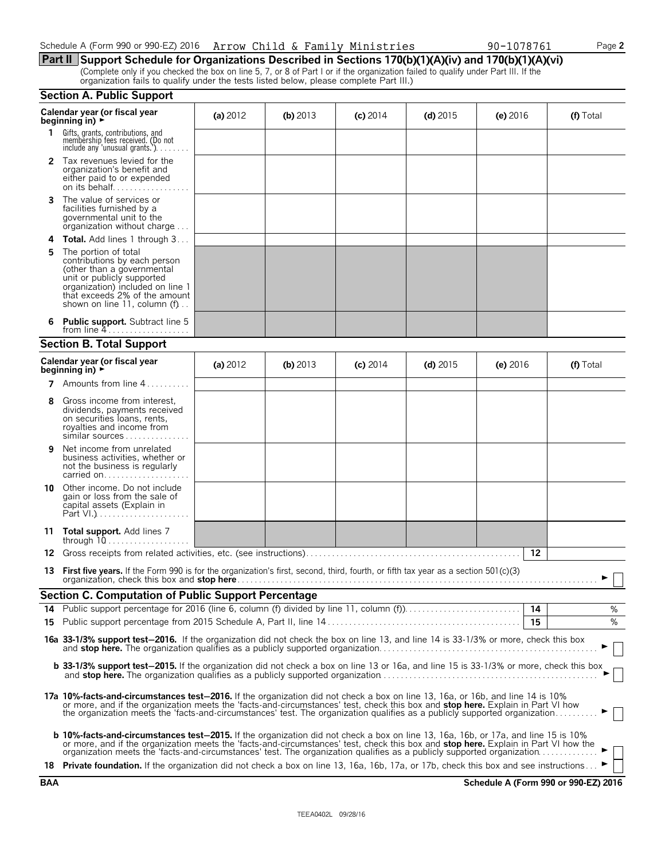| Schedule A (Form 990 or 990-EZ) 2016 Arrow Child & Family Ministries |  |  | 90-1078761 | Page 2 |
|----------------------------------------------------------------------|--|--|------------|--------|
|----------------------------------------------------------------------|--|--|------------|--------|

## **Part II Support Schedule for Organizations Described in Sections 170(b)(1)(A)(iv) and 170(b)(1)(A)(vi)**

(Complete only if you checked the box on line 5, 7, or 8 of Part I or if the organization failed to qualify under Part III. If the organization fails to qualify under the tests listed below, please complete Part III.)

|     | <b>Section A. Public Support</b>                                                                                                                                                                                                                                                                                                                                           |            |            |            |            |            |           |
|-----|----------------------------------------------------------------------------------------------------------------------------------------------------------------------------------------------------------------------------------------------------------------------------------------------------------------------------------------------------------------------------|------------|------------|------------|------------|------------|-----------|
|     | Calendar year (or fiscal year<br>beginning in) ►                                                                                                                                                                                                                                                                                                                           | (a) $2012$ | (b) 2013   | $(c)$ 2014 | $(d)$ 2015 | $(e)$ 2016 | (f) Total |
| 1.  | Gifts, grants, contributions, and<br>membership fees received. (Do not<br>include any 'unusual grants.'). $\dots$                                                                                                                                                                                                                                                          |            |            |            |            |            |           |
|     | <b>2</b> Tax revenues levied for the<br>organization's benefit and<br>either paid to or expended<br>on its behalf                                                                                                                                                                                                                                                          |            |            |            |            |            |           |
| 3   | The value of services or<br>facilities furnished by a<br>governmental unit to the<br>organization without charge                                                                                                                                                                                                                                                           |            |            |            |            |            |           |
| 4   | <b>Total.</b> Add lines 1 through 3                                                                                                                                                                                                                                                                                                                                        |            |            |            |            |            |           |
| 5   | The portion of total<br>contributions by each person<br>(other than a governmental<br>unit or publicly supported<br>organization) included on line 1<br>that exceeds 2% of the amount<br>shown on line 11, column $(f)$                                                                                                                                                    |            |            |            |            |            |           |
|     | <b>Public support.</b> Subtract line 5<br>from line $4$                                                                                                                                                                                                                                                                                                                    |            |            |            |            |            |           |
|     | <b>Section B. Total Support</b>                                                                                                                                                                                                                                                                                                                                            |            |            |            |            |            |           |
|     | Calendar year (or fiscal year<br>beginning in) $\rightarrow$                                                                                                                                                                                                                                                                                                               | (a) $2012$ | (b) $2013$ | $(c)$ 2014 | (d) $2015$ | (e) $2016$ | (f) Total |
|     | 7 Amounts from line 4.<br>in sa sa s                                                                                                                                                                                                                                                                                                                                       |            |            |            |            |            |           |
| 8   | Gross income from interest,<br>dividends, payments received<br>on securities loans, rents,<br>royalties and income from<br>similar sources                                                                                                                                                                                                                                 |            |            |            |            |            |           |
| 9   | Net income from unrelated<br>business activities, whether or<br>not the business is regularly<br>carried on                                                                                                                                                                                                                                                                |            |            |            |            |            |           |
| 10. | Other income. Do not include<br>gain or loss from the sale of<br>capital assets (Explain in                                                                                                                                                                                                                                                                                |            |            |            |            |            |           |
| 11  | <b>Total support.</b> Add lines 7                                                                                                                                                                                                                                                                                                                                          |            |            |            |            |            |           |
| 12  |                                                                                                                                                                                                                                                                                                                                                                            |            |            |            |            | 12         |           |
| 13  | <b>First five years.</b> If the Form 990 is for the organization's first, second, third, fourth, or fifth tax year as a section $501(c)(3)$                                                                                                                                                                                                                                |            |            |            |            |            | ► □       |
|     | <b>Section C. Computation of Public Support Percentage</b>                                                                                                                                                                                                                                                                                                                 |            |            |            |            |            |           |
|     | 14 Public support percentage for 2016 (line 6, column (f) divided by line 11, column (f)                                                                                                                                                                                                                                                                                   |            |            |            |            | 14         | %         |
|     |                                                                                                                                                                                                                                                                                                                                                                            |            |            |            |            | 15         | %         |
|     | 16a 33-1/3% support test-2016. If the organization did not check the box on line 13, and line 14 is 33-1/3% or more, check this box                                                                                                                                                                                                                                        |            |            |            |            |            |           |
|     | <b>b 33-1/3% support test-2015.</b> If the organization did not check a box on line 13 or 16a, and line 15 is 33-1/3% or more, check this box                                                                                                                                                                                                                              |            |            |            |            |            |           |
|     | 17a 10%-facts-and-circumstances test-2016. If the organization did not check a box on line 13, 16a, or 16b, and line 14 is 10%<br>or more, and if the organization meets the 'facts-and-circumstances' test, check this box and stop here. Explain in Part VI how the organization meets the 'facts-and-circumstances' test. The organization qualifies as a pub           |            |            |            |            |            |           |
|     | <b>b 10%-facts-and-circumstances test-2015.</b> If the organization did not check a box on line 13, 16a, 16b, or 17a, and line 15 is 10%<br>or more, and if the organization meets the 'facts-and-circumstances' test, check this box and stop here. Explain in Part VI how the organization meets the 'facts-and-circumstances' test. The organization qualifies as a pub |            |            |            |            |            |           |
|     | 18 Private foundation. If the organization did not check a box on line 13, 16a, 16b, 17a, or 17b, check this box and see instructions                                                                                                                                                                                                                                      |            |            |            |            |            |           |

**BAA Schedule A (Form 990 or 990-EZ) 2016**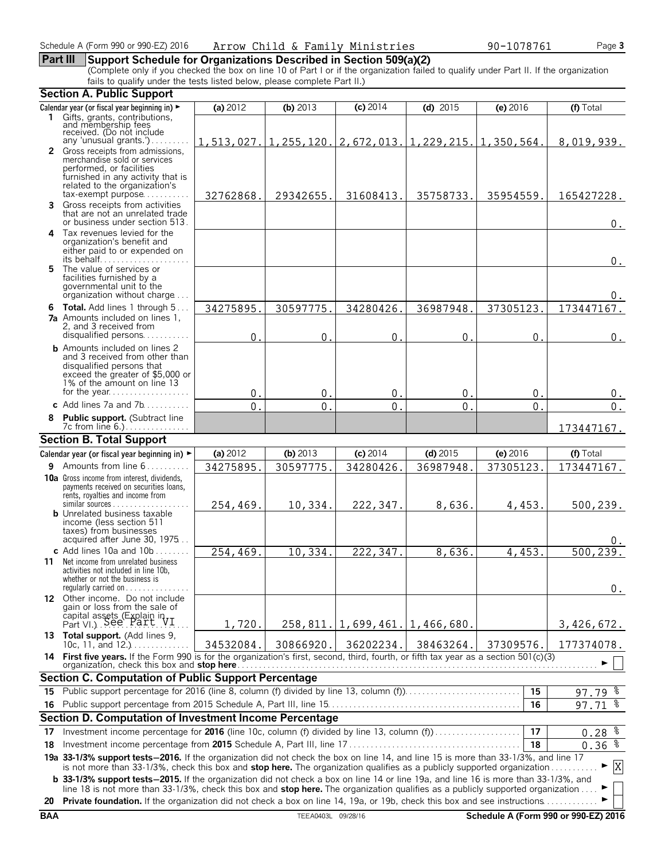#### **Part III Support Schedule for Organizations Described in Section 509(a)(2)**

(Complete only if you checked the box on line 10 of Part I or if the organization failed to qualify under Part II. If the organization fails to qualify under the tests listed below, please complete Part II.)

|    | <b>Section A. Public Support</b>                                                                                                                                                                                                                                      |              |              |                                                                            |               |                |                   |
|----|-----------------------------------------------------------------------------------------------------------------------------------------------------------------------------------------------------------------------------------------------------------------------|--------------|--------------|----------------------------------------------------------------------------|---------------|----------------|-------------------|
|    | Calendar year (or fiscal year beginning in) ►                                                                                                                                                                                                                         | (a) 2012     | (b) $2013$   | (c) 2014                                                                   | $(d)$ 2015    | (e) 2016       | (f) Total         |
|    | 1 Gifts, grants, contributions,<br>and membership fees<br>received. (Do not include                                                                                                                                                                                   |              |              |                                                                            |               |                |                   |
|    |                                                                                                                                                                                                                                                                       |              |              |                                                                            |               |                |                   |
|    | any 'unusual grants.')<br>2 Gross receipts from admissions,                                                                                                                                                                                                           |              |              | $1, 513, 027.   1, 255, 120.   2, 672, 013.   1, 229, 215.   1, 350, 564.$ |               |                | 8,019,939.        |
|    | merchandise sold or services                                                                                                                                                                                                                                          |              |              |                                                                            |               |                |                   |
|    | performed, or facilities                                                                                                                                                                                                                                              |              |              |                                                                            |               |                |                   |
|    | furnished in any activity that is<br>related to the organization's                                                                                                                                                                                                    |              |              |                                                                            |               |                |                   |
|    | $tax\text{-}exempt$ purpose                                                                                                                                                                                                                                           | 32762868.    | 29342655.    | 31608413.                                                                  | 35758733.     | 35954559.      | 165427228.        |
| 3  | Gross receipts from activities                                                                                                                                                                                                                                        |              |              |                                                                            |               |                |                   |
|    | that are not an unrelated trade<br>or business under section 513.                                                                                                                                                                                                     |              |              |                                                                            |               |                | 0.                |
|    | 4 Tax revenues levied for the                                                                                                                                                                                                                                         |              |              |                                                                            |               |                |                   |
|    | organization's benefit and                                                                                                                                                                                                                                            |              |              |                                                                            |               |                |                   |
|    | either paid to or expended on                                                                                                                                                                                                                                         |              |              |                                                                            |               |                | 0.                |
|    | 5 The value of services or                                                                                                                                                                                                                                            |              |              |                                                                            |               |                |                   |
|    | facilities furnished by a<br>governmental unit to the                                                                                                                                                                                                                 |              |              |                                                                            |               |                |                   |
|    | organization without charge                                                                                                                                                                                                                                           |              |              |                                                                            |               |                | 0.                |
|    | 6 Total. Add lines 1 through 5                                                                                                                                                                                                                                        | 34275895.    | 30597775     | 34280426.                                                                  | 36987948.     | 37305123.      | 173447167.        |
|    | <b>7a</b> Amounts included on lines 1,                                                                                                                                                                                                                                |              |              |                                                                            |               |                |                   |
|    | 2, and 3 received from<br>disqualified persons                                                                                                                                                                                                                        | $\mathbf{0}$ | $\mathbf{0}$ | $\mathbf{0}$ .                                                             | $\mathbf 0$ . | $\mathbf{0}$ . |                   |
|    | <b>b</b> Amounts included on lines 2                                                                                                                                                                                                                                  |              |              |                                                                            |               |                | $0$ .             |
|    | and 3 received from other than                                                                                                                                                                                                                                        |              |              |                                                                            |               |                |                   |
|    | disqualified persons that<br>exceed the greater of \$5,000 or                                                                                                                                                                                                         |              |              |                                                                            |               |                |                   |
|    | 1% of the amount on line 13                                                                                                                                                                                                                                           |              |              |                                                                            |               |                |                   |
|    | for the year                                                                                                                                                                                                                                                          | 0.           | $\mathbf{0}$ | $\mathbf 0$ .                                                              | $\mathbf{0}$  | 0.             | 0.                |
|    | c Add lines $7a$ and $7b$                                                                                                                                                                                                                                             | $\Omega$     | $\mathbf 0$  | $\mathbf 0$                                                                | $\mathbf 0$   | $\overline{0}$ | 0.                |
|    | Public support. (Subtract line<br>7c from line 6.).                                                                                                                                                                                                                   |              |              |                                                                            |               |                |                   |
|    | <b>Section B. Total Support</b>                                                                                                                                                                                                                                       |              |              |                                                                            |               |                | 173447167.        |
|    | Calendar year (or fiscal year beginning in) $\blacktriangleright$                                                                                                                                                                                                     | (a) 2012     | (b) 2013     | $(c)$ 2014                                                                 | $(d)$ 2015    | (e) 2016       | (f) Total         |
|    | <b>9</b> Amounts from line $6, \ldots, \ldots$                                                                                                                                                                                                                        | 34275895.    | 30597775.    | 34280426.                                                                  | 36987948.     |                |                   |
|    | 10a Gross income from interest, dividends,                                                                                                                                                                                                                            |              |              |                                                                            |               | 37305123.      | 173447167.        |
|    | payments received on securities loans,                                                                                                                                                                                                                                |              |              |                                                                            |               |                |                   |
|    | rents, royalties and income from<br>$similar$ sources                                                                                                                                                                                                                 |              |              |                                                                            |               |                |                   |
|    | <b>b</b> Unrelated business taxable                                                                                                                                                                                                                                   | 254,469.     | 10,334.      | 222,347.                                                                   | 8,636.        | 4,453.         | 500, 239.         |
|    | income (less section 511                                                                                                                                                                                                                                              |              |              |                                                                            |               |                |                   |
|    | taxes) from businesses<br>acquired after June 30, 1975                                                                                                                                                                                                                |              |              |                                                                            |               |                |                   |
|    | c Add lines 10a and $10b$                                                                                                                                                                                                                                             | 254,469.     | 10,334.      | $2\overline{22, 347}$ .                                                    | 8,636.        | 4,453.         | 500,239.          |
|    | <b>11</b> Net income from unrelated business                                                                                                                                                                                                                          |              |              |                                                                            |               |                |                   |
|    | activities not included in line 10b,<br>whether or not the business is                                                                                                                                                                                                |              |              |                                                                            |               |                |                   |
|    | regularly carried on $\dots\dots\dots\dots$                                                                                                                                                                                                                           |              |              |                                                                            |               |                | 0.                |
|    | 12 Other income. Do not include                                                                                                                                                                                                                                       |              |              |                                                                            |               |                |                   |
|    | gain or loss from the sale of                                                                                                                                                                                                                                         |              |              |                                                                            |               |                |                   |
|    | capital assets (Explain in Part VI.) See Part                                                                                                                                                                                                                         | 1,720.       |              | $258, 811.   1, 699, 461.   1, 466, 680.$                                  |               |                | 3,426,672.        |
|    | 13 Total support. (Add lines 9,<br>10c, 11, and $12.$ )                                                                                                                                                                                                               | 34532084.    | 30866920.    | 36202234.                                                                  | 38463264.     | 37309576.      | 177374078.        |
|    | 14 First five years. If the Form 990 is for the organization's first, second, third, fourth, or fifth tax year as a section 501(c)(3)                                                                                                                                 |              |              |                                                                            |               |                |                   |
|    | organization, check this box and stop here.                                                                                                                                                                                                                           |              |              |                                                                            |               |                |                   |
|    | <b>Section C. Computation of Public Support Percentage</b>                                                                                                                                                                                                            |              |              |                                                                            |               |                |                   |
| 15 | Public support percentage for 2016 (line 8, column (f) divided by line 13, column (f)                                                                                                                                                                                 |              |              |                                                                            |               | 15             | $97.79$ $%$       |
|    |                                                                                                                                                                                                                                                                       |              |              |                                                                            |               | 16             | ႜ<br>97.71        |
|    | Section D. Computation of Investment Income Percentage                                                                                                                                                                                                                |              |              |                                                                            |               |                |                   |
| 17 | Investment income percentage for 2016 (line 10c, column (f) divided by line 13, column (f)                                                                                                                                                                            |              |              |                                                                            |               | 17             | $0.28$ $%$        |
| 18 |                                                                                                                                                                                                                                                                       |              |              |                                                                            |               | 18             | $0.36\frac{2}{3}$ |
|    | 19a 33-1/3% support tests-2016. If the organization did not check the box on line 14, and line 15 is more than 33-1/3%, and line 17                                                                                                                                   |              |              |                                                                            |               |                | X                 |
|    | is not more than 33-1/3%, check this box and stop here. The organization qualifies as a publicly supported organization<br><b>b</b> 33-1/3% support tests-2015. If the organization did not check a box on line 14 or line 19a, and line 16 is more than 33-1/3%, and |              |              |                                                                            |               |                |                   |
|    | line 18 is not more than 33-1/3%, check this box and stop here. The organization qualifies as a publicly supported organization                                                                                                                                       |              |              |                                                                            |               |                |                   |
|    | 20 Private foundation. If the organization did not check a box on line 14, 19a, or 19b, check this box and see instructions                                                                                                                                           |              |              |                                                                            |               |                |                   |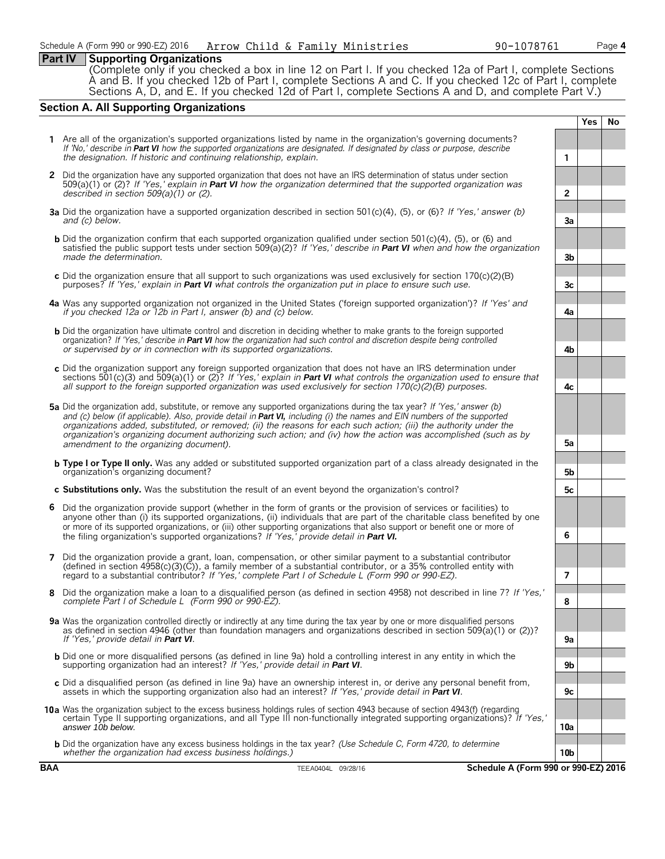#### **Part IV Supporting Organizations**

(Complete only if you checked a box in line 12 on Part I. If you checked 12a of Part I, complete Sections A and B. If you checked 12b of Part I, complete Sections A and C. If you checked 12c of Part I, complete Sections A, D, and E. If you checked 12d of Part I, complete Sections A and D, and complete Part V.)

#### **Section A. All Supporting Organizations**

**Yes No 1** Are all of the organization's supported organizations listed by name in the organization's governing documents? *If 'No,' describe in Part VI how the supported organizations are designated. If designated by class or purpose, describe the designation. If historic and continuing relationship, explain.* **1 2** Did the organization have any supported organization that does not have an IRS determination of status under section 509(a)(1) or (2)? *If 'Yes,' explain in Part VI how the organization determined that the supported organization was described in section 509(a)(1) or (2).* **2 a3** Did the organization have a supported organization described in section 501(c)(4), (5), or (6)? *If 'Yes,' answer (b) and (c) below.* **3a b** Did the organization confirm that each supported organization qualified under section 501(c)(4), (5), or (6) and satisfied the public support tests under section 509(a)(2)? *If 'Yes,' describe in Part VI when and how the organization made the determination.* **3b c** Did the organization ensure that all support to such organizations was used exclusively for section 170(c)(2)(B) purposes? *If 'Yes,' explain in Part VI what controls the organization put in place to ensure such use.*  $\begin{bmatrix} 1 & 3c \\ 2 & 1 \end{bmatrix}$  *3* **a4** Was any supported organization not organized in the United States ('foreign supported organization')? *If 'Yes' and if you checked 12a or 12b in Part I, answer (b) and (c) below.* **a** and the set of the set of the set of the **4a b** Did the organization have ultimate control and discretion in deciding whether to make grants to the foreign supported organization? *If 'Yes,' describe in Part VI how the organization had such control and discretion despite being controlled or supervised by or in connection with its supported organizations.* **4b c** Did the organization support any foreign supported organization that does not have an IRS determination under sections 501(c)(3) and 509(a)(1) or (2)? *If 'Yes,' explain in Part VI what controls the organization used to ensure that all support to the foreign supported organization was used exclusively for section 170(c)(2)(B) purposes.* **4c 5a** Did the organization add, substitute, or remove any supported organizations during the tax year? *If 'Yes,' answer (b) and (c) below (if applicable). Also, provide detail in Part VI, including (i) the names and EIN numbers of the supported organizations added, substituted, or removed; (ii) the reasons for each such action; (iii) the authority under the organization's organizing document authorizing such action; and (iv) how the action was accomplished (such as by* amendment to the organizing document). **Same in the organizing document** (see also see also see also see also see also see also see also see also see also see also see also see also see also see also see also see also see **b Type I or Type II only.** Was any added or substituted supported organization part of a class already designated in the organization's organizing document? **5b c Substitutions only.** Was the substitution the result of an event beyond the organization's control? **5 6** Did the organization provide support (whether in the form of grants or the provision of services or facilities) to anyone other than (i) its supported organizations, (ii) individuals that are part of the charitable class benefited by one or more of its supported organizations, or (iii) other supporting organizations that also support or benefit one or more of the filing organization's supported organizations? *If 'Yes,' provide detail in Part VI.* **6 7** Did the organization provide a grant, loan, compensation, or other similar payment to a substantial contributor (defined in section 4958(c)(3)(C)), a family member of a substantial contributor, or a 35% controlled entity with regard to a substantial contributor? *If 'Yes,' complete Part I of Schedule L (Form 990 or 990-EZ).* **7 8** Did the organization make a loan to a disqualified person (as defined in section 4958) not described in line 7? *If 'Yes,' complete Part I of Schedule L (Form 990 or 990-EZ).* **8 9a** Was the organization controlled directly or indirectly at any time during the tax year by one or more disqualified persons as defined in section 4946 (other than foundation managers and organizations described in section 509(a)(1) or (2))? *If 'Yes,' provide detail in Part VI*. b Did one or more disqualified persons (as defined in line 9a) hold a controlling interest in any entity in which the<br>supporting organization had an interest? If 'Yes,' provide detail in Part VI. **c** Did a disqualified person (as defined in line 9a) have an ownership interest in, or derive any personal benefit from, assets in which the supporting organization also had an interest? *If 'Yes,' provide detail in Part VI.* **c c 9c 10a** Was the organization subject to the excess business holdings rules of section 4943 because of section 4943(f) (regarding certain Type II supporting organizations, and all Type III non-functionally integrated supporting organizations)? *If 'Yes,' answer 10b below.* **10a b** Did the organization have any excess business holdings in the tax year? *(Use Schedule C, Form 4720, to determine whether the organization had excess business holdings.)* **10b**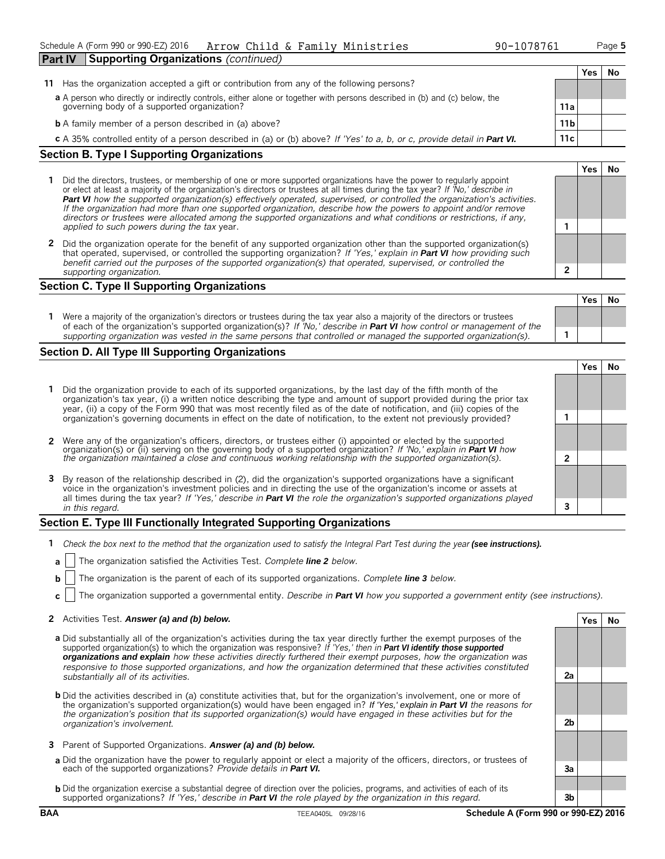| 90-1078761 |  |
|------------|--|
|------------|--|

**Yes No**

**Yes No**

| <b>Part IV</b> | <b>Supporting Organizations</b> (continued)                                                                                                                              |                 |     |    |
|----------------|--------------------------------------------------------------------------------------------------------------------------------------------------------------------------|-----------------|-----|----|
|                |                                                                                                                                                                          |                 | Yes | Νo |
| 11             | Has the organization accepted a gift or contribution from any of the following persons?                                                                                  |                 |     |    |
|                | a A person who directly or indirectly controls, either alone or together with persons described in (b) and (c) below, the<br>governing body of a supported organization? | 11a             |     |    |
|                | <b>b</b> A family member of a person described in (a) above?                                                                                                             | 11 <sub>b</sub> |     |    |
|                | c A 35% controlled entity of a person described in (a) or (b) above? If 'Yes' to a, b, or c, provide detail in Part VI.                                                  | 11c             |     |    |
| ~              | $\sim$                                                                                                                                                                   |                 |     |    |

#### **Section B. Type I Supporting Organizations**

- **1** Did the directors, trustees, or membership of one or more supported organizations have the power to regularly appoint or elect at least a majority of the organization's directors or trustees at all times during the tax year? *If 'No,' describe in Part VI how the supported organization(s) effectively operated, supervised, or controlled the organization's activities. If the organization had more than one supported organization, describe how the powers to appoint and/or remove directors or trustees were allocated among the supported organizations and what conditions or restrictions, if any, applied to such powers during the tax* year. **1**
- **2** Did the organization operate for the benefit of any supported organization other than the supported organization(s) that operated, supervised, or controlled the supporting organization? *If 'Yes,' explain in Part VI how providing such benefit carried out the purposes of the supported organization(s) that operated, supervised, or controlled the supporting organization.* **2**

#### **Section C. Type II Supporting Organizations**

|                                                                                                                                                                                                                                                               | . |  |
|---------------------------------------------------------------------------------------------------------------------------------------------------------------------------------------------------------------------------------------------------------------|---|--|
| Were a majority of the organization's directors or trustees during the tax year also a majority of the directors or trustees<br>of each of the organization's supported organization(s)? If 'No,' describe in <b>Part VI</b> how control or management of the |   |  |
| supporting organization was vested in the same persons that controlled or managed the supported organization(s).                                                                                                                                              |   |  |

#### **Section D. All Type III Supporting Organizations**

|                                                                                                                                                                                                                                                                                                                                                                     |  | 'es |  |  |  |  |
|---------------------------------------------------------------------------------------------------------------------------------------------------------------------------------------------------------------------------------------------------------------------------------------------------------------------------------------------------------------------|--|-----|--|--|--|--|
| 1 Did the organization provide to each of its supported organizations, by the last day of the fifth month of the<br>organization's tax year, (i) a written notice describing the type and amount of support provided during the prior tax<br>year, (ii) a copy of the Form 990 that was most recently filed as of the date of notification, and (iii) copies of the |  |     |  |  |  |  |
| organization's governing documents in effect on the date of notification, to the extent not previously provided?                                                                                                                                                                                                                                                    |  |     |  |  |  |  |
|                                                                                                                                                                                                                                                                                                                                                                     |  |     |  |  |  |  |
| 2 Were any of the organization's officers, directors, or trustees either (i) appointed or elected by the supported<br>organization(s) or (ii) serving on the governing body of a supported organization? If 'No,' explain in Part VI how                                                                                                                            |  |     |  |  |  |  |
| the organization maintained a close and continuous working relationship with the supported organization(s).                                                                                                                                                                                                                                                         |  |     |  |  |  |  |
|                                                                                                                                                                                                                                                                                                                                                                     |  |     |  |  |  |  |
| 3 By reason of the relationship described in (2), did the organization's supported organizations have a significant<br>voice in the organization's investment policies and in directing the use of the organization's income or assets at                                                                                                                           |  |     |  |  |  |  |
| all times during the tax year? If 'Yes,' describe in <b>Part VI</b> the role the organization's supported organizations played                                                                                                                                                                                                                                      |  |     |  |  |  |  |
| in this regard.                                                                                                                                                                                                                                                                                                                                                     |  |     |  |  |  |  |

#### **Section E. Type III Functionally Integrated Supporting Organizations**

- **1** *Check the box next to the method that the organization used to satisfy the Integral Part Test during the year (see instructions).* 
	- **a** The organization satisfied the Activities Test. *Complete line 2 below.*
	- **b** The organization is the parent of each of its supported organizations. *Complete line* 3 *below*.
	- **c** The organization supported a governmental entity. *Describe in Part VI how you supported a government entity (see instructions).*

#### **2** Activities Test. *Answer (a) and (b) below.* **Yes No**

- **a** Did substantially all of the organization's activities during the tax year directly further the exempt purposes of the supported organization(s) to which the organization was responsive? *If 'Yes,' then in Part VI identify those supported organizations and explain how these activities directly furthered their exempt purposes, how the organization was responsive to those supported organizations, and how the organization determined that these activities constituted substantially all of its activities.* **a2**
- **b** Did the activities described in (a) constitute activities that, but for the organization's involvement, one or more of the organization's supported organization(s) would have been engaged in? *If 'Yes,' explain in Part VI the reasons for the organization's position that its supported organization(s) would have engaged in these activities but for the organization's involvement.* **b2**
- **3** Parent of Supported Organizations. *Answer (a) and (b) below.*
- **a** Did the organization have the power to regularly appoint or elect a majority of the officers, directors, or trustees of each of the supported organizations? *Provide details in Part VI.* **a3**
- **b** Did the organization exercise a substantial degree of direction over the policies, programs, and activities of each of its supported organizations? *If 'Yes,' describe in Part VI the role played by the organization in this regard.* **3b**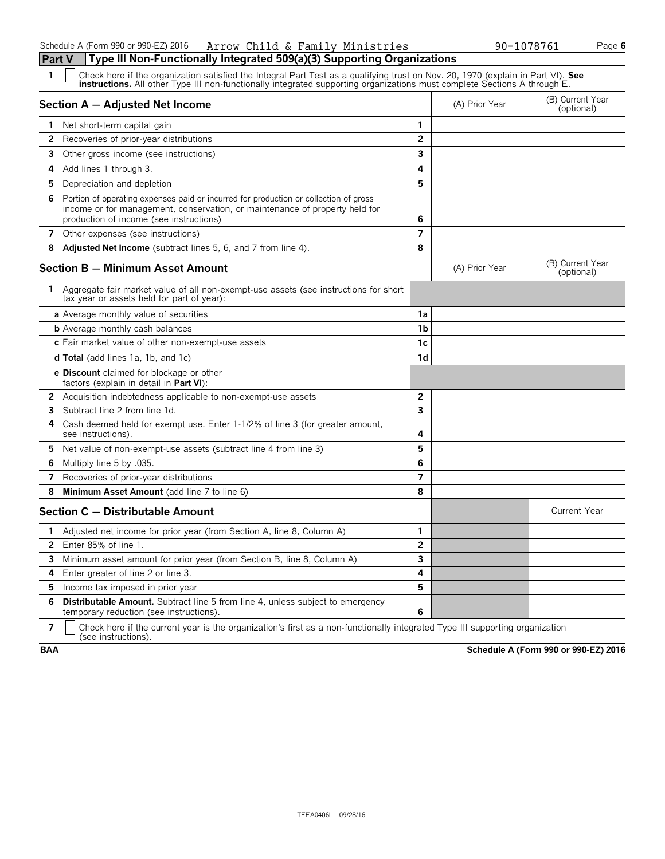| 1              | Check here if the organization satisfied the Integral Part Test as a qualifying trust on Nov. 20, 1970 (explain in Part VI). See<br><b>instructions.</b> All other Type III non-functionally integrated supporting organizations must complete Sections A through E. |                |                |                                |
|----------------|----------------------------------------------------------------------------------------------------------------------------------------------------------------------------------------------------------------------------------------------------------------------|----------------|----------------|--------------------------------|
|                | Section A - Adjusted Net Income                                                                                                                                                                                                                                      |                | (A) Prior Year | (B) Current Year<br>(optional) |
|                | <b>1</b> Net short-term capital gain                                                                                                                                                                                                                                 | 1              |                |                                |
| $\mathbf{2}$   | Recoveries of prior-year distributions                                                                                                                                                                                                                               | $\overline{2}$ |                |                                |
| 3              | Other gross income (see instructions)                                                                                                                                                                                                                                | 3              |                |                                |
| 4              | Add lines 1 through 3.                                                                                                                                                                                                                                               | 4              |                |                                |
| 5.             | Depreciation and depletion                                                                                                                                                                                                                                           | 5              |                |                                |
| 6              | Portion of operating expenses paid or incurred for production or collection of gross<br>income or for management, conservation, or maintenance of property held for<br>production of income (see instructions)                                                       | 6              |                |                                |
|                | 7 Other expenses (see instructions)                                                                                                                                                                                                                                  | $\overline{7}$ |                |                                |
| 8              | Adjusted Net Income (subtract lines 5, 6, and 7 from line 4).                                                                                                                                                                                                        | 8              |                |                                |
|                | Section B - Minimum Asset Amount                                                                                                                                                                                                                                     |                | (A) Prior Year | (B) Current Year<br>(optional) |
|                | 1 Aggregate fair market value of all non-exempt-use assets (see instructions for short<br>tax year or assets held for part of year):                                                                                                                                 |                |                |                                |
|                | a Average monthly value of securities                                                                                                                                                                                                                                | 1a             |                |                                |
|                | <b>b</b> Average monthly cash balances                                                                                                                                                                                                                               | 1b             |                |                                |
|                | c Fair market value of other non-exempt-use assets                                                                                                                                                                                                                   | 1c             |                |                                |
|                | <b>d Total</b> (add lines 1a, 1b, and 1c)                                                                                                                                                                                                                            | 1 <sub>d</sub> |                |                                |
|                | <b>e Discount</b> claimed for blockage or other<br>factors (explain in detail in <b>Part VI</b> ):                                                                                                                                                                   |                |                |                                |
| $\mathbf{2}$   | Acquisition indebtedness applicable to non-exempt-use assets                                                                                                                                                                                                         | $\overline{2}$ |                |                                |
| 3              | Subtract line 2 from line 1d.                                                                                                                                                                                                                                        | 3              |                |                                |
| 4              | Cash deemed held for exempt use. Enter 1-1/2% of line 3 (for greater amount,<br>see instructions).                                                                                                                                                                   | 4              |                |                                |
| 5.             | Net value of non-exempt-use assets (subtract line 4 from line 3)                                                                                                                                                                                                     | 5              |                |                                |
| 6              | Multiply line 5 by .035.                                                                                                                                                                                                                                             | 6              |                |                                |
| 7              | Recoveries of prior-year distributions                                                                                                                                                                                                                               | $\overline{7}$ |                |                                |
| 8              | Minimum Asset Amount (add line 7 to line 6)                                                                                                                                                                                                                          | 8              |                |                                |
|                | Section C - Distributable Amount                                                                                                                                                                                                                                     |                |                | <b>Current Year</b>            |
| 1              | Adjusted net income for prior year (from Section A, line 8, Column A)                                                                                                                                                                                                | $\mathbf{1}$   |                |                                |
| $\overline{2}$ | Enter 85% of line 1.                                                                                                                                                                                                                                                 | $\overline{2}$ |                |                                |
| 3              | Minimum asset amount for prior year (from Section B, line 8, Column A)                                                                                                                                                                                               | 3              |                |                                |
| 4              | Enter greater of line 2 or line 3.                                                                                                                                                                                                                                   | 4              |                |                                |
| 5              | Income tax imposed in prior year                                                                                                                                                                                                                                     | 5              |                |                                |
| 6              | <b>Distributable Amount.</b> Subtract line 5 from line 4, unless subject to emergency<br>temporary reduction (see instructions).                                                                                                                                     | 6              |                |                                |

**7**  $\mid$  Check here if the current year is the organization's first as a non-functionally integrated Type III supporting organization (see instructions).

**BAA Schedule A (Form 990 or 990-EZ) 2016**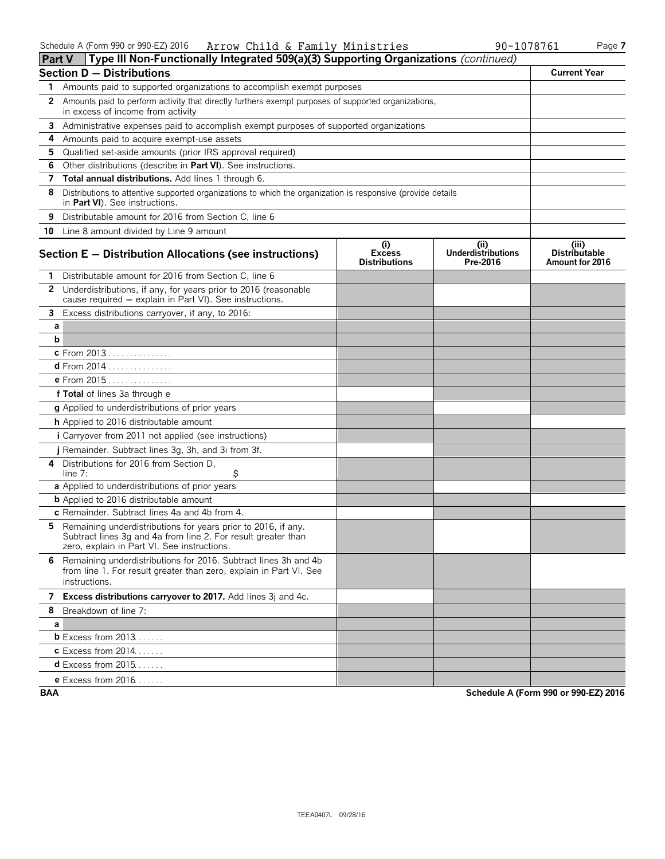| <b>Part V</b> | Type III Non-Functionally Integrated 509(a)(3) Supporting Organizations (continued)                                                                                           |                                              |                                              |                                                  |
|---------------|-------------------------------------------------------------------------------------------------------------------------------------------------------------------------------|----------------------------------------------|----------------------------------------------|--------------------------------------------------|
|               | <b>Section D - Distributions</b>                                                                                                                                              |                                              |                                              | <b>Current Year</b>                              |
|               | Amounts paid to supported organizations to accomplish exempt purposes                                                                                                         |                                              |                                              |                                                  |
| $\mathbf{2}$  | Amounts paid to perform activity that directly furthers exempt purposes of supported organizations,<br>in excess of income from activity                                      |                                              |                                              |                                                  |
| 3             | Administrative expenses paid to accomplish exempt purposes of supported organizations                                                                                         |                                              |                                              |                                                  |
| 4             | Amounts paid to acquire exempt-use assets                                                                                                                                     |                                              |                                              |                                                  |
| 5.            | Qualified set-aside amounts (prior IRS approval required)                                                                                                                     |                                              |                                              |                                                  |
| 6             | Other distributions (describe in Part VI). See instructions.                                                                                                                  |                                              |                                              |                                                  |
| 7             | Total annual distributions. Add lines 1 through 6.                                                                                                                            |                                              |                                              |                                                  |
| 8             | Distributions to attentive supported organizations to which the organization is responsive (provide details<br>in Part VI). See instructions.                                 |                                              |                                              |                                                  |
| 9             | Distributable amount for 2016 from Section C, line 6                                                                                                                          |                                              |                                              |                                                  |
|               | 10 Line 8 amount divided by Line 9 amount                                                                                                                                     |                                              |                                              |                                                  |
|               | Section $E -$ Distribution Allocations (see instructions)                                                                                                                     | (i)<br><b>Excess</b><br><b>Distributions</b> | (i)<br><b>Underdistributions</b><br>Pre-2016 | (iii)<br><b>Distributable</b><br>Amount for 2016 |
| 1.            | Distributable amount for 2016 from Section C, line 6                                                                                                                          |                                              |                                              |                                                  |
|               | 2 Underdistributions, if any, for years prior to 2016 (reasonable<br>cause required - explain in Part VI). See instructions.                                                  |                                              |                                              |                                                  |
| 3             | Excess distributions carryover, if any, to 2016:                                                                                                                              |                                              |                                              |                                                  |
| а             |                                                                                                                                                                               |                                              |                                              |                                                  |
| b             |                                                                                                                                                                               |                                              |                                              |                                                  |
|               | c From 2013                                                                                                                                                                   |                                              |                                              |                                                  |
|               | d From 2014                                                                                                                                                                   |                                              |                                              |                                                  |
|               | e From 2015                                                                                                                                                                   |                                              |                                              |                                                  |
|               | f Total of lines 3a through e                                                                                                                                                 |                                              |                                              |                                                  |
|               | g Applied to underdistributions of prior years                                                                                                                                |                                              |                                              |                                                  |
|               | h Applied to 2016 distributable amount                                                                                                                                        |                                              |                                              |                                                  |
|               | <i>i</i> Carryover from 2011 not applied (see instructions)                                                                                                                   |                                              |                                              |                                                  |
|               | j Remainder. Subtract lines 3g, 3h, and 3i from 3f.                                                                                                                           |                                              |                                              |                                                  |
| 4             | Distributions for 2016 from Section D.<br>\$<br>line 7:                                                                                                                       |                                              |                                              |                                                  |
|               | a Applied to underdistributions of prior years                                                                                                                                |                                              |                                              |                                                  |
|               | <b>b</b> Applied to 2016 distributable amount                                                                                                                                 |                                              |                                              |                                                  |
|               | c Remainder. Subtract lines 4a and 4b from 4.                                                                                                                                 |                                              |                                              |                                                  |
| 5.            | Remaining underdistributions for years prior to 2016, if any.<br>Subtract lines 3g and 4a from line 2. For result greater than<br>zero, explain in Part VI. See instructions. |                                              |                                              |                                                  |
|               | 6 Remaining underdistributions for 2016. Subtract lines 3h and 4b<br>from line 1. For result greater than zero, explain in Part VI. See<br>instructions.                      |                                              |                                              |                                                  |
|               | 7 Excess distributions carryover to 2017. Add lines 3j and 4c.                                                                                                                |                                              |                                              |                                                  |
|               | 8 Breakdown of line 7:                                                                                                                                                        |                                              |                                              |                                                  |
| a             |                                                                                                                                                                               |                                              |                                              |                                                  |
|               | <b>b</b> Excess from 2013                                                                                                                                                     |                                              |                                              |                                                  |
|               | <b>c</b> Excess from 2014                                                                                                                                                     |                                              |                                              |                                                  |
|               | <b>d</b> Excess from $2015$                                                                                                                                                   |                                              |                                              |                                                  |
|               | <b>e</b> Excess from 2016                                                                                                                                                     |                                              |                                              |                                                  |

**BAA Schedule A (Form 990 or 990-EZ) 2016**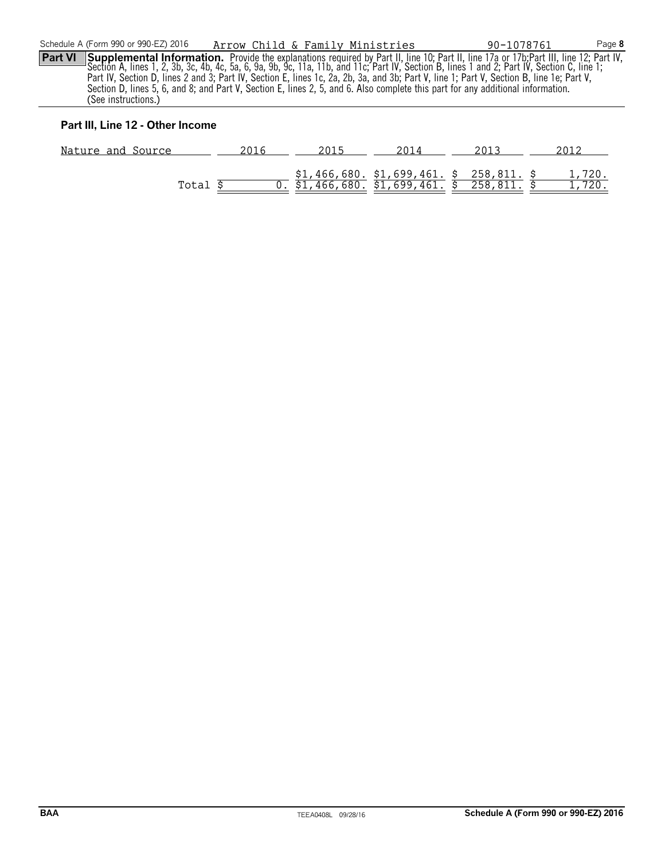**Part VI** Supplemental Information. Provide the explanations required by Part II, line 10; Part II, line 17a or 17b; Part III, line 12; Part IV, Section A, lines 1, 2, 3b, 3c, 4b, 4c, 5a, 6, 9a, 9b, 9c, 11a, 11b, and 11c; Part IV, Section B, lines 1 and 2; Part IV, Section C, line 1; Part IV, Section D, lines 2 and 3; Part IV, Section E, lines 1c, 2a, 2b, 3a, and 3b; Part V, line 1; Part V, Section B, line 1e; Part V, Section D, lines 5, 6, and 8; and Part V, Section E, lines 2, 5, and 6. Also complete this part for any additional information. (See instructions.)

#### **Part III, Line 12 - Other Income**

| Nature and Source |  | 2014                                                                                                                             |                        |
|-------------------|--|----------------------------------------------------------------------------------------------------------------------------------|------------------------|
| Total             |  | $\frac{$1,466,680}{0.}$ $\frac{$1,466,680}{1,466,680}$ . $\frac{$1,699,461}{0.}$ . $\frac{$258,811}{0.}$ . $\frac{$258,811}{0.}$ | $\frac{1,720}{,720}$ . |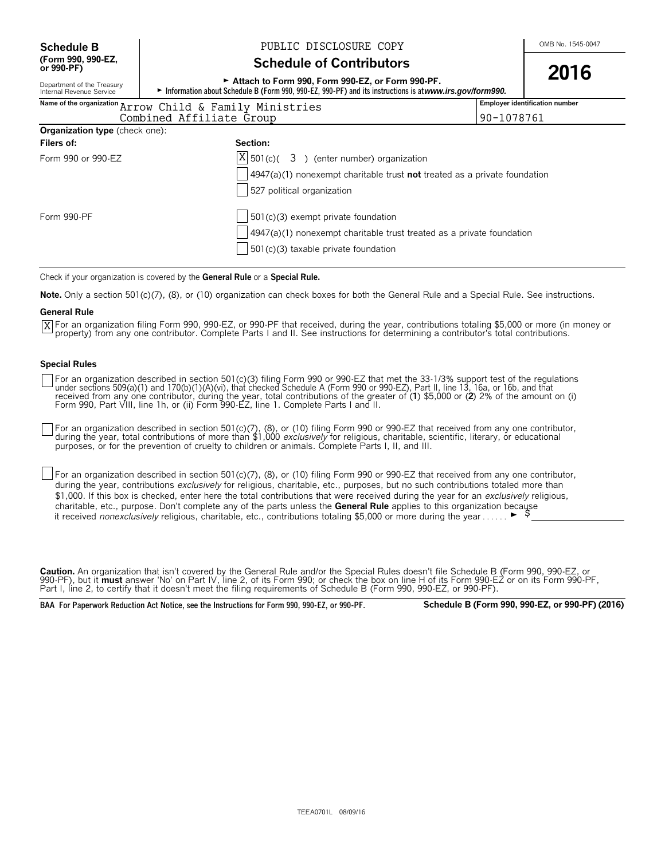**(Form 990, 990-EZ,**

#### **Schedule B**  $\bigcup_{\text{OMB No. 1545-0047}}$  PUBLIC DISCLOSURE COPY

#### **Schedule of Contributors**

| or 990-PF)                                                                                                                                                                                                            | 2016                                                                               |                                       |  |  |  |
|-----------------------------------------------------------------------------------------------------------------------------------------------------------------------------------------------------------------------|------------------------------------------------------------------------------------|---------------------------------------|--|--|--|
| Attach to Form 990, Form 990-EZ, or Form 990-PF.<br>Department of the Treasury<br>Information about Schedule B (Form 990, 990-EZ, 990-PF) and its instructions is at www.irs.gov/form990.<br>Internal Revenue Service |                                                                                    |                                       |  |  |  |
|                                                                                                                                                                                                                       | Name of the organization Arrow Child & Family Ministries                           | <b>Employer identification number</b> |  |  |  |
|                                                                                                                                                                                                                       | 90-1078761<br>Combined Affiliate Group                                             |                                       |  |  |  |
| <b>Organization type</b> (check one):                                                                                                                                                                                 |                                                                                    |                                       |  |  |  |
| Filers of:                                                                                                                                                                                                            | Section:                                                                           |                                       |  |  |  |
| Form 990 or 990-EZ                                                                                                                                                                                                    | $ X $ 501(c)( 3) (enter number) organization                                       |                                       |  |  |  |
|                                                                                                                                                                                                                       | $4947(a)(1)$ nonexempt charitable trust <b>not</b> treated as a private foundation |                                       |  |  |  |
|                                                                                                                                                                                                                       | 527 political organization                                                         |                                       |  |  |  |
| Form 990-PF                                                                                                                                                                                                           | 501(c)(3) exempt private foundation                                                |                                       |  |  |  |
|                                                                                                                                                                                                                       | 4947(a)(1) nonexempt charitable trust treated as a private foundation              |                                       |  |  |  |
|                                                                                                                                                                                                                       | 501(c)(3) taxable private foundation                                               |                                       |  |  |  |

Check if your organization is covered by the **General Rule** or a **Special Rule.**

**Note.** Only a section 501(c)(7), (8), or (10) organization can check boxes for both the General Rule and a Special Rule. See instructions.

#### **General Rule**

For an organization filing Form 990, 990-EZ, or 990-PF that received, during the year, contributions totaling \$5,000 or more (in money or Xproperty) from any one contributor. Complete Parts I and II. See instructions for determining a contributor's total contributions.

#### **Special Rules**

For an organization described in section 501(c)(3) filing Form 990 or 990-EZ that met the 33-1/3% support test of the regulations<br>under sections 509(a)(1) and 170(b)(1)(A)(vi), that checked Schedule A (Form 990 or 990-EZ), Form 990, Part VIII, line 1h, or (ii) Form 990-EZ, line 1. Complete Parts I and II.

For an organization described in section 501(c)(7), (8), or (10) filing Form 990 or 990-EZ that received from any one contributor, during the year, total contributions of more than \$1,000 *exclusively* for religious, charitable, scientific, literary, or educational purposes, or for the prevention of cruelty to children or animals. Complete Parts I, II, and III.

For an organization described in section 501(c)(7), (8), or (10) filing Form 990 or 990-EZ that received from any one contributor, during the year, contributions *exclusively* for religious, charitable, etc., purposes, but no such contributions totaled more than \$1,000. If this box is checked, enter here the total contributions that were received during the year for an *exclusively* religious, charitable, etc., purpose. Don't complete any of the parts unless the **General Rule** applies to this organization because it received *nonexclusively* religious, charitable, etc., contributions totaling \$5,000 or more during the year . . . . . .  $\blacktriangleright$ 

**Caution.** An organization that isn't covered by the General Rule and/or the Special Rules doesn't file Schedule B (Form 990, 990-EZ, or 990-PF), but it **must** answer 'No' on Part IV, line 2, of its Form 990; or check the box on line H of its Form 990-EZ or on its Form 990-PF, Part I, line 2, to certify that it doesn't meet the filing requirements of Schedule B (Form 990, 990-EZ, or 990-PF).

**BAA For Paperwork Reduction Act Notice, see the Instructions for Form 990, 990-EZ, or 990-PF. Schedule B (Form 990, 990-EZ, or 990-PF) (2016)**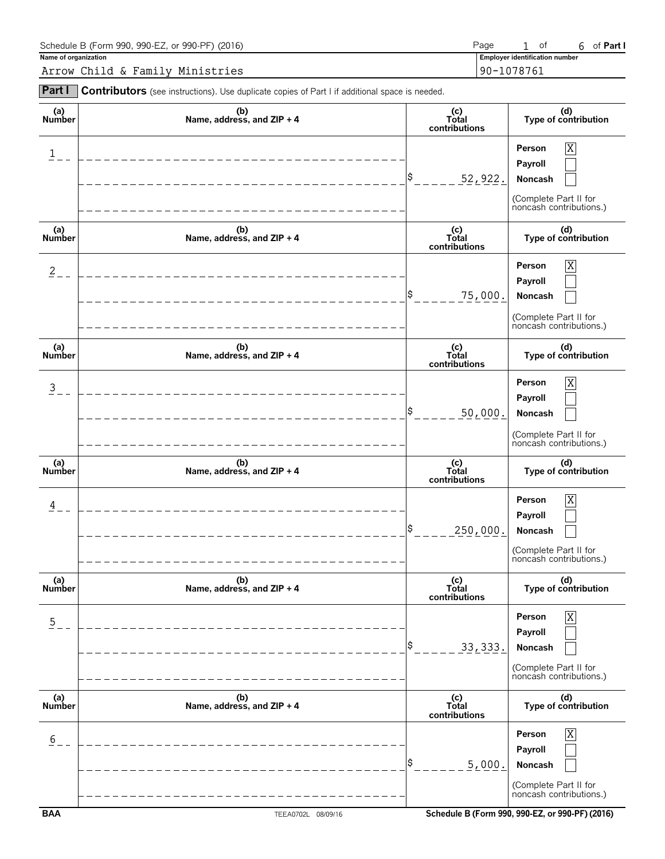| Schedule B (Form 990, 990-EZ, or 990-PF) (2016) | Page                                  | 0Ť | of Part I |
|-------------------------------------------------|---------------------------------------|----|-----------|
| Name of organization                            | <b>Employer identification number</b> |    |           |
| Arrow Child & Family Ministries                 | 190-1078761                           |    |           |

| Part I               | Contributors (see instructions). Use duplicate copies of Part I if additional space is needed. |                               |                                                                                                             |
|----------------------|------------------------------------------------------------------------------------------------|-------------------------------|-------------------------------------------------------------------------------------------------------------|
| (a)<br>Number        | (b)<br>Name, address, and ZIP + 4                                                              | (c)<br>Total<br>contributions | (d)<br>Type of contribution                                                                                 |
| $\mathbf{1}$         |                                                                                                | \$<br>52,922.                 | $\overline{\mathbf{X}}$<br>Person<br>Payroll<br>Noncash<br>(Complete Part II for<br>noncash contributions.) |
| (a)<br>Number        | (b)<br>Name, address, and ZIP + 4                                                              | (c)<br>Total<br>contributions | (d)<br>Type of contribution                                                                                 |
| $\overline{c}$       |                                                                                                | \$<br>75,000.                 | $\mathbf X$<br>Person<br>Payroll<br>Noncash<br>(Complete Part II for<br>noncash contributions.)             |
| (a)<br><b>Number</b> | (b)<br>Name, address, and ZIP + 4                                                              | (c)<br>Total<br>contributions | (d)<br>Type of contribution                                                                                 |
| $\overline{3}$       |                                                                                                | \$<br>50,000.                 | $\overline{X}$<br>Person<br>Payroll<br>Noncash<br>(Complete Part II for<br>noncash contributions.)          |
| (a)<br>Number        | (b)<br>Name, address, and ZIP + 4                                                              | (c)<br>Total<br>contributions | (d)<br>Type of contribution                                                                                 |
| 4                    |                                                                                                | \$<br>250,000.                | $\overline{\text{X}}$<br>Person<br>Payroll<br>Noncash<br>(Complete Part II for<br>noncash contributions.)   |
| (a)<br>Number        | (b)<br>Name, address, and ZIP + 4                                                              | (c)<br>Total<br>contributions | (d)<br>Type of contribution                                                                                 |
| $\overline{5}$       |                                                                                                | S<br><u>33, 333.</u>          | Χ<br>Person<br>Payroll<br>Noncash<br>(Complete Part II for<br>noncash contributions.)                       |
| (a)<br>Number        | (b)<br>Name, address, and ZIP + 4                                                              | (c)<br>Total<br>contributions | (d)<br>Type of contribution                                                                                 |
| 6                    |                                                                                                | \$<br>5,000.                  | Χ<br>Person<br>Payroll<br>Noncash<br>(Complete Part II for<br>noncash contributions.)                       |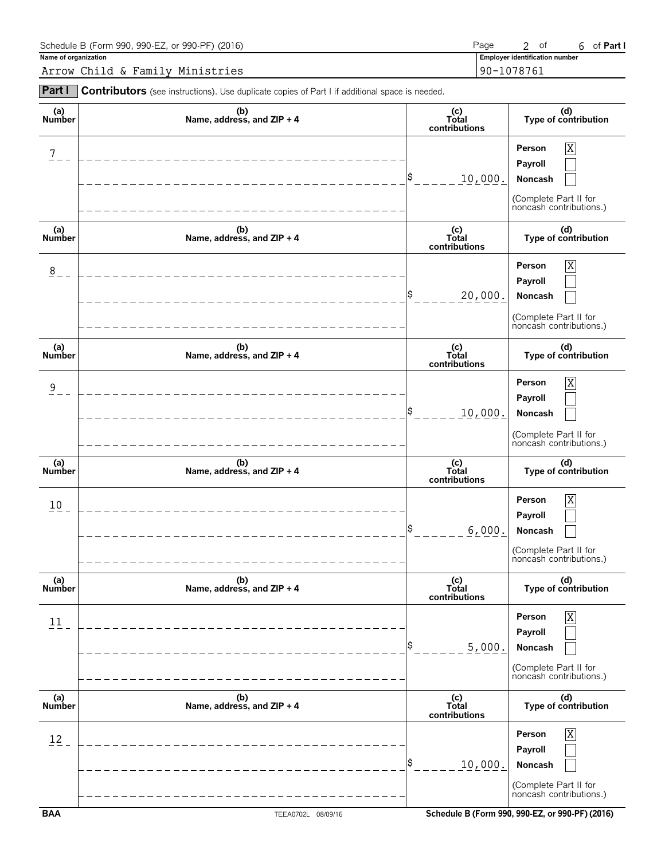| Schedule B (Form 990, 990-EZ, or 990-PF) (2016) | Page                                  | ot. | of <b>Part I</b> |
|-------------------------------------------------|---------------------------------------|-----|------------------|
| Name of organization                            | <b>Employer identification number</b> |     |                  |
| Arrow Child & Family Ministries                 | 90-1078761                            |     |                  |

| Part I               | Contributors (see instructions). Use duplicate copies of Part I if additional space is needed. |                               |                                                                                       |
|----------------------|------------------------------------------------------------------------------------------------|-------------------------------|---------------------------------------------------------------------------------------|
| (a)<br>Number        | (b)<br>Name, address, and ZIP + 4                                                              | (c)<br>Total<br>contributions | (d)<br>Type of contribution                                                           |
| 7                    |                                                                                                | l\$<br>10,000.                | X<br>Person<br>Payroll<br>Noncash<br>(Complete Part II for<br>noncash contributions.) |
| (a)<br>Number        | (b)<br>Name, address, and ZIP + 4                                                              | (c)<br>Total<br>contributions | (d)<br>Type of contribution                                                           |
| 8                    |                                                                                                | \$<br>20,000.                 | X<br>Person<br>Payroll<br>Noncash<br>(Complete Part II for<br>noncash contributions.) |
| (a)<br><b>Number</b> | (b)<br>Name, address, and ZIP + 4                                                              | (c)<br>Total<br>contributions | (d)<br>Type of contribution                                                           |
| $\overline{9}$       |                                                                                                | 10,000.                       | X<br>Person<br>Payroll<br>Noncash<br>(Complete Part II for<br>noncash contributions.) |
| (a)<br>Number        | (b)<br>Name, address, and ZIP + 4                                                              | (c)<br>Total<br>contributions | (d)<br>Type of contribution                                                           |
| 10 <sub>1</sub>      | _ _ _ _ _ _ _ _ _ _ _ _ _ _ _ _ _ _                                                            | 6,000.                        | X<br>Person<br>Payroll<br>Noncash<br>(Complete Part II for<br>noncash contributions.) |
| (a)<br>Number        | (b)<br>Name, address, and ZIP + 4                                                              | (c)<br>Total<br>contributions | (d)<br>Type of contribution                                                           |
| 11                   |                                                                                                | \$<br>5,000.                  | X<br>Person<br>Payroll<br>Noncash<br>(Complete Part II for<br>noncash contributions.) |
| (a)<br>Number        | (b)<br>Name, address, and ZIP + 4                                                              | (c)<br>Total<br>contributions | (d)<br>Type of contribution                                                           |
| 12                   |                                                                                                | \$<br>10,000.                 | Χ<br>Person<br>Payroll<br>Noncash<br>(Complete Part II for<br>noncash contributions.) |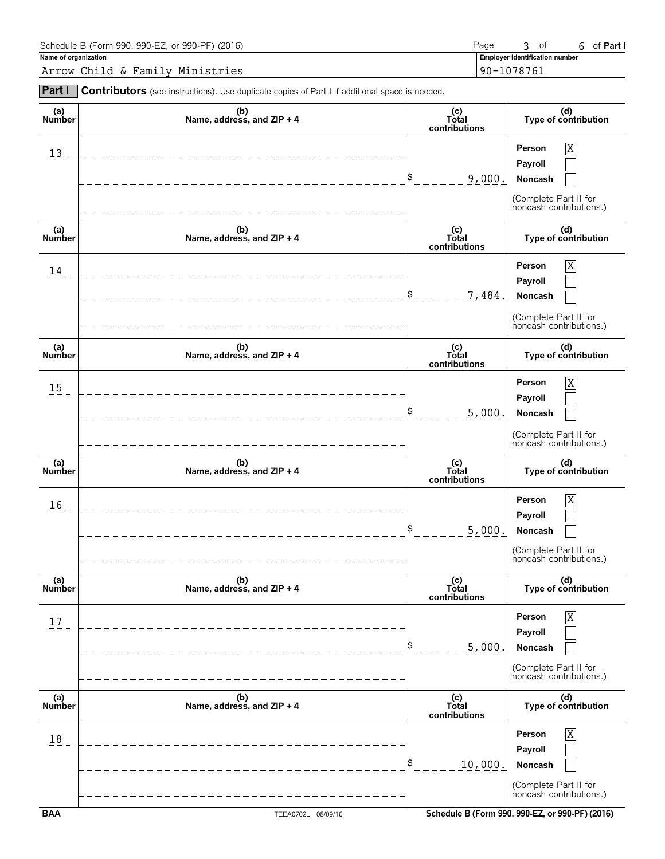| Schedule B (Form 990, 990-EZ, or 990-PF) (2016) | Page                                  | ot o | of Part I |
|-------------------------------------------------|---------------------------------------|------|-----------|
| Name of organization                            | <b>Employer identification number</b> |      |           |
| Arrow Child & Family Ministries                 | 190-1078761                           |      |           |

| Part I               | Contributors (see instructions). Use duplicate copies of Part I if additional space is needed. |                                                               |                                                                                                             |
|----------------------|------------------------------------------------------------------------------------------------|---------------------------------------------------------------|-------------------------------------------------------------------------------------------------------------|
| (a)<br>Number        | (b)<br>Name, address, and ZIP + 4                                                              | (c)<br>Total<br>contributions                                 | (d)<br>Type of contribution                                                                                 |
| $13 -$               | ______________________                                                                         | \$<br>9,000.                                                  | $\overline{\mathbf{X}}$<br>Person<br>Payroll<br>Noncash<br>(Complete Part II for<br>noncash contributions.) |
| (a)<br>Number        | (b)<br>Name, address, and ZIP + 4                                                              | $\begin{matrix}\n(c) \\ Total\n\end{matrix}$<br>contributions | (d)<br>Type of contribution                                                                                 |
| 14                   |                                                                                                | S<br>7,484.                                                   | $\mathbf X$<br>Person<br>Payroll<br>Noncash<br>(Complete Part II for<br>noncash contributions.)             |
| (a)<br><b>Number</b> | (b)<br>Name, address, and ZIP + 4                                                              | (c)<br>Total<br>contributions                                 | (d)<br>Type of contribution                                                                                 |
| 15                   |                                                                                                | \$<br>5,000.                                                  | $\overline{X}$<br>Person<br>Payroll<br>Noncash<br>(Complete Part II for<br>noncash contributions.)          |
| (a)<br>Number        | (b)<br>Name, address, and ZIP + 4                                                              | (c)<br>Total<br>contributions                                 | (d)<br>Type of contribution                                                                                 |
| 16                   | _________________                                                                              | \$<br>5,000.                                                  | $\overline{\text{X}}$<br>Person<br>Payroll<br>Noncash<br>(Complete Part II for<br>noncash contributions.)   |
| (a)<br>Number        | (b)<br>Name, address, and ZIP + 4                                                              | (c)<br>Total<br>contributions                                 | (d)<br>Type of contribution                                                                                 |
| 17                   |                                                                                                | S<br>5,000.                                                   | Χ<br>Person<br>Payroll<br>Noncash<br>(Complete Part II for<br>noncash contributions.)                       |
| (a)<br>Number        | (b)<br>Name, address, and ZIP + 4                                                              | (c)<br>Total<br>contributions                                 | (d)<br>Type of contribution                                                                                 |
| 18                   |                                                                                                | S<br>10,000.                                                  | Χ<br>Person<br>Payroll<br>Noncash<br>(Complete Part II for<br>noncash contributions.)                       |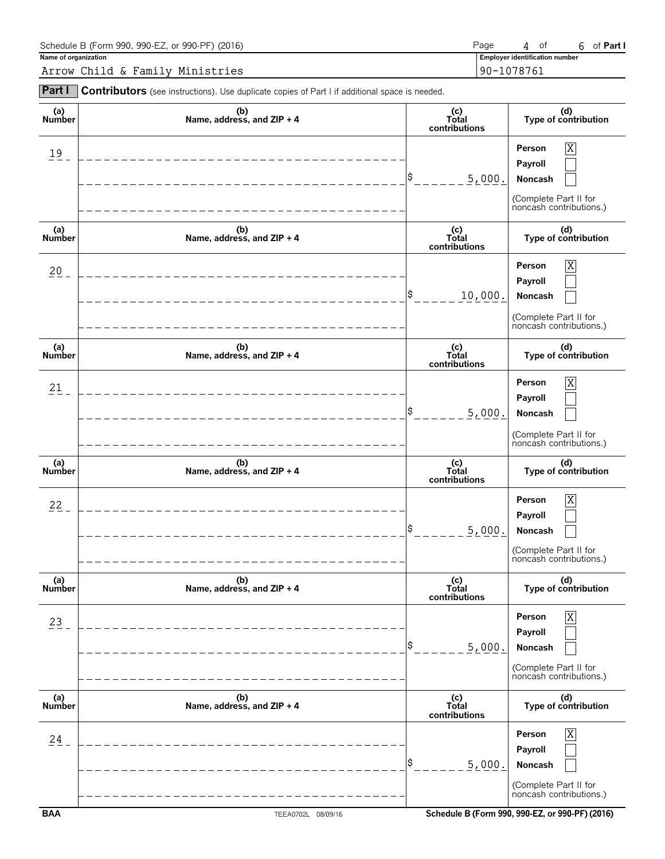| Schedule B (Form 990, 990-EZ, or 990-PF) (2016) | Page                                  | $\Delta$ | 0Ť | of Part I |
|-------------------------------------------------|---------------------------------------|----------|----|-----------|
| Name of organization                            | <b>Employer identification number</b> |          |    |           |
| Arrow Child & Family Ministries                 | 190-1078761                           |          |    |           |

| Part I               | Contributors (see instructions). Use duplicate copies of Part I if additional space is needed. |                                                               |                                                                                                             |
|----------------------|------------------------------------------------------------------------------------------------|---------------------------------------------------------------|-------------------------------------------------------------------------------------------------------------|
| (a)<br>Number        | (b)<br>Name, address, and ZIP + 4                                                              | (c)<br>Total<br>contributions                                 | (d)<br>Type of contribution                                                                                 |
| $19 -$               | ___________________________                                                                    | \$<br>5,000.                                                  | $\overline{\mathbf{X}}$<br>Person<br>Payroll<br>Noncash<br>(Complete Part II for<br>noncash contributions.) |
| (a)<br>Number        | (b)<br>Name, address, and ZIP + 4                                                              | $\begin{matrix}\n(c) \\ Total\n\end{matrix}$<br>contributions | (d)<br>Type of contribution                                                                                 |
| $20 -$               | ----------------------------                                                                   | Ş.<br>10,000.                                                 | $\mathbf X$<br>Person<br>Payroll<br>Noncash<br>(Complete Part II for<br>noncash contributions.)             |
| (a)<br><b>Number</b> | (b)<br>Name, address, and ZIP + 4                                                              | (c)<br>Total<br>contributions                                 | (d)<br>Type of contribution                                                                                 |
| 21                   | _______________________                                                                        | S<br>5,000.                                                   | $\overline{X}$<br>Person<br>Payroll<br>Noncash<br>(Complete Part II for<br>noncash contributions.)          |
| (a)<br><b>Number</b> | (b)<br>Name, address, and ZIP + 4                                                              | (c)<br>Total<br>contributions                                 | (d)<br>Type of contribution                                                                                 |
| $22 -$               | _______________________                                                                        | \$<br>5,000.                                                  | $\overline{\text{X}}$<br>Person<br>Payroll<br>Noncash<br>(Complete Part II for<br>noncash contributions.)   |
| (a)<br><b>Number</b> | (b)<br>Name, address, and ZIP + 4                                                              | (c)<br>Total<br>contributions                                 | (d)<br>Type of contribution                                                                                 |
| 23                   |                                                                                                | \$<br>5,000.                                                  | Χ<br>Person<br>Payroll<br>Noncash<br>(Complete Part II for<br>noncash contributions.)                       |
| (a)<br>Number        | (b)<br>Name, address, and ZIP + 4                                                              | (c)<br>Total<br>contributions                                 | (d)<br>Type of contribution                                                                                 |
| 24                   |                                                                                                | \$<br>5,000.                                                  | Person<br>Χ<br>Payroll<br>Noncash<br>(Complete Part II for<br>noncash contributions.)                       |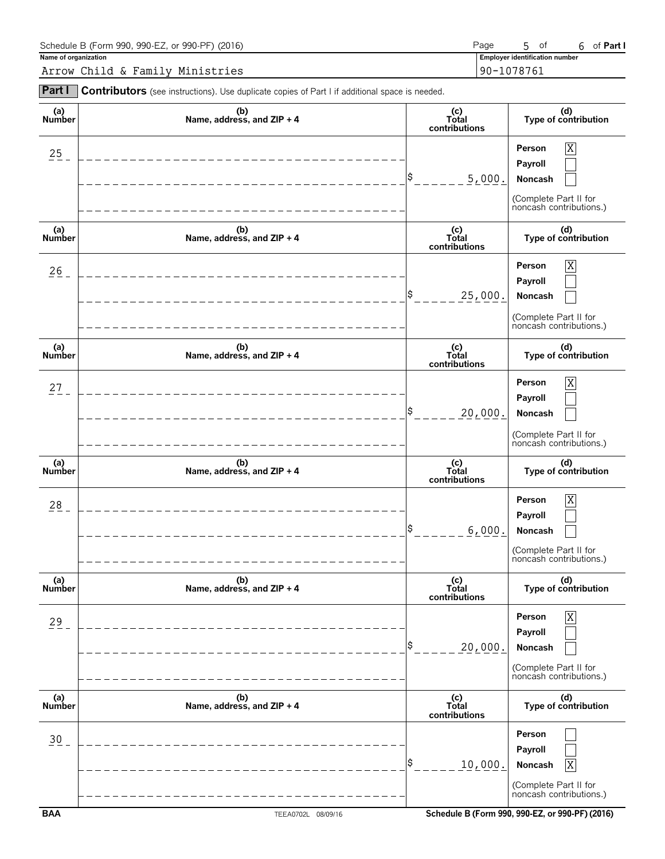| Schedule B (Form 990, 990-EZ, or 990-PF) (2016) | Page                                  | -ot | of <b>Part I</b> |
|-------------------------------------------------|---------------------------------------|-----|------------------|
| Name of organization                            | <b>Employer identification number</b> |     |                  |
| Arrow Child & Family Ministries                 | 90-1078761                            |     |                  |

| Part I               | Contributors (see instructions). Use duplicate copies of Part I if additional space is needed. |                               |                                                                                       |
|----------------------|------------------------------------------------------------------------------------------------|-------------------------------|---------------------------------------------------------------------------------------|
| (a)<br>Number        | (b)<br>Name, address, and ZIP + 4                                                              | (c)<br>Total<br>contributions | (d)<br>Type of contribution                                                           |
| $25 -$               | -----------------------------                                                                  | l\$<br>5,000.                 | X<br>Person<br>Payroll<br>Noncash<br>(Complete Part II for<br>noncash contributions.) |
| (a)<br>Number        | (b)<br>Name, address, and ZIP + 4                                                              | (c)<br>Total<br>contributions | (d)<br>Type of contribution                                                           |
| $\frac{26}{5}$       | _____________________________                                                                  | l\$<br>25,000.                | X<br>Person<br>Payroll<br>Noncash<br>(Complete Part II for<br>noncash contributions.) |
| (a)<br><b>Number</b> | (b)<br>Name, address, and ZIP + 4                                                              | (c)<br>Total<br>contributions | (d)<br>Type of contribution                                                           |
| $27 -$               | _______________________________                                                                | l\$<br>20,000.                | X<br>Person<br>Payroll<br>Noncash<br>(Complete Part II for<br>noncash contributions.) |
| (a)<br><b>Number</b> | (b)<br>Name, address, and ZIP + 4                                                              | (c)<br>Total<br>contributions | (d)<br>Type of contribution                                                           |
| 28                   | _________________________                                                                      | 6,000.                        | X<br>Person<br>Payroll<br>Noncash<br>(Complete Part II for<br>noncash contributions.) |
| (a)<br>Number        | (b)<br>Name, address, and ZIP + 4                                                              | (c)<br>Total<br>contributions | (d)<br>Type of contribution                                                           |
| 29                   |                                                                                                | 20,000.                       | Χ<br>Person<br>Payroll<br>Noncash<br>(Complete Part II for<br>noncash contributions.) |
| (a)<br>Number        | (b)<br>Name, address, and ZIP + 4                                                              | (c)<br>Total<br>contributions | (d)<br>Type of contribution                                                           |
| 30                   |                                                                                                | 10,000.                       | Person<br>Payroll<br>Noncash<br>X<br>(Complete Part II for<br>noncash contributions.) |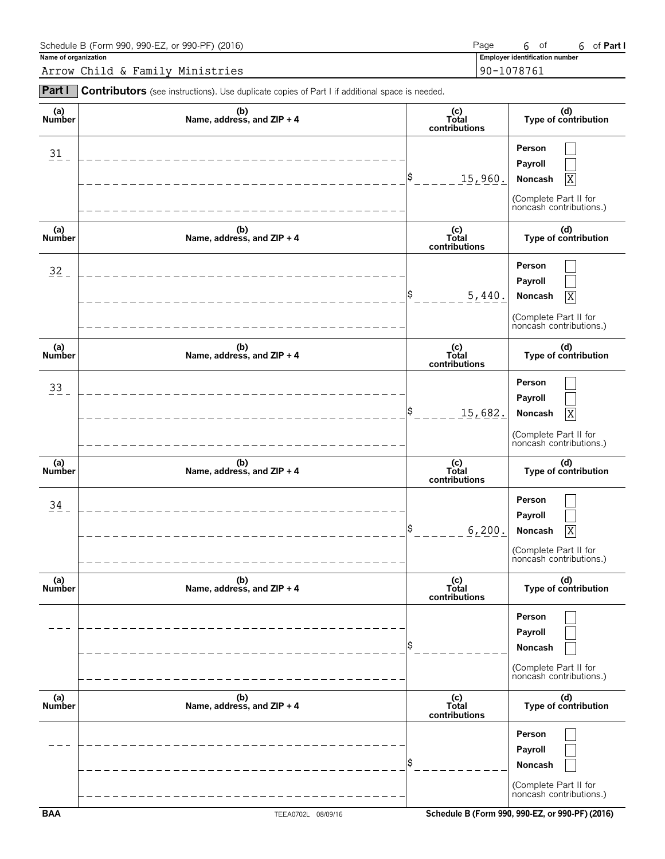| Schedule B (Form 990, 990-EZ, or 990-PF) (2016) | Page                                  | 0Ť | Part I |
|-------------------------------------------------|---------------------------------------|----|--------|
| Name of organization                            | <b>Employer identification number</b> |    |        |
| Arrow Child & Family Ministries                 | 90-1078761                            |    |        |

| Part I               | Contributors (see instructions). Use duplicate copies of Part I if additional space is needed. |                               |                                                                                        |
|----------------------|------------------------------------------------------------------------------------------------|-------------------------------|----------------------------------------------------------------------------------------|
| (a)<br>Number        | (b)<br>Name, address, and ZIP + 4                                                              | (c)<br>Total<br>contributions | (d)<br>Type of contribution                                                            |
| $31 -$               | ________________________                                                                       | \$<br>15,960.                 | Person<br>Payroll<br>Noncash<br>X<br>(Complete Part II for<br>noncash contributions.)  |
| (a)<br>Number        | (b)<br>Name, address, and ZIP + 4                                                              | (c)<br>Total<br>contributions | (d)<br>Type of contribution                                                            |
| $32 -$               | ____________________________                                                                   | \$<br>5,440.                  | Person<br>Payroll<br>Noncash<br>ΙX<br>(Complete Part II for<br>noncash contributions.) |
| (a)<br><b>Number</b> | (b)<br>Name, address, and ZIP + 4                                                              | (c)<br>Total<br>contributions | (d)<br>Type of contribution                                                            |
| $33 -$               | _______________________                                                                        | l\$<br>15,682.                | Person<br>Payroll<br>Noncash<br>ΙX<br>(Complete Part II for<br>noncash contributions.) |
| (a)<br><b>Number</b> | (b)<br>Name, address, and ZIP + 4                                                              | (c)<br>Total<br>contributions | (d)<br>Type of contribution                                                            |
| 34                   | -----------------------                                                                        | \$<br>6, 200.                 | Person<br>Payroll<br>Noncash<br>ΙX<br>(Complete Part II for<br>noncash contributions.) |
| (a)<br>Number        | (b)<br>Name, address, and ZIP + 4                                                              | (c)<br>Total<br>contributions | (d)<br>Type of contribution                                                            |
|                      |                                                                                                |                               | Person<br>Payroll<br>Noncash<br>(Complete Part II for<br>noncash contributions.)       |
| (a)<br>Number        | (b)<br>Name, address, and ZIP + 4                                                              | (c)<br>Total<br>contributions | (d)<br>Type of contribution                                                            |
|                      |                                                                                                |                               | Person<br>Payroll<br>Noncash<br>(Complete Part II for<br>noncash contributions.)       |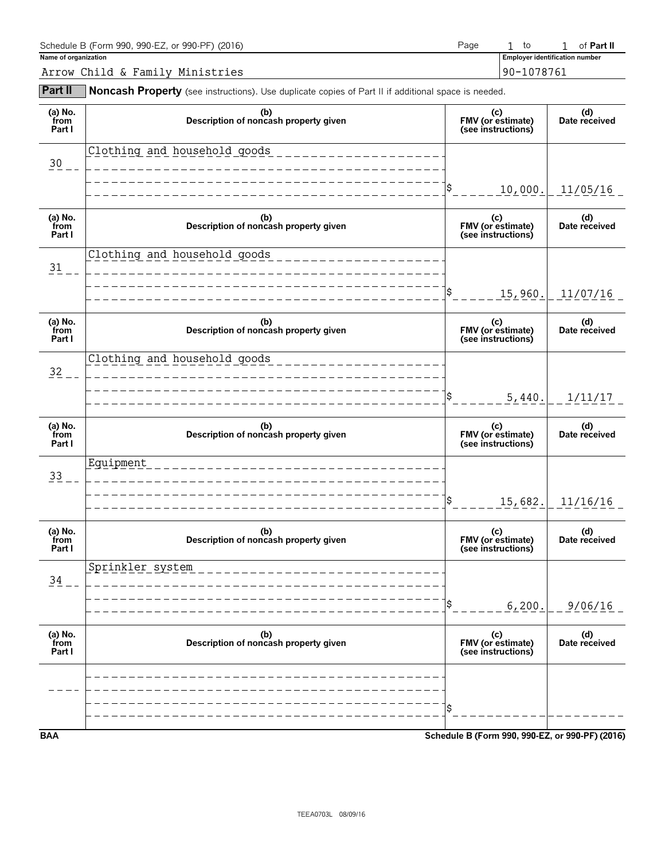| Schedule B (Form 990, 990-EZ, or 990-PF) (2016) | Page |  | 1 of <b>Part II</b> |
|-------------------------------------------------|------|--|---------------------|
|-------------------------------------------------|------|--|---------------------|

**Name of organization Employer identification number** 1 to 1

Arrow Child & Family Ministries 90-1078761

**Part II** Noncash Property (see instructions). Use duplicate copies of Part II if additional space is needed.

| (a) No.<br>from<br>Part I | (b)<br>Description of noncash property given      | (c)<br>FMV (or estimate)<br>(see instructions)  | (d)<br>Date received |
|---------------------------|---------------------------------------------------|-------------------------------------------------|----------------------|
| $30 -$                    | Clothing and household goods                      |                                                 |                      |
|                           |                                                   | 10,000.                                         | 11/05/16             |
| (a) No.<br>from<br>Part I | (b)<br>Description of noncash property given      | (c)<br>FMV (or estimate)<br>(see instructions)  | (d)<br>Date received |
| $\frac{31}{1}$            | Clothing and household goods ____________________ |                                                 |                      |
|                           |                                                   | \$<br>15,960.                                   | 11/07/16             |
| (a) No.<br>from<br>Part I | (b)<br>Description of noncash property given      | (c)<br>FMV (or estimate)<br>(see instructions)  | (d)<br>Date received |
| $\frac{32}{2}$ – –        | Clothing and household goods                      |                                                 |                      |
|                           |                                                   | \$<br>5,440.                                    | 1/11/17              |
| (a) No.<br>from<br>Part I | (b)<br>Description of noncash property given      | (c)<br>FMV (or estimate)<br>(see instructions)  | (d)<br>Date received |
| 33                        | Equipment                                         |                                                 |                      |
|                           |                                                   | \$<br>15,682.                                   | 11/16/16             |
| (a) No.<br>from<br>Part I | (b)<br>Description of noncash property given      | (c)<br>FMV (or estimate)<br>(see instructions)  | (d)<br>Date received |
| 34                        | Sprinkler system                                  |                                                 |                      |
|                           |                                                   | 6,200.                                          | 9/06/16              |
| (a) No.<br>from<br>Part I | (b)<br>Description of noncash property given      | (c)<br>FMV (or estimate)<br>(see instructions)  | (d)<br>Date received |
|                           |                                                   |                                                 |                      |
|                           |                                                   |                                                 |                      |
| <b>BAA</b>                |                                                   | Schedule B (Form 990, 990-EZ, or 990-PF) (2016) |                      |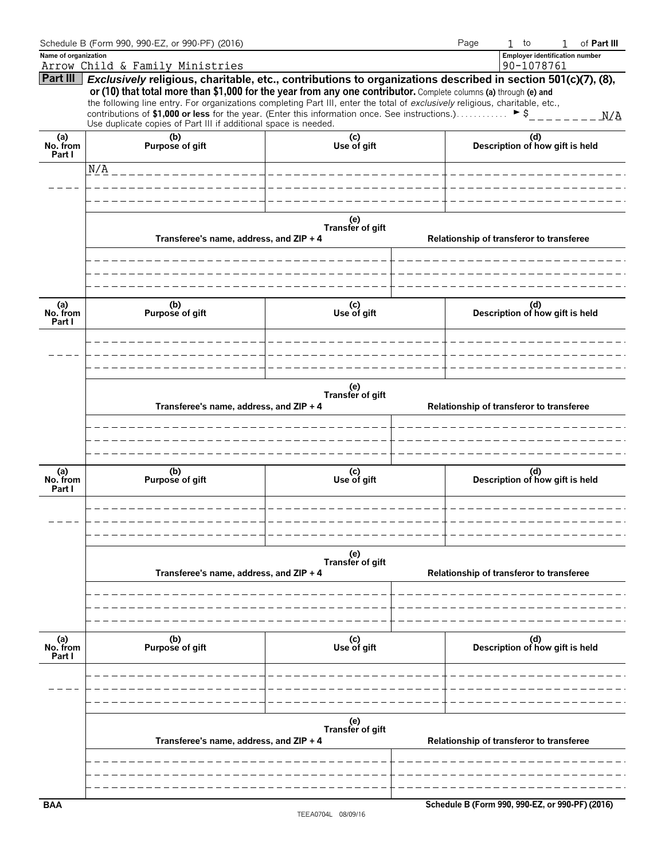|                           | Schedule B (Form 990, 990-EZ, or 990-PF) (2016)                                                                                                                                                                                                                                                                                                                                                                                                                                                                                                            |                         |  | Page | $1$ to                                          | $\mathbf{1}$ | of Part III |
|---------------------------|------------------------------------------------------------------------------------------------------------------------------------------------------------------------------------------------------------------------------------------------------------------------------------------------------------------------------------------------------------------------------------------------------------------------------------------------------------------------------------------------------------------------------------------------------------|-------------------------|--|------|-------------------------------------------------|--------------|-------------|
| Name of organization      |                                                                                                                                                                                                                                                                                                                                                                                                                                                                                                                                                            |                         |  |      | <b>Employer identification number</b>           |              |             |
|                           | Arrow Child & Family Ministries                                                                                                                                                                                                                                                                                                                                                                                                                                                                                                                            |                         |  |      | 90-1078761                                      |              |             |
| Part III                  | Exclusively religious, charitable, etc., contributions to organizations described in section 501(c)(7), (8),<br>or (10) that total more than \$1,000 for the year from any one contributor. Complete columns (a) through (e) and<br>the following line entry. For organizations completing Part III, enter the total of exclusively religious, charitable, etc.,<br>contributions of \$1,000 or less for the year. (Enter this information once. See instructions.) $\triangleright$ \$<br>Use duplicate copies of Part III if additional space is needed. |                         |  |      |                                                 |              |             |
| (a)<br>No. from           | (b)<br>Purpose of gift                                                                                                                                                                                                                                                                                                                                                                                                                                                                                                                                     | (c)<br>Use of gift      |  |      | (d)<br>Description of how gift is held          |              |             |
| Part I                    | N/A                                                                                                                                                                                                                                                                                                                                                                                                                                                                                                                                                        |                         |  |      |                                                 |              |             |
|                           |                                                                                                                                                                                                                                                                                                                                                                                                                                                                                                                                                            |                         |  |      |                                                 |              |             |
|                           |                                                                                                                                                                                                                                                                                                                                                                                                                                                                                                                                                            |                         |  |      |                                                 |              |             |
|                           | (e)<br>Transfer of gift<br>Transferee's name, address, and ZIP + 4                                                                                                                                                                                                                                                                                                                                                                                                                                                                                         |                         |  |      | Relationship of transferor to transferee        |              |             |
|                           |                                                                                                                                                                                                                                                                                                                                                                                                                                                                                                                                                            |                         |  |      |                                                 |              |             |
| (a)<br>No. from<br>Part I | (b)<br>Purpose of gift                                                                                                                                                                                                                                                                                                                                                                                                                                                                                                                                     | (c)<br>Use of gift      |  |      | (d)<br>Description of how gift is held          |              |             |
|                           |                                                                                                                                                                                                                                                                                                                                                                                                                                                                                                                                                            |                         |  |      |                                                 |              |             |
|                           | Transferee's name, address, and ZIP + 4                                                                                                                                                                                                                                                                                                                                                                                                                                                                                                                    | (e)<br>Transfer of gift |  |      | Relationship of transferor to transferee        |              |             |
|                           |                                                                                                                                                                                                                                                                                                                                                                                                                                                                                                                                                            |                         |  |      |                                                 |              |             |
| (a)<br>No. from<br>Part I | (b)<br>Purpose of gift                                                                                                                                                                                                                                                                                                                                                                                                                                                                                                                                     | (c)<br>Use of gift      |  |      | (d)<br>Description of how gift is held          |              |             |
|                           |                                                                                                                                                                                                                                                                                                                                                                                                                                                                                                                                                            |                         |  |      |                                                 |              |             |
|                           | Transferee's name, address, and ZIP + 4                                                                                                                                                                                                                                                                                                                                                                                                                                                                                                                    | (e)<br>Transfer of gift |  |      | Relationship of transferor to transferee        |              |             |
|                           |                                                                                                                                                                                                                                                                                                                                                                                                                                                                                                                                                            |                         |  |      |                                                 |              |             |
|                           |                                                                                                                                                                                                                                                                                                                                                                                                                                                                                                                                                            |                         |  |      |                                                 |              |             |
| (a)<br>No. from<br>Part I | (b)<br>Purpose of gift                                                                                                                                                                                                                                                                                                                                                                                                                                                                                                                                     | (c)<br>Use of gift      |  |      | (d)<br>Description of how gift is held          |              |             |
|                           |                                                                                                                                                                                                                                                                                                                                                                                                                                                                                                                                                            |                         |  |      |                                                 |              |             |
|                           |                                                                                                                                                                                                                                                                                                                                                                                                                                                                                                                                                            |                         |  |      |                                                 |              |             |
|                           | Transferee's name, address, and ZIP + 4                                                                                                                                                                                                                                                                                                                                                                                                                                                                                                                    | (e)<br>Transfer of gift |  |      | Relationship of transferor to transferee        |              |             |
|                           |                                                                                                                                                                                                                                                                                                                                                                                                                                                                                                                                                            |                         |  |      |                                                 |              |             |
|                           |                                                                                                                                                                                                                                                                                                                                                                                                                                                                                                                                                            |                         |  |      |                                                 |              |             |
| <b>BAA</b>                |                                                                                                                                                                                                                                                                                                                                                                                                                                                                                                                                                            |                         |  |      | Schedule B (Form 990, 990-EZ, or 990-PF) (2016) |              |             |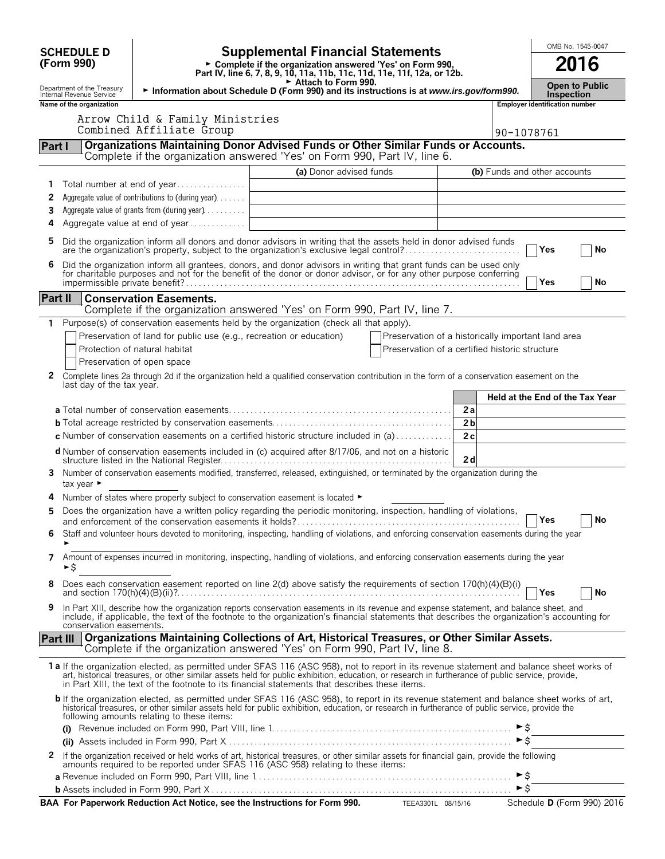|          |                                                        |                                                                               |                                                                                                                                                                                                                                                                                                                                                                                                |                                                                                                                                                                                    |                |                          | OMB No. 1545-0047                     |  |
|----------|--------------------------------------------------------|-------------------------------------------------------------------------------|------------------------------------------------------------------------------------------------------------------------------------------------------------------------------------------------------------------------------------------------------------------------------------------------------------------------------------------------------------------------------------------------|------------------------------------------------------------------------------------------------------------------------------------------------------------------------------------|----------------|--------------------------|---------------------------------------|--|
|          | <b>SCHEDULE D</b><br>(Form 990)                        |                                                                               |                                                                                                                                                                                                                                                                                                                                                                                                | <b>Supplemental Financial Statements</b><br>► Complete if the organization answered 'Yes' on Form 990,<br>Part IV, line 6, 7, 8, 9, 10, 11a, 11b, 11c, 11d, 11e, 11f, 12a, or 12b. |                |                          |                                       |  |
|          | Department of the Treasury<br>Internal Revenue Service |                                                                               | Attach to Form 990.<br>Information about Schedule D (Form 990) and its instructions is at www.irs.gov/form990.                                                                                                                                                                                                                                                                                 |                                                                                                                                                                                    |                |                          | Open to Public<br><b>Inspection</b>   |  |
|          | Name of the organization                               |                                                                               |                                                                                                                                                                                                                                                                                                                                                                                                |                                                                                                                                                                                    |                |                          | <b>Employer identification number</b> |  |
|          |                                                        | Arrow Child & Family Ministries<br>Combined Affiliate Group                   |                                                                                                                                                                                                                                                                                                                                                                                                |                                                                                                                                                                                    |                | 90-1078761               |                                       |  |
| Part I   |                                                        |                                                                               | Organizations Maintaining Donor Advised Funds or Other Similar Funds or Accounts.<br>Complete if the organization answered 'Yes' on Form 990, Part IV, line 6.                                                                                                                                                                                                                                 |                                                                                                                                                                                    |                |                          |                                       |  |
|          |                                                        |                                                                               | (a) Donor advised funds                                                                                                                                                                                                                                                                                                                                                                        |                                                                                                                                                                                    |                |                          | (b) Funds and other accounts          |  |
| 1        |                                                        | Total number at end of year                                                   |                                                                                                                                                                                                                                                                                                                                                                                                |                                                                                                                                                                                    |                |                          |                                       |  |
| 2        |                                                        | Aggregate value of contributions to (during year)                             |                                                                                                                                                                                                                                                                                                                                                                                                |                                                                                                                                                                                    |                |                          |                                       |  |
| 3        |                                                        | Aggregate value of grants from (during year)                                  |                                                                                                                                                                                                                                                                                                                                                                                                |                                                                                                                                                                                    |                |                          |                                       |  |
| 4        |                                                        | Aggregate value at end of year                                                |                                                                                                                                                                                                                                                                                                                                                                                                |                                                                                                                                                                                    |                |                          |                                       |  |
| 5        |                                                        |                                                                               | Did the organization inform all donors and donor advisors in writing that the assets held in donor advised funds<br>are the organization's property, subject to the organization's exclusive legal control?                                                                                                                                                                                    |                                                                                                                                                                                    |                |                          | Yes<br>No                             |  |
| 6        |                                                        |                                                                               | Did the organization inform all grantees, donors, and donor advisors in writing that grant funds can be used only<br>for charitable purposes and not for the benefit of the donor or donor advisor, or for any other purpose conferring                                                                                                                                                        |                                                                                                                                                                                    |                |                          | Yes<br>No                             |  |
| Part II  |                                                        | <b>Conservation Easements.</b>                                                | Complete if the organization answered 'Yes' on Form 990, Part IV, line 7.                                                                                                                                                                                                                                                                                                                      |                                                                                                                                                                                    |                |                          |                                       |  |
|          |                                                        |                                                                               | Purpose(s) of conservation easements held by the organization (check all that apply).                                                                                                                                                                                                                                                                                                          |                                                                                                                                                                                    |                |                          |                                       |  |
|          |                                                        | Preservation of land for public use (e.g., recreation or education)           |                                                                                                                                                                                                                                                                                                                                                                                                | Preservation of a historically important land area                                                                                                                                 |                |                          |                                       |  |
|          |                                                        | Protection of natural habitat                                                 |                                                                                                                                                                                                                                                                                                                                                                                                | Preservation of a certified historic structure                                                                                                                                     |                |                          |                                       |  |
|          |                                                        | Preservation of open space                                                    |                                                                                                                                                                                                                                                                                                                                                                                                |                                                                                                                                                                                    |                |                          |                                       |  |
| 2        | last day of the tax year.                              |                                                                               | Complete lines 2a through 2d if the organization held a qualified conservation contribution in the form of a conservation easement on the                                                                                                                                                                                                                                                      |                                                                                                                                                                                    |                |                          |                                       |  |
|          |                                                        |                                                                               |                                                                                                                                                                                                                                                                                                                                                                                                |                                                                                                                                                                                    |                |                          | Held at the End of the Tax Year       |  |
|          |                                                        |                                                                               |                                                                                                                                                                                                                                                                                                                                                                                                |                                                                                                                                                                                    | 2a             |                          |                                       |  |
|          |                                                        |                                                                               |                                                                                                                                                                                                                                                                                                                                                                                                |                                                                                                                                                                                    | 2 <sub>b</sub> |                          |                                       |  |
|          |                                                        |                                                                               | <b>c</b> Number of conservation easements on a certified historic structure included in (a) $\dots \dots \dots$                                                                                                                                                                                                                                                                                |                                                                                                                                                                                    | 2c             |                          |                                       |  |
|          |                                                        |                                                                               | <b>d</b> Number of conservation easements included in (c) acquired after 8/17/06, and not on a historic                                                                                                                                                                                                                                                                                        |                                                                                                                                                                                    | 2d             |                          |                                       |  |
| 3.       | tax year ►                                             |                                                                               | Number of conservation easements modified, transferred, released, extinguished, or terminated by the organization during the                                                                                                                                                                                                                                                                   |                                                                                                                                                                                    |                |                          |                                       |  |
|          |                                                        | Number of states where property subject to conservation easement is located ▶ |                                                                                                                                                                                                                                                                                                                                                                                                |                                                                                                                                                                                    |                |                          |                                       |  |
| 5        |                                                        |                                                                               | Does the organization have a written policy regarding the periodic monitoring, inspection, handling of violations,                                                                                                                                                                                                                                                                             |                                                                                                                                                                                    |                |                          | <b>No</b>                             |  |
| 6        |                                                        |                                                                               | Staff and volunteer hours devoted to monitoring, inspecting, handling of violations, and enforcing conservation easements during the year                                                                                                                                                                                                                                                      |                                                                                                                                                                                    |                |                          |                                       |  |
| 7        | ►\$                                                    |                                                                               | Amount of expenses incurred in monitoring, inspecting, handling of violations, and enforcing conservation easements during the year                                                                                                                                                                                                                                                            |                                                                                                                                                                                    |                |                          |                                       |  |
| 8        |                                                        |                                                                               | Does each conservation easement reported on line 2(d) above satisfy the requirements of section 170(h)(4)(B)(i)                                                                                                                                                                                                                                                                                |                                                                                                                                                                                    |                |                          | Yes<br>No                             |  |
| 9        | conservation easements.                                |                                                                               | In Part XIII, describe how the organization reports conservation easements in its revenue and expense statement, and balance sheet, and<br>include, if applicable, the text of the footnote to the organization's financial statements that describes the organization's accounting for                                                                                                        |                                                                                                                                                                                    |                |                          |                                       |  |
| Part III |                                                        |                                                                               | Organizations Maintaining Collections of Art, Historical Treasures, or Other Similar Assets.<br>Complete if the organization answered 'Yes' on Form 990, Part IV, line 8.                                                                                                                                                                                                                      |                                                                                                                                                                                    |                |                          |                                       |  |
|          |                                                        |                                                                               | 1a If the organization elected, as permitted under SFAS 116 (ASC 958), not to report in its revenue statement and balance sheet works of<br>art, historical treasures, or other similar assets held for public exhibition, education, or research in furtherance of public service, provide,<br>in Part XIII, the text of the footnote to its financial statements that describes these items. |                                                                                                                                                                                    |                |                          |                                       |  |
|          |                                                        | following amounts relating to these items:                                    | b If the organization elected, as permitted under SFAS 116 (ASC 958), to report in its revenue statement and balance sheet works of art,<br>historical treasures, or other similar assets held for public exhibition, education, or research in furtherance of public service, provide the                                                                                                     |                                                                                                                                                                                    |                |                          |                                       |  |
|          |                                                        |                                                                               |                                                                                                                                                                                                                                                                                                                                                                                                |                                                                                                                                                                                    |                | $\triangleright$ \$      |                                       |  |
|          |                                                        |                                                                               |                                                                                                                                                                                                                                                                                                                                                                                                |                                                                                                                                                                                    |                |                          |                                       |  |
| 2        |                                                        |                                                                               | If the organization received or held works of art, historical treasures, or other similar assets for financial gain, provide the following<br>amounts required to be reported under SFAS 116 (ASC 958) relating to these items:                                                                                                                                                                |                                                                                                                                                                                    |                | $\blacktriangleright$ \$ |                                       |  |
|          |                                                        |                                                                               |                                                                                                                                                                                                                                                                                                                                                                                                |                                                                                                                                                                                    |                | $\triangleright$ \$      |                                       |  |
|          |                                                        |                                                                               | BAA For Paperwork Reduction Act Notice, see the Instructions for Form 990. TEEA3301L 08/15/16                                                                                                                                                                                                                                                                                                  |                                                                                                                                                                                    |                |                          | Schedule D (Form 990) 2016            |  |
|          |                                                        |                                                                               |                                                                                                                                                                                                                                                                                                                                                                                                |                                                                                                                                                                                    |                |                          |                                       |  |

| 3AA  For Paperwork Reduction Act Notice. see the Instructions for Form 99 |  |  |  |
|---------------------------------------------------------------------------|--|--|--|
|---------------------------------------------------------------------------|--|--|--|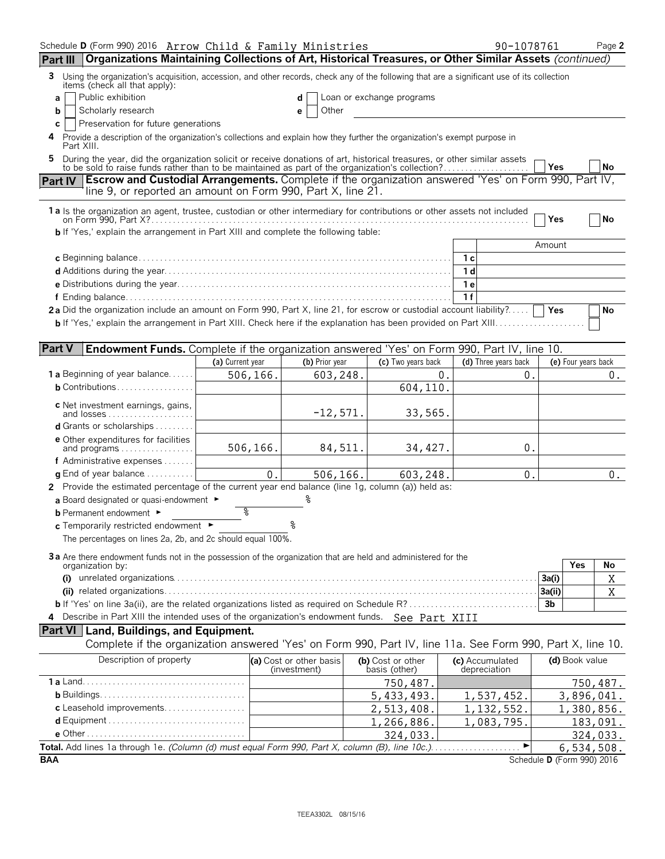| Schedule D (Form 990) 2016 Arrow Child & Family Ministries                                                                                                                                                                        |                  |                                         |                                    | 90-1078761                      |                            | Page 2     |
|-----------------------------------------------------------------------------------------------------------------------------------------------------------------------------------------------------------------------------------|------------------|-----------------------------------------|------------------------------------|---------------------------------|----------------------------|------------|
| Organizations Maintaining Collections of Art, Historical Treasures, or Other Similar Assets (continued)<br>Part III                                                                                                               |                  |                                         |                                    |                                 |                            |            |
| Using the organization's acquisition, accession, and other records, check any of the following that are a significant use of its collection<br>3<br>items (check all that apply):                                                 |                  |                                         |                                    |                                 |                            |            |
| Public exhibition<br>a                                                                                                                                                                                                            |                  | d                                       | Loan or exchange programs          |                                 |                            |            |
| Scholarly research<br>b                                                                                                                                                                                                           |                  | Other<br>е                              |                                    |                                 |                            |            |
| Preservation for future generations<br>C                                                                                                                                                                                          |                  |                                         |                                    |                                 |                            |            |
| Provide a description of the organization's collections and explain how they further the organization's exempt purpose in<br>4<br>Part XIII.                                                                                      |                  |                                         |                                    |                                 |                            |            |
| During the year, did the organization solicit or receive donations of art, historical treasures, or other similar assets<br>5<br>to be sold to raise funds rather than to be maintained as part of the organization's collection? |                  |                                         |                                    |                                 | Yes                        | No         |
| <b>Escrow and Custodial Arrangements.</b> Complete if the organization answered 'Yes' on Form 990, Part IV,<br><b>Part IV</b><br>line 9, or reported an amount on Form 990, Part X, line 21.                                      |                  |                                         |                                    |                                 |                            |            |
| 1a Is the organization an agent, trustee, custodian or other intermediary for contributions or other assets not included                                                                                                          |                  |                                         |                                    |                                 |                            |            |
| <b>b</b> If 'Yes,' explain the arrangement in Part XIII and complete the following table:                                                                                                                                         |                  |                                         |                                    |                                 | Yes                        | No         |
|                                                                                                                                                                                                                                   |                  |                                         |                                    |                                 | Amount                     |            |
|                                                                                                                                                                                                                                   |                  |                                         |                                    | 1 с                             |                            |            |
|                                                                                                                                                                                                                                   |                  |                                         |                                    | 1 d                             |                            |            |
|                                                                                                                                                                                                                                   |                  |                                         |                                    | 1 e                             |                            |            |
|                                                                                                                                                                                                                                   |                  |                                         |                                    | 1f                              |                            |            |
| 2a Did the organization include an amount on Form 990, Part X, line 21, for escrow or custodial account liability?                                                                                                                |                  |                                         |                                    |                                 | Yes                        | No         |
|                                                                                                                                                                                                                                   |                  |                                         |                                    |                                 |                            |            |
|                                                                                                                                                                                                                                   |                  |                                         |                                    |                                 |                            |            |
| <b>Part V</b><br><b>Endowment Funds.</b> Complete if the organization answered 'Yes' on Form 990, Part IV, line 10.                                                                                                               |                  |                                         |                                    |                                 |                            |            |
|                                                                                                                                                                                                                                   | (a) Current year | (b) Prior year                          | (c) Two years back                 | (d) Three years back            | (e) Four years back        |            |
| <b>1 a</b> Beginning of year balance                                                                                                                                                                                              | 506,166.         | 603,248.                                |                                    | 0.<br>0.                        |                            | $0$ .      |
| $b$ Contributions                                                                                                                                                                                                                 |                  |                                         | 604,110.                           |                                 |                            |            |
|                                                                                                                                                                                                                                   |                  |                                         |                                    |                                 |                            |            |
| c Net investment earnings, gains,<br>and losses                                                                                                                                                                                   |                  | $-12,571.$                              | 33,565.                            |                                 |                            |            |
| d Grants or scholarships                                                                                                                                                                                                          |                  |                                         |                                    |                                 |                            |            |
| <b>e</b> Other expenditures for facilities                                                                                                                                                                                        |                  |                                         |                                    |                                 |                            |            |
| and programs                                                                                                                                                                                                                      | 506,166.         | 84,511.                                 | 34, 427.                           | 0.                              |                            |            |
| f Administrative expenses                                                                                                                                                                                                         |                  |                                         |                                    |                                 |                            |            |
| $\alpha$ End of year balance $\ldots \ldots \ldots$                                                                                                                                                                               | 0.               | 506,166.                                | 603,248.                           | 0.                              |                            | 0.         |
| 2 Provide the estimated percentage of the current year end balance (line 1g, column (a)) held as:                                                                                                                                 |                  |                                         |                                    |                                 |                            |            |
| a Board designated or quasi-endowment $\blacktriangleright$                                                                                                                                                                       |                  |                                         |                                    |                                 |                            |            |
| <b>b</b> Permanent endowment ►                                                                                                                                                                                                    | ిం               |                                         |                                    |                                 |                            |            |
| c Temporarily restricted endowment ►                                                                                                                                                                                              |                  |                                         |                                    |                                 |                            |            |
| The percentages on lines 2a, 2b, and 2c should equal 100%.                                                                                                                                                                        |                  |                                         |                                    |                                 |                            |            |
| 3a Are there endowment funds not in the possession of the organization that are held and administered for the                                                                                                                     |                  |                                         |                                    |                                 |                            |            |
| organization by:                                                                                                                                                                                                                  |                  |                                         |                                    |                                 | Yes                        | No         |
|                                                                                                                                                                                                                                   |                  |                                         |                                    |                                 | 3a(i)                      | Χ          |
|                                                                                                                                                                                                                                   |                  |                                         |                                    |                                 | 3a(ii)                     | X          |
|                                                                                                                                                                                                                                   |                  |                                         |                                    |                                 | 3 <sub>b</sub>             |            |
| Describe in Part XIII the intended uses of the organization's endowment funds. See Part XIII<br>4                                                                                                                                 |                  |                                         |                                    |                                 |                            |            |
| Part VI   Land, Buildings, and Equipment.                                                                                                                                                                                         |                  |                                         |                                    |                                 |                            |            |
| Complete if the organization answered 'Yes' on Form 990, Part IV, line 11a. See Form 990, Part X, line 10.                                                                                                                        |                  |                                         |                                    |                                 |                            |            |
| Description of property                                                                                                                                                                                                           |                  | (a) Cost or other basis<br>(investment) | (b) Cost or other<br>basis (other) | (c) Accumulated<br>depreciation | (d) Book value             |            |
|                                                                                                                                                                                                                                   |                  |                                         | 750,487.                           |                                 |                            | 750,487.   |
|                                                                                                                                                                                                                                   |                  |                                         | 5,433,493.                         | 1,537,452.                      |                            | 3,896,041. |
| c Leasehold improvements                                                                                                                                                                                                          |                  |                                         | 2,513,408.                         | 1, 132, 552.                    |                            | 1,380,856. |
|                                                                                                                                                                                                                                   |                  |                                         | 1,266,886.                         | 1,083,795.                      |                            | 183,091.   |
|                                                                                                                                                                                                                                   |                  |                                         | 324,033                            |                                 |                            | 324,033.   |
|                                                                                                                                                                                                                                   |                  |                                         |                                    |                                 |                            | 6,534,508. |
| <b>BAA</b>                                                                                                                                                                                                                        |                  |                                         |                                    |                                 | Schedule D (Form 990) 2016 |            |
|                                                                                                                                                                                                                                   |                  |                                         |                                    |                                 |                            |            |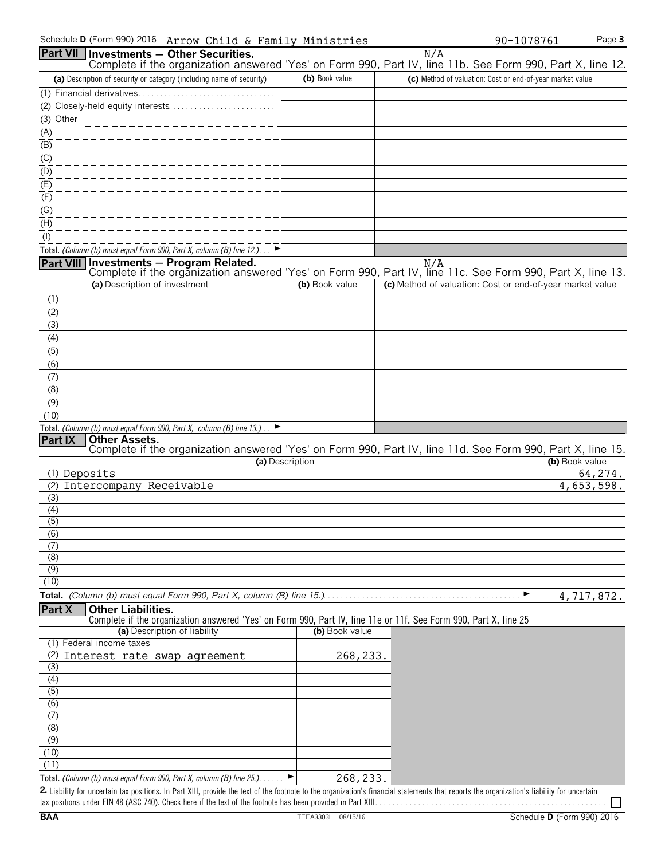| Schedule <b>D</b> (Form 990) 2016 Arrow Chi <u>ld &amp; Family Ministries</u>                              |                 |                                                           | $90 - 1078761$ | Page 3     |
|------------------------------------------------------------------------------------------------------------|-----------------|-----------------------------------------------------------|----------------|------------|
| <b>Part VII</b><br>Investments - Other Securities.                                                         |                 | N/A                                                       |                |            |
| Complete if the organization answered 'Yes' on Form 990, Part IV, line 11b. See Form 990, Part X, line 12. |                 |                                                           |                |            |
| (a) Description of security or category (including name of security)                                       | (b) Book value  | (c) Method of valuation: Cost or end-of-year market value |                |            |
| (1) Financial derivatives                                                                                  |                 |                                                           |                |            |
| (2) Closely-held equity interests                                                                          |                 |                                                           |                |            |
| (3) Other                                                                                                  |                 |                                                           |                |            |
| (A)                                                                                                        |                 |                                                           |                |            |
| (B)                                                                                                        |                 |                                                           |                |            |
| (C)                                                                                                        |                 |                                                           |                |            |
| $\overline{(\mathsf{D})}$                                                                                  |                 |                                                           |                |            |
| (E)                                                                                                        |                 |                                                           |                |            |
| (F)                                                                                                        |                 |                                                           |                |            |
| (G)                                                                                                        |                 |                                                           |                |            |
| (H)                                                                                                        |                 |                                                           |                |            |
| $($ l $)$                                                                                                  |                 |                                                           |                |            |
| Total. (Column (b) must equal Form 990, Part X, column (B) line $12$ .)                                    |                 |                                                           |                |            |
| Investments - Program Related.<br>Part VIII                                                                |                 | N/A                                                       |                |            |
| Complete if the organization answered 'Yes' on Form 990, Part IV, line 11c. See Form 990, Part X, line 13. |                 |                                                           |                |            |
| (a) Description of investment                                                                              | (b) Book value  | (c) Method of valuation: Cost or end-of-year market value |                |            |
| (1)                                                                                                        |                 |                                                           |                |            |
| (2)                                                                                                        |                 |                                                           |                |            |
| (3)                                                                                                        |                 |                                                           |                |            |
| (4)                                                                                                        |                 |                                                           |                |            |
| (5)                                                                                                        |                 |                                                           |                |            |
| (6)                                                                                                        |                 |                                                           |                |            |
| (7)                                                                                                        |                 |                                                           |                |            |
| (8)                                                                                                        |                 |                                                           |                |            |
| (9)                                                                                                        |                 |                                                           |                |            |
| (10)                                                                                                       |                 |                                                           |                |            |
| Total. (Column (b) must equal Form 990, Part X, column (B) line 13.).<br>▸                                 |                 |                                                           |                |            |
| <b>Other Assets.</b><br>Part IX                                                                            |                 |                                                           |                |            |
| Complete if the organization answered 'Yes' on Form 990, Part IV, line 11d. See Form 990, Part X, line 15. |                 |                                                           |                |            |
|                                                                                                            | (a) Description |                                                           | (b) Book value |            |
| (1) Deposits                                                                                               |                 |                                                           |                | 64,274.    |
| Intercompany Receivable<br>(2)                                                                             |                 |                                                           |                | 4,653,598. |
| (3)                                                                                                        |                 |                                                           |                |            |
| (4)                                                                                                        |                 |                                                           |                |            |
| (5)<br>(6)                                                                                                 |                 |                                                           |                |            |
| (7)                                                                                                        |                 |                                                           |                |            |
| (8)                                                                                                        |                 |                                                           |                |            |
| (9)                                                                                                        |                 |                                                           |                |            |
|                                                                                                            |                 |                                                           |                |            |

(10)

**Total.** *(Column (b) must equal Form 990, Part X, column (B) line 15.)*. . . . . . . . . . . . . . . . . . . . . . . . . . . . . . . . . . . . . . . . . . . . . . G

#### **Part X Other Liabilities.**

Complete if the organization answered 'Yes' on Form 990, Part IV, line 11e or 11f. See Form 990, Part X, line 25

| (a) Description of liability                                                              | (b) Book value |  |
|-------------------------------------------------------------------------------------------|----------------|--|
| (1) Federal income taxes                                                                  |                |  |
| (2) Interest rate swap agreement                                                          | 268,233.       |  |
| (3)                                                                                       |                |  |
| (4)                                                                                       |                |  |
| (5)                                                                                       |                |  |
| (6)                                                                                       |                |  |
|                                                                                           |                |  |
| (8)                                                                                       |                |  |
| (9)                                                                                       |                |  |
| (10)                                                                                      |                |  |
| (11)                                                                                      |                |  |
| <b>Total.</b> (Column (b) must equal Form 990, Part X, column (B) line $25$ .). $\dots$ . | 268,233.       |  |

2. Liability for uncertain tax positions. In Part XIII, provide the text of the footnote to the organization's financial statements that reports the organization's liability for uncertain tax positions under FIN 48 (ASC 740). Check here if the text of the footnote has been provided in Part XIII. . . . . . . . . . . . . . . . . . . . . . . . . . . . . . . . . . . . . . . . . . . . . . . . . . . . . .

4,717,872.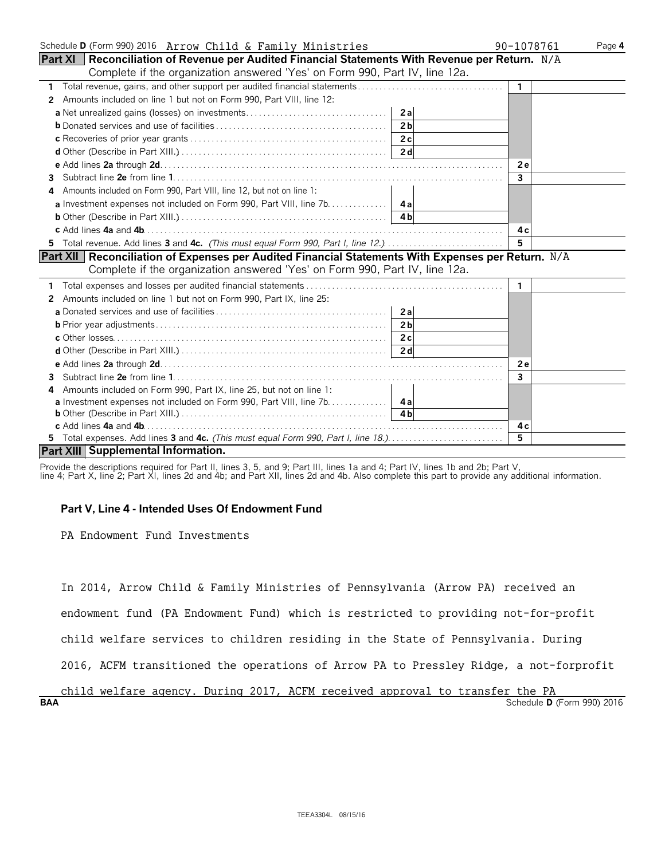| Schedule D (Form 990) 2016 Arrow Child & Family Ministries                                           | 90-1078761     | Page 4 |
|------------------------------------------------------------------------------------------------------|----------------|--------|
| Part XI   Reconciliation of Revenue per Audited Financial Statements With Revenue per Return. $N/A$  |                |        |
| Complete if the organization answered 'Yes' on Form 990, Part IV, line 12a.                          |                |        |
|                                                                                                      | $\mathbf{1}$   |        |
| Amounts included on line 1 but not on Form 990, Part VIII, line 12:<br>2                             |                |        |
|                                                                                                      |                |        |
| 2 <sub>b</sub>                                                                                       |                |        |
|                                                                                                      |                |        |
|                                                                                                      |                |        |
|                                                                                                      | <b>2e</b>      |        |
| 3.                                                                                                   | $\overline{3}$ |        |
| Amounts included on Form 990, Part VIII, line 12, but not on line 1:                                 |                |        |
| <b>a</b> Investment expenses not included on Form 990, Part VIII, line 7b. 4a                        |                |        |
|                                                                                                      |                |        |
|                                                                                                      | 4 c            |        |
| 5 Total revenue. Add lines 3 and 4c. (This must equal Form 990, Part I, line 12.)                    | 5              |        |
| Part XII   Reconciliation of Expenses per Audited Financial Statements With Expenses per Return. N/A |                |        |
| Complete if the organization answered 'Yes' on Form 990, Part IV, line 12a.                          |                |        |
|                                                                                                      | $\mathbf{1}$   |        |
| Amounts included on line 1 but not on Form 990, Part IX, line 25:<br>2                               |                |        |
|                                                                                                      |                |        |
| 2 <sub>h</sub>                                                                                       |                |        |
|                                                                                                      |                |        |
|                                                                                                      |                |        |
|                                                                                                      | <b>2e</b>      |        |
| 3                                                                                                    | 3              |        |
| Amounts included on Form 990, Part IX, line 25, but not on line 1:<br>4                              |                |        |
| a Investment expenses not included on Form 990, Part VIII, line 7b.   4a                             |                |        |
|                                                                                                      |                |        |
|                                                                                                      | 4 c            |        |
| 5 Total expenses. Add lines 3 and 4c. (This must equal Form 990, Part I, line 18.)                   | 5              |        |
| Part XIII Supplemental Information.                                                                  |                |        |

Provide the descriptions required for Part II, lines 3, 5, and 9; Part III, lines 1a and 4; Part IV, lines 1b and 2b; Part V,

#### line 4; Part X, line 2; Part XI, lines 2d and 4b; and Part XII, lines 2d and 4b. Also complete this part to provide any additional information.

#### **Part V, Line 4 - Intended Uses Of Endowment Fund**

PA Endowment Fund Investments

In 2014, Arrow Child & Family Ministries of Pennsylvania (Arrow PA) received an

endowment fund (PA Endowment Fund) which is restricted to providing not-for-profit

child welfare services to children residing in the State of Pennsylvania. During

2016, ACFM transitioned the operations of Arrow PA to Pressley Ridge, a not-forprofit

#### **BAA** Schedule **D** (Form 990) 2016 child welfare agency. During 2017, ACFM received approval to transfer the PA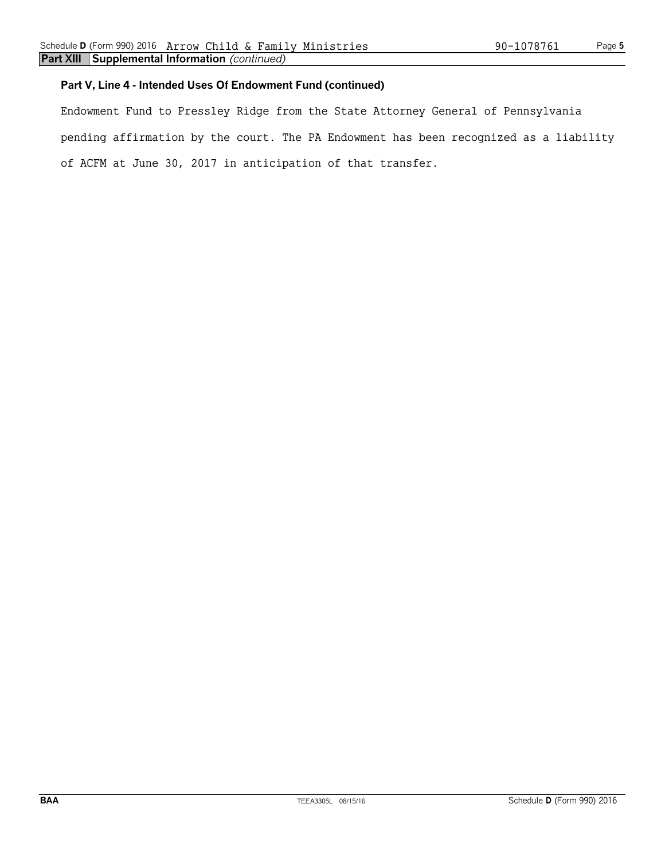### **Part V, Line 4 - Intended Uses Of Endowment Fund (continued)**

Endowment Fund to Pressley Ridge from the State Attorney General of Pennsylvania pending affirmation by the court. The PA Endowment has been recognized as a liability of ACFM at June 30, 2017 in anticipation of that transfer.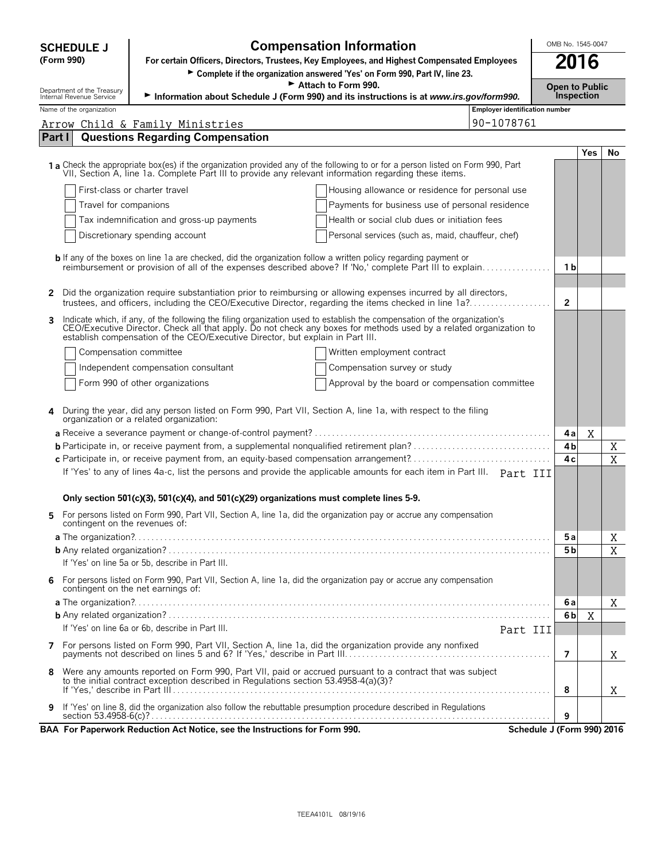|        | <b>SCHEDULE J</b>                                      | <b>Compensation Information</b>                                                                                                                                                                                                                                                                                                   |                                       |                | OMB No. 1545-0047                          |    |  |
|--------|--------------------------------------------------------|-----------------------------------------------------------------------------------------------------------------------------------------------------------------------------------------------------------------------------------------------------------------------------------------------------------------------------------|---------------------------------------|----------------|--------------------------------------------|----|--|
|        | (Form 990)                                             | For certain Officers, Directors, Trustees, Key Employees, and Highest Compensated Employees                                                                                                                                                                                                                                       |                                       |                | 2016                                       |    |  |
|        |                                                        | > Complete if the organization answered 'Yes' on Form 990, Part IV, line 23.                                                                                                                                                                                                                                                      |                                       |                |                                            |    |  |
|        | Department of the Treasury<br>Internal Revenue Service | Attach to Form 990.<br>Information about Schedule J (Form 990) and its instructions is at www.irs.gov/form990.                                                                                                                                                                                                                    |                                       |                | <b>Open to Public</b><br><b>Inspection</b> |    |  |
|        | Name of the organization                               |                                                                                                                                                                                                                                                                                                                                   | <b>Employer identification number</b> |                |                                            |    |  |
|        |                                                        | Arrow Child & Family Ministries                                                                                                                                                                                                                                                                                                   | 90-1078761                            |                |                                            |    |  |
| Part I |                                                        | <b>Questions Regarding Compensation</b>                                                                                                                                                                                                                                                                                           |                                       |                |                                            |    |  |
|        |                                                        |                                                                                                                                                                                                                                                                                                                                   |                                       |                | <b>Yes</b>                                 | No |  |
|        |                                                        | 1a Check the appropriate box(es) if the organization provided any of the following to or for a person listed on Form 990, Part<br>VII, Section A, line 1a. Complete Part III to provide any relevant information regarding these items.                                                                                           |                                       |                |                                            |    |  |
|        |                                                        | First-class or charter travel<br>Housing allowance or residence for personal use                                                                                                                                                                                                                                                  |                                       |                |                                            |    |  |
|        | Travel for companions                                  | Payments for business use of personal residence                                                                                                                                                                                                                                                                                   |                                       |                |                                            |    |  |
|        |                                                        | Tax indemnification and gross-up payments<br>Health or social club dues or initiation fees                                                                                                                                                                                                                                        |                                       |                |                                            |    |  |
|        |                                                        | Discretionary spending account<br>Personal services (such as, maid, chauffeur, chef)                                                                                                                                                                                                                                              |                                       |                |                                            |    |  |
|        |                                                        | <b>b</b> If any of the boxes on line 1a are checked, did the organization follow a written policy regarding payment or                                                                                                                                                                                                            |                                       |                |                                            |    |  |
|        |                                                        | reimbursement or provision of all of the expenses described above? If 'No,' complete Part III to explain                                                                                                                                                                                                                          |                                       | 1 b            |                                            |    |  |
|        |                                                        |                                                                                                                                                                                                                                                                                                                                   |                                       |                |                                            |    |  |
|        |                                                        | Did the organization require substantiation prior to reimbursing or allowing expenses incurred by all directors,<br>trustees, and officers, including the CEO/Executive Director, regarding the items checked in line 1a?                                                                                                         |                                       | $\overline{2}$ |                                            |    |  |
|        |                                                        |                                                                                                                                                                                                                                                                                                                                   |                                       |                |                                            |    |  |
| 3      |                                                        | Indicate which, if any, of the following the filing organization used to establish the compensation of the organization's<br>CEO/Executive Director. Check all that apply. Do not check any boxes for methods used by a related organization to<br>establish compensation of the CEO/Executive Director, but explain in Part III. |                                       |                |                                            |    |  |
|        |                                                        | Compensation committee<br>Written employment contract                                                                                                                                                                                                                                                                             |                                       |                |                                            |    |  |
|        |                                                        | Independent compensation consultant<br>Compensation survey or study                                                                                                                                                                                                                                                               |                                       |                |                                            |    |  |
|        |                                                        | Form 990 of other organizations<br>Approval by the board or compensation committee                                                                                                                                                                                                                                                |                                       |                |                                            |    |  |
|        |                                                        |                                                                                                                                                                                                                                                                                                                                   |                                       |                |                                            |    |  |
|        |                                                        | During the year, did any person listed on Form 990, Part VII, Section A, line 1a, with respect to the filing<br>organization or a related organization:                                                                                                                                                                           |                                       |                |                                            |    |  |
|        |                                                        |                                                                                                                                                                                                                                                                                                                                   |                                       | 4a             | X                                          |    |  |
|        |                                                        |                                                                                                                                                                                                                                                                                                                                   |                                       | 4b             |                                            | Χ  |  |
|        |                                                        | c Participate in, or receive payment from, an equity-based compensation arrangement?<br>If 'Yes' to any of lines 4a-c, list the persons and provide the applicable amounts for each item in Part III. Part III                                                                                                                    |                                       | 4c             |                                            | X  |  |
|        |                                                        |                                                                                                                                                                                                                                                                                                                                   |                                       |                |                                            |    |  |
|        |                                                        | Only section 501(c)(3), 501(c)(4), and 501(c)(29) organizations must complete lines 5-9.                                                                                                                                                                                                                                          |                                       |                |                                            |    |  |
|        |                                                        | For persons listed on Form 990, Part VII, Section A, line 1a, did the organization pay or accrue any compensation                                                                                                                                                                                                                 |                                       |                |                                            |    |  |
|        | contingent on the revenues of:                         |                                                                                                                                                                                                                                                                                                                                   |                                       |                |                                            |    |  |
|        |                                                        |                                                                                                                                                                                                                                                                                                                                   |                                       | 5 a            |                                            | Χ  |  |
|        |                                                        | If 'Yes' on line 5a or 5b, describe in Part III.                                                                                                                                                                                                                                                                                  |                                       | 5 <sub>b</sub> |                                            | X  |  |
|        |                                                        |                                                                                                                                                                                                                                                                                                                                   |                                       |                |                                            |    |  |
| 6      |                                                        | For persons listed on Form 990, Part VII, Section A, line 1a, did the organization pay or accrue any compensation<br>contingent on the net earnings of:                                                                                                                                                                           |                                       |                |                                            |    |  |
|        |                                                        |                                                                                                                                                                                                                                                                                                                                   |                                       | 6a             |                                            | X  |  |
|        |                                                        |                                                                                                                                                                                                                                                                                                                                   |                                       | 6b             | X                                          |    |  |
|        |                                                        | If 'Yes' on line 6a or 6b, describe in Part III.                                                                                                                                                                                                                                                                                  | Part III                              |                |                                            |    |  |
|        |                                                        |                                                                                                                                                                                                                                                                                                                                   |                                       | $\overline{7}$ |                                            | X  |  |
| 8      |                                                        | Were any amounts reported on Form 990, Part VII, paid or accrued pursuant to a contract that was subject                                                                                                                                                                                                                          |                                       |                |                                            |    |  |
|        |                                                        | to the initial contract exception described in Regulations section 53.4958-4(a)(3)?                                                                                                                                                                                                                                               |                                       | 8              |                                            | X  |  |
| 9      |                                                        | If 'Yes' on line 8, did the organization also follow the rebuttable presumption procedure described in Regulations                                                                                                                                                                                                                |                                       |                |                                            |    |  |
|        |                                                        |                                                                                                                                                                                                                                                                                                                                   |                                       | 9              |                                            |    |  |
|        |                                                        | BAA For Paperwork Reduction Act Notice, see the Instructions for Form 990.                                                                                                                                                                                                                                                        | Schedule J (Form 990) 2016            |                |                                            |    |  |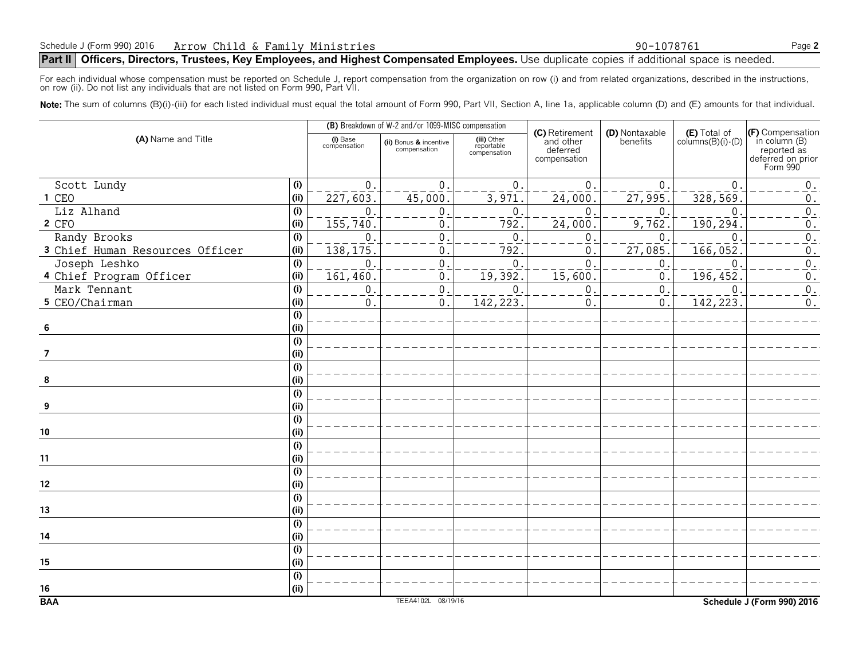#### **Part II** Officers, Directors, Trustees, Key Employees, and Highest Compensated Employees. Use duplicate copies if additional space is needed.

For each individual whose compensation must be reported on Schedule J, report compensation from the organization on row (i) and from related organizations, described in the instructions, on row (ii). Do not list any individuals that are not listed on Form 990, Part VII.

Note: The sum of columns (B)(i)-(iii) for each listed individual must equal the total amount of Form 990, Part VII, Section A, line 1a, applicable column (D) and (E) amounts for that individual.

|                                 |                           |                          | (B) Breakdown of W-2 and/or 1099-MISC compensation |                                           |                                                         |                            |                                            |                                                                                   |
|---------------------------------|---------------------------|--------------------------|----------------------------------------------------|-------------------------------------------|---------------------------------------------------------|----------------------------|--------------------------------------------|-----------------------------------------------------------------------------------|
| (A) Name and Title              |                           | (i) Base<br>compensation | (ii) Bonus & incentive<br>compensation             | (iii) Other<br>reportable<br>compensation | (C) Retirement<br>and other<br>deferred<br>compensation | (D) Nontaxable<br>benefits | $(E)$ Total of<br>columns $(B)(i)$ - $(D)$ | (F) Compensation<br>in column (B)<br>reported as<br>deferred on prior<br>Form 990 |
| Scott Lundy                     | (i)                       | $\mathbf{0}$ .           | $\mathbf 0$                                        | $\mathbf{0}$                              | $\overline{0}$                                          | $\Omega$                   | $\mathbf 0$                                | $0$ .                                                                             |
| 1 CEO                           | (i)                       | $\overline{227,603}$     | 45,000                                             | $\frac{1}{3}$ , 971                       | 24,000                                                  | $\overline{27,995}$        | 328,569                                    | $\boldsymbol{0}$ .                                                                |
| Liz Alhand                      | (i)                       | 0                        | $\boldsymbol{0}$                                   | $\mathbf{0}$                              | $\boldsymbol{0}$                                        | $\mathbf 0$                | $\mathbf 0$                                | $\overline{0}$ .                                                                  |
| 2 CFO                           | (i)                       | 155,740                  | 0                                                  | 792                                       | 24,000                                                  | 9,762                      | 190,294                                    | 0.                                                                                |
| Randy Brooks                    | (i)                       | 0                        | $\mathbf 0$                                        | $\mathbf{0}$                              | $\boldsymbol{0}$                                        | $\mathbf 0$                | $\mathsf 0$                                | $\overline{0}$ .                                                                  |
| 3 Chief Human Resources Officer | (i)                       | 138, 175                 | $\mathbf 0$                                        | 792                                       | $\mathbf 0$                                             | 27,085                     | 166,052                                    | $0$ .                                                                             |
| Joseph Leshko                   | (i)                       | 0                        | $\mathsf{O}\xspace$                                | $\mathbf{0}$                              | $\overline{0}$                                          | $\mathbf 0$                | $\overline{0}$                             | $\overline{0}$ .                                                                  |
| 4 Chief Program Officer         | (i)                       | 161,460                  | $\mathsf{O}\,$ .                                   | $\overline{19,392}$                       | $\overline{15,600}$                                     | $\mathbf{0}$               | 196,452                                    | $\boldsymbol{0}$ .                                                                |
| Mark Tennant                    | (i)                       | 0                        | $\mathsf{O}\xspace$                                | $\mathbf{0}$                              | $\pmb{0}$                                               | $\mathbf{0}$               | $\mathbf 0$                                | $\overline{0}$ .                                                                  |
| 5 CEO/Chairman                  | (i)                       | 0                        | 0.                                                 | 142, 223.                                 | $\boldsymbol{0}$                                        | $\mathbf 0$ .              | 142,223                                    | $0$ .                                                                             |
|                                 | (i)                       |                          |                                                    |                                           |                                                         |                            |                                            |                                                                                   |
| 6                               | (i)                       |                          |                                                    |                                           |                                                         |                            |                                            |                                                                                   |
|                                 | $\overline{(\mathsf{i})}$ |                          |                                                    |                                           |                                                         |                            |                                            |                                                                                   |
| $\overline{7}$                  | (i)                       |                          |                                                    |                                           |                                                         |                            |                                            |                                                                                   |
|                                 | $\overline{(\mathsf{i})}$ |                          |                                                    |                                           |                                                         |                            |                                            |                                                                                   |
| 8                               | (i)                       |                          |                                                    |                                           |                                                         |                            |                                            |                                                                                   |
|                                 | (i)                       |                          |                                                    |                                           |                                                         |                            |                                            |                                                                                   |
| 9                               | (i)                       |                          |                                                    |                                           |                                                         |                            |                                            |                                                                                   |
|                                 | (i)                       |                          |                                                    |                                           |                                                         |                            |                                            |                                                                                   |
| 10                              | (i)                       |                          |                                                    |                                           |                                                         |                            |                                            |                                                                                   |
|                                 | (i)                       |                          |                                                    |                                           |                                                         |                            |                                            |                                                                                   |
| 11                              | (i)                       |                          |                                                    |                                           |                                                         |                            |                                            |                                                                                   |
|                                 | (i)                       |                          |                                                    |                                           |                                                         |                            |                                            |                                                                                   |
| 12                              | (i)                       |                          |                                                    |                                           |                                                         |                            |                                            |                                                                                   |
|                                 | $\overline{(\mathsf{i})}$ |                          |                                                    |                                           |                                                         |                            |                                            |                                                                                   |
| 13                              | (i)                       |                          |                                                    |                                           |                                                         |                            |                                            |                                                                                   |
|                                 | $\overline{(\mathsf{i})}$ |                          |                                                    |                                           |                                                         |                            |                                            |                                                                                   |
| 14                              | (i)                       |                          |                                                    |                                           |                                                         |                            |                                            |                                                                                   |
|                                 | (i)                       |                          |                                                    |                                           |                                                         |                            |                                            |                                                                                   |
| 15                              | (i)                       |                          |                                                    |                                           |                                                         |                            |                                            |                                                                                   |
|                                 | (i)                       |                          |                                                    |                                           |                                                         |                            |                                            |                                                                                   |
| $16\,$                          | (i)                       |                          |                                                    |                                           |                                                         |                            |                                            |                                                                                   |
| <b>BAA</b>                      |                           |                          | TEEA4102L 08/19/16                                 |                                           |                                                         |                            |                                            | Schedule J (Form 990) 2016                                                        |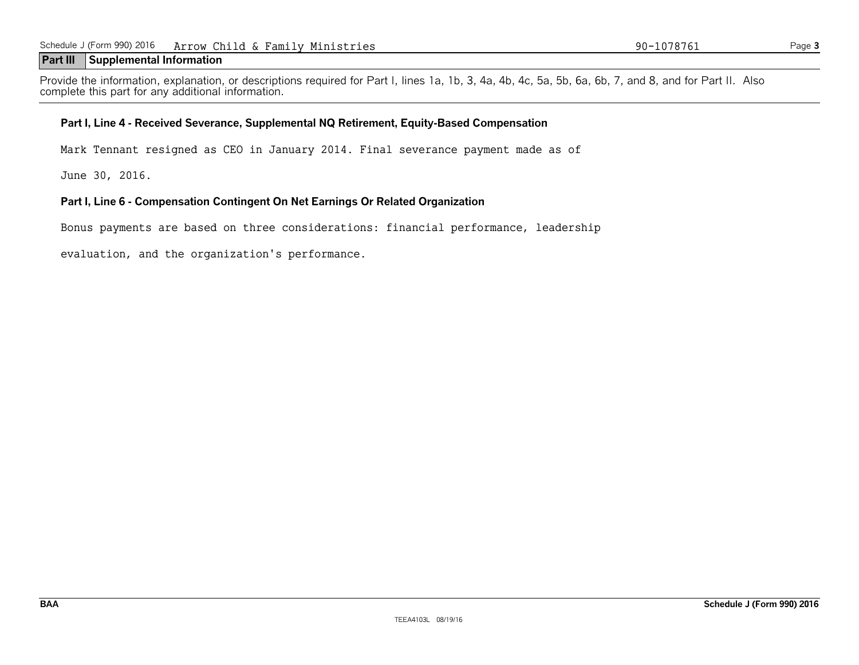#### **Part III Supplemental Information**

Provide the information, explanation, or descriptions required for Part I, lines 1a, 1b, 3, 4a, 4b, 4c, 5a, 5b, 6a, 6b, 7, and 8, and for Part II. Also complete this part for any additional information.

#### **Part I, Line 4 - Received Severance, Supplemental NQ Retirement, Equity-Based Compensation**

Mark Tennant resigned as CEO in January 2014. Final severance payment made as of

June 30, 2016.

#### **Part I, Line 6 - Compensation Contingent On Net Earnings Or Related Organization**

Bonus payments are based on three considerations: financial performance, leadership

evaluation, and the organization's performance.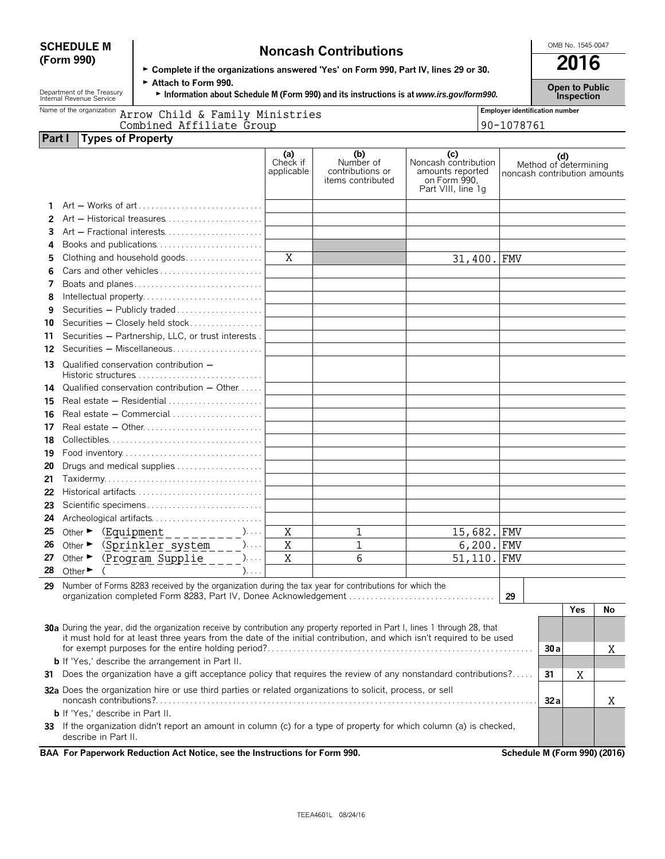# **SCHEDULE M Noncash Contributions Contributions CONDING.** 1545-0047<br> **Complete if the examinations answered "Yes' on Form 990, Bart IV, lines 29 or 30. <b>2016**

| ► Complete if the organizations answered 'Yes' on Form 990, Part IV, lines 29 or 30. |
|--------------------------------------------------------------------------------------|
| $\triangleright$ Attach to Form 990.                                                 |

Department of the Treasury **Fattach to Form 990.**<br>Information about Schedule M (Form 990) and its instructions is at *www.irs.gov/form990.* Inspection<br>Inspection

| Name of the organization Arrow Child & Family Ministries | <b>Employer identification number</b> |  |  |  |  |
|----------------------------------------------------------|---------------------------------------|--|--|--|--|
| Combined Affiliate Group                                 | 90-1078761                            |  |  |  |  |
| <b>Part I</b> Types of Property                          |                                       |  |  |  |  |

|                                                                                                                                                                                                                                                     | ╯                           |                                                                                                                                                                 |                               |                                                                  |                                                                                       |                              |     |                              |    |
|-----------------------------------------------------------------------------------------------------------------------------------------------------------------------------------------------------------------------------------------------------|-----------------------------|-----------------------------------------------------------------------------------------------------------------------------------------------------------------|-------------------------------|------------------------------------------------------------------|---------------------------------------------------------------------------------------|------------------------------|-----|------------------------------|----|
|                                                                                                                                                                                                                                                     |                             |                                                                                                                                                                 | (a)<br>Check if<br>applicable | (b)<br>Number of<br>contributions or<br><i>items</i> contributed | (c)<br>Noncash contribution<br>amounts reported<br>on Form 990.<br>Part VIII, line 1q | noncash contribution amounts |     | (d)<br>Method of determining |    |
| 1.                                                                                                                                                                                                                                                  |                             |                                                                                                                                                                 |                               |                                                                  |                                                                                       |                              |     |                              |    |
| 2                                                                                                                                                                                                                                                   |                             |                                                                                                                                                                 |                               |                                                                  |                                                                                       |                              |     |                              |    |
| 3.                                                                                                                                                                                                                                                  |                             | Art - Fractional interests                                                                                                                                      |                               |                                                                  |                                                                                       |                              |     |                              |    |
| 4                                                                                                                                                                                                                                                   |                             | Books and publications                                                                                                                                          |                               |                                                                  |                                                                                       |                              |     |                              |    |
| 5.                                                                                                                                                                                                                                                  |                             | Clothing and household goods                                                                                                                                    | $\overline{X}$                |                                                                  | 31,400. FMV                                                                           |                              |     |                              |    |
| 6                                                                                                                                                                                                                                                   |                             | Cars and other vehicles                                                                                                                                         |                               |                                                                  |                                                                                       |                              |     |                              |    |
| 7                                                                                                                                                                                                                                                   |                             | Boats and planes                                                                                                                                                |                               |                                                                  |                                                                                       |                              |     |                              |    |
| 8                                                                                                                                                                                                                                                   |                             | Intellectual property                                                                                                                                           |                               |                                                                  |                                                                                       |                              |     |                              |    |
| 9                                                                                                                                                                                                                                                   |                             | Securities - Publicly traded                                                                                                                                    |                               |                                                                  |                                                                                       |                              |     |                              |    |
| 10                                                                                                                                                                                                                                                  |                             | Securities - Closely held stock                                                                                                                                 |                               |                                                                  |                                                                                       |                              |     |                              |    |
| 11                                                                                                                                                                                                                                                  |                             | Securities - Partnership, LLC, or trust interests.                                                                                                              |                               |                                                                  |                                                                                       |                              |     |                              |    |
| 12                                                                                                                                                                                                                                                  |                             | Securities - Miscellaneous                                                                                                                                      |                               |                                                                  |                                                                                       |                              |     |                              |    |
|                                                                                                                                                                                                                                                     |                             |                                                                                                                                                                 |                               |                                                                  |                                                                                       |                              |     |                              |    |
| 13.                                                                                                                                                                                                                                                 |                             | Qualified conservation contribution -                                                                                                                           |                               |                                                                  |                                                                                       |                              |     |                              |    |
| 14                                                                                                                                                                                                                                                  |                             | Qualified conservation contribution - Other                                                                                                                     |                               |                                                                  |                                                                                       |                              |     |                              |    |
| 15                                                                                                                                                                                                                                                  |                             | Real estate $-$ Residential $\ldots$ , $\ldots$ , $\ldots$ , $\ldots$                                                                                           |                               |                                                                  |                                                                                       |                              |     |                              |    |
| 16                                                                                                                                                                                                                                                  |                             | Real estate - Commercial                                                                                                                                        |                               |                                                                  |                                                                                       |                              |     |                              |    |
| 17                                                                                                                                                                                                                                                  |                             |                                                                                                                                                                 |                               |                                                                  |                                                                                       |                              |     |                              |    |
| 18                                                                                                                                                                                                                                                  |                             |                                                                                                                                                                 |                               |                                                                  |                                                                                       |                              |     |                              |    |
| 19                                                                                                                                                                                                                                                  |                             |                                                                                                                                                                 |                               |                                                                  |                                                                                       |                              |     |                              |    |
| 20                                                                                                                                                                                                                                                  | Drugs and medical supplies  |                                                                                                                                                                 |                               |                                                                  |                                                                                       |                              |     |                              |    |
| 21                                                                                                                                                                                                                                                  |                             |                                                                                                                                                                 |                               |                                                                  |                                                                                       |                              |     |                              |    |
| 22                                                                                                                                                                                                                                                  |                             | Historical artifacts                                                                                                                                            |                               |                                                                  |                                                                                       |                              |     |                              |    |
| 23                                                                                                                                                                                                                                                  |                             | Scientific specimens                                                                                                                                            |                               |                                                                  |                                                                                       |                              |     |                              |    |
| 24                                                                                                                                                                                                                                                  |                             | Archeological artifacts                                                                                                                                         |                               |                                                                  |                                                                                       |                              |     |                              |    |
| 25                                                                                                                                                                                                                                                  |                             | Other $\triangleright$ (Equipment __________)                                                                                                                   | X                             | 1                                                                | 15,682. FMV                                                                           |                              |     |                              |    |
| 26                                                                                                                                                                                                                                                  |                             | Other $\triangleright$ (Sprinkler system _ _ _)                                                                                                                 | $\mathbf X$                   | $\mathbf 1$                                                      | $6, 200.$ FMV                                                                         |                              |     |                              |    |
| 27                                                                                                                                                                                                                                                  |                             | $\sum_{i=1}^{n}$<br>Other $\triangleright$ (Program Supplie ____                                                                                                | X                             | 6                                                                | 51,110. FMV                                                                           |                              |     |                              |    |
| 28                                                                                                                                                                                                                                                  | Other $\blacktriangleright$ | $). \ldots$                                                                                                                                                     |                               |                                                                  |                                                                                       |                              |     |                              |    |
| 29                                                                                                                                                                                                                                                  |                             | Number of Forms 8283 received by the organization during the tax year for contributions for which the                                                           |                               |                                                                  |                                                                                       |                              |     |                              |    |
|                                                                                                                                                                                                                                                     |                             | organization completed Form 8283, Part IV, Donee Acknowledgement                                                                                                |                               |                                                                  |                                                                                       | 29                           |     |                              |    |
|                                                                                                                                                                                                                                                     |                             |                                                                                                                                                                 |                               |                                                                  |                                                                                       |                              |     | Yes                          | No |
|                                                                                                                                                                                                                                                     |                             |                                                                                                                                                                 |                               |                                                                  |                                                                                       |                              |     |                              |    |
| 30a During the year, did the organization receive by contribution any property reported in Part I, lines 1 through 28, that<br>it must hold for at least three years from the date of the initial contribution, and which isn't required to be used |                             |                                                                                                                                                                 |                               |                                                                  |                                                                                       |                              |     |                              |    |
|                                                                                                                                                                                                                                                     |                             |                                                                                                                                                                 |                               |                                                                  |                                                                                       |                              | 30a |                              | Χ  |
| <b>b</b> If 'Yes,' describe the arrangement in Part II.                                                                                                                                                                                             |                             |                                                                                                                                                                 |                               |                                                                  |                                                                                       |                              |     |                              |    |
| Does the organization have a gift acceptance policy that requires the review of any nonstandard contributions?<br>31                                                                                                                                |                             |                                                                                                                                                                 |                               |                                                                  |                                                                                       |                              |     |                              |    |
| 32a Does the organization hire or use third parties or related organizations to solicit, process, or sell                                                                                                                                           |                             |                                                                                                                                                                 |                               |                                                                  |                                                                                       |                              |     |                              |    |
|                                                                                                                                                                                                                                                     |                             |                                                                                                                                                                 |                               |                                                                  |                                                                                       |                              | 32a |                              | Χ  |
|                                                                                                                                                                                                                                                     |                             | <b>b</b> If 'Yes,' describe in Part II.<br>33 If the organization didn't report an amount in column (c) for a type of property for which column (a) is checked, |                               |                                                                  |                                                                                       |                              |     |                              |    |
|                                                                                                                                                                                                                                                     | describe in Part II.        |                                                                                                                                                                 |                               |                                                                  |                                                                                       |                              |     |                              |    |

**BAA For Paperwork Reduction Act Notice, see the Instructions for Form 990. Schedule M (Form 990) (2016)**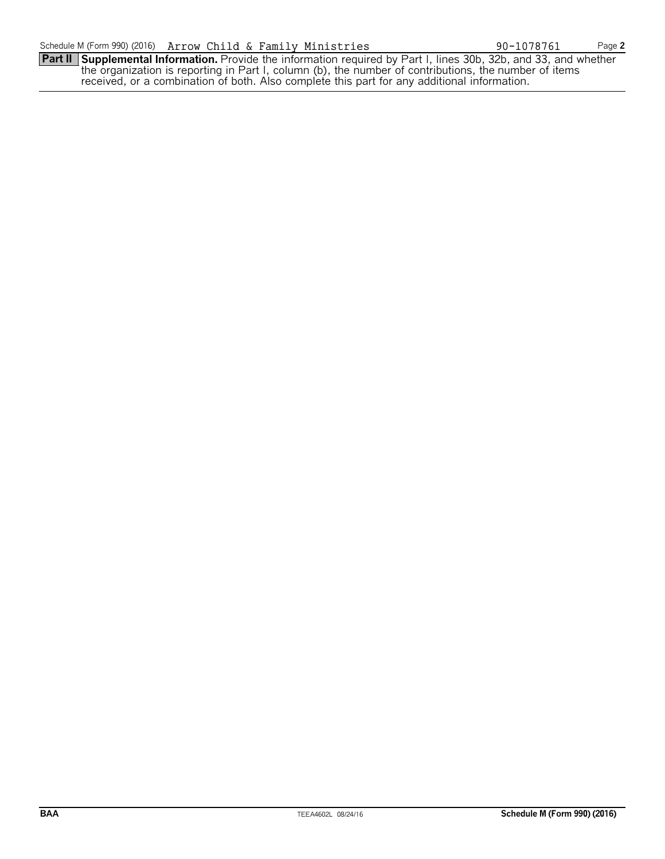**Part II Supplemental Information.** Provide the information required by Part I, lines 30b, 32b, and 33, and whether the organization is reporting in Part I, column (b), the number of contributions, the number of items received, or a combination of both. Also complete this part for any additional information.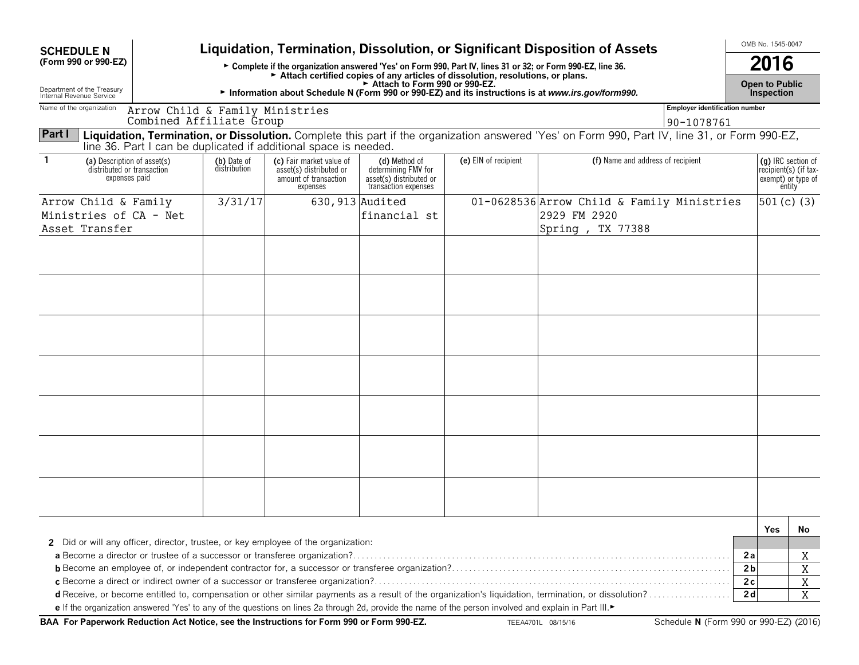| <b>SCHEDULE N</b>                                                          |                                                             |                             |                                                                                                                                                       |                                                                                                                 |                      | Liquidation, Termination, Dissolution, or Significant Disposition of Assets                                                                    |                                       |                      | OMB No. 1545-0047                                                           |        |
|----------------------------------------------------------------------------|-------------------------------------------------------------|-----------------------------|-------------------------------------------------------------------------------------------------------------------------------------------------------|-----------------------------------------------------------------------------------------------------------------|----------------------|------------------------------------------------------------------------------------------------------------------------------------------------|---------------------------------------|----------------------|-----------------------------------------------------------------------------|--------|
| (Form 990 or 990-EZ)                                                       |                                                             |                             |                                                                                                                                                       |                                                                                                                 |                      | ► Complete if the organization answered 'Yes' on Form 990, Part IV, lines 31 or 32; or Form 990-EZ, line 36.                                   |                                       |                      | 2016                                                                        |        |
| Department of the Treasury                                                 |                                                             |                             |                                                                                                                                                       | Attach certified copies of any articles of dissolution, resolutions, or plans.<br>Attach to Form 990 or 990-EZ. |                      |                                                                                                                                                |                                       |                      | <b>Open to Public</b>                                                       |        |
| Internal Revenue Service<br>Name of the organization                       |                                                             |                             |                                                                                                                                                       |                                                                                                                 |                      | Information about Schedule N (Form 990 or 990-EZ) and its instructions is at www.irs.gov/form990.                                              | <b>Employer identification number</b> |                      | <b>Inspection</b>                                                           |        |
|                                                                            | Arrow Child & Family Ministries<br>Combined Affiliate Group |                             |                                                                                                                                                       |                                                                                                                 |                      |                                                                                                                                                | 90-1078761                            |                      |                                                                             |        |
| Part I                                                                     |                                                             |                             |                                                                                                                                                       |                                                                                                                 |                      | Liquidation, Termination, or Dissolution. Complete this part if the organization answered 'Yes' on Form 990, Part IV, line 31, or Form 990-EZ, |                                       |                      |                                                                             |        |
|                                                                            |                                                             |                             | line 36. Part I can be duplicated if additional space is needed.                                                                                      |                                                                                                                 |                      |                                                                                                                                                |                                       |                      |                                                                             |        |
| (a) Description of asset(s)<br>distributed or transaction<br>expenses paid |                                                             | (b) Date of<br>distribution | (c) Fair market value of<br>asset(s) distributed or<br>amount of transaction<br>expenses                                                              | (d) Method of<br>determining FMV for<br>asset(s) distributed or<br>transaction expenses                         | (e) EIN of recipient | (f) Name and address of recipient                                                                                                              |                                       |                      | (q) IRC section of<br>recipient(s) (if tax-<br>exempt) or type of<br>entity |        |
| Arrow Child & Family                                                       |                                                             | 3/31/17                     |                                                                                                                                                       | 630, 913 Audited                                                                                                |                      | 01-0628536 Arrow Child & Family Ministries                                                                                                     |                                       |                      | 501 $(c)$ (3)                                                               |        |
| Ministries of CA - Net<br>Asset Transfer                                   |                                                             |                             |                                                                                                                                                       | financial st                                                                                                    |                      | 2929 FM 2920<br>Spring, TX 77388                                                                                                               |                                       |                      |                                                                             |        |
|                                                                            |                                                             |                             |                                                                                                                                                       |                                                                                                                 |                      |                                                                                                                                                |                                       |                      |                                                                             |        |
|                                                                            |                                                             |                             |                                                                                                                                                       |                                                                                                                 |                      |                                                                                                                                                |                                       |                      |                                                                             |        |
|                                                                            |                                                             |                             |                                                                                                                                                       |                                                                                                                 |                      |                                                                                                                                                |                                       |                      |                                                                             |        |
|                                                                            |                                                             |                             |                                                                                                                                                       |                                                                                                                 |                      |                                                                                                                                                |                                       |                      |                                                                             |        |
|                                                                            |                                                             |                             |                                                                                                                                                       |                                                                                                                 |                      |                                                                                                                                                |                                       |                      |                                                                             |        |
|                                                                            |                                                             |                             |                                                                                                                                                       |                                                                                                                 |                      |                                                                                                                                                |                                       |                      |                                                                             |        |
|                                                                            |                                                             |                             |                                                                                                                                                       |                                                                                                                 |                      |                                                                                                                                                |                                       |                      |                                                                             |        |
|                                                                            |                                                             |                             |                                                                                                                                                       |                                                                                                                 |                      |                                                                                                                                                |                                       |                      |                                                                             |        |
|                                                                            |                                                             |                             |                                                                                                                                                       |                                                                                                                 |                      |                                                                                                                                                |                                       |                      |                                                                             |        |
|                                                                            |                                                             |                             |                                                                                                                                                       |                                                                                                                 |                      |                                                                                                                                                |                                       |                      |                                                                             |        |
|                                                                            |                                                             |                             |                                                                                                                                                       |                                                                                                                 |                      |                                                                                                                                                |                                       |                      |                                                                             |        |
|                                                                            |                                                             |                             |                                                                                                                                                       |                                                                                                                 |                      |                                                                                                                                                |                                       |                      |                                                                             |        |
|                                                                            |                                                             |                             |                                                                                                                                                       |                                                                                                                 |                      |                                                                                                                                                |                                       |                      |                                                                             |        |
|                                                                            |                                                             |                             |                                                                                                                                                       |                                                                                                                 |                      |                                                                                                                                                |                                       |                      | Yes                                                                         | No     |
|                                                                            |                                                             |                             | 2 Did or will any officer, director, trustee, or key employee of the organization:                                                                    |                                                                                                                 |                      |                                                                                                                                                |                                       |                      |                                                                             |        |
|                                                                            |                                                             |                             |                                                                                                                                                       |                                                                                                                 |                      |                                                                                                                                                |                                       | 2a                   |                                                                             | Χ      |
|                                                                            |                                                             |                             |                                                                                                                                                       |                                                                                                                 |                      |                                                                                                                                                |                                       | 2 <sub>b</sub>       |                                                                             | X      |
|                                                                            |                                                             |                             |                                                                                                                                                       |                                                                                                                 |                      |                                                                                                                                                |                                       | 2c<br>2 <sub>d</sub> |                                                                             | X<br>X |
|                                                                            |                                                             |                             | e If the organization answered 'Yes' to any of the questions on lines 2a through 2d, provide the name of the person involved and explain in Part III. |                                                                                                                 |                      |                                                                                                                                                |                                       |                      |                                                                             |        |

BAA For Paperwork Reduction Act Notice, see the Instructions for Form 990 or Form 990-EZ. THE RAZION OB/15/16 Schedule N (Form 990 or 990-EZ) (2016)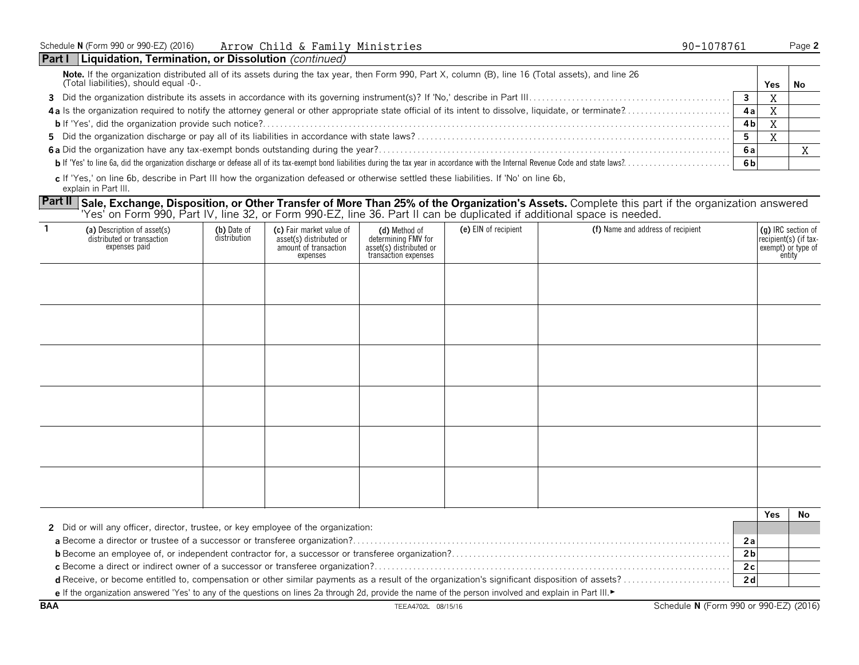| Schedule N (Form 990 or 990-EZ) (2016) | Arrow Child & Family Ministries |  | 90-1078761 | Page |
|----------------------------------------|---------------------------------|--|------------|------|
|----------------------------------------|---------------------------------|--|------------|------|

| Part I<br>  Liquidation, Termination, or Dissolution (continued)                                                                                                                              |      |     |    |
|-----------------------------------------------------------------------------------------------------------------------------------------------------------------------------------------------|------|-----|----|
| Note. If the organization distributed all of its assets during the tax year, then Form 990, Part X, column (B), line 16 (Total assets), and line 26<br>(Total liabilities), should equal -0-. |      | Yes | No |
|                                                                                                                                                                                               |      |     |    |
|                                                                                                                                                                                               | 4al  |     |    |
|                                                                                                                                                                                               | 4 bl |     |    |
|                                                                                                                                                                                               |      |     |    |
|                                                                                                                                                                                               | 6а   |     |    |
|                                                                                                                                                                                               | 6 b  |     |    |
|                                                                                                                                                                                               |      |     |    |

**c** If 'Yes,' on line 6b, describe in Part III how the organization defeased or otherwise settled these liabilities. If 'No' on line 6b, explain in Part III.

Part II Sale, Exchange, Disposition, or Other Transfer of More Than 25% of the Organization's Assets. Complete this part if the organization answered 'Yes' on Form 990, Part IV, line 32, or Form 990-EZ, line 36. Part II can be duplicated if additional space is needed.

| -1 | (a) Description of asset(s)<br>distributed or transaction<br>expenses paid         | (b) Date of<br>distribution | (c) Fair market value of<br>asset(s) distributed or<br>amount of transaction<br>expenses | (d) Method of<br>determining FMV for<br>asset(s) distributed or<br>transaction expenses | (e) EIN of recipient | (f) Name and address of recipient |                      | (g) IRC section of<br>recipient(s) (if tax-<br>exempt) or type of<br>entity |     |
|----|------------------------------------------------------------------------------------|-----------------------------|------------------------------------------------------------------------------------------|-----------------------------------------------------------------------------------------|----------------------|-----------------------------------|----------------------|-----------------------------------------------------------------------------|-----|
|    |                                                                                    |                             |                                                                                          |                                                                                         |                      |                                   |                      |                                                                             |     |
|    |                                                                                    |                             |                                                                                          |                                                                                         |                      |                                   |                      |                                                                             |     |
|    |                                                                                    |                             |                                                                                          |                                                                                         |                      |                                   |                      |                                                                             |     |
|    |                                                                                    |                             |                                                                                          |                                                                                         |                      |                                   |                      |                                                                             |     |
|    |                                                                                    |                             |                                                                                          |                                                                                         |                      |                                   |                      |                                                                             |     |
|    |                                                                                    |                             |                                                                                          |                                                                                         |                      |                                   |                      |                                                                             |     |
|    |                                                                                    |                             |                                                                                          |                                                                                         |                      |                                   |                      | Yes                                                                         | No. |
|    | 2 Did or will any officer, director, trustee, or key employee of the organization: |                             |                                                                                          |                                                                                         |                      |                                   |                      |                                                                             |     |
|    |                                                                                    |                             |                                                                                          |                                                                                         |                      |                                   | 2a                   |                                                                             |     |
|    |                                                                                    |                             |                                                                                          |                                                                                         |                      |                                   | 2 <sub>b</sub><br>2c |                                                                             |     |
|    |                                                                                    |                             |                                                                                          |                                                                                         |                      |                                   |                      |                                                                             |     |

**d** Receive, or become entitled to, compensation or other similar payments as a result of the organization's significant disposition of assets? . . . . . . . . . . . . . . . . . . . . . . . . . **2 d e** If the organization answered 'Yes' to any of the questions on lines 2a through 2d, provide the name of the person involved and explain in Part III.►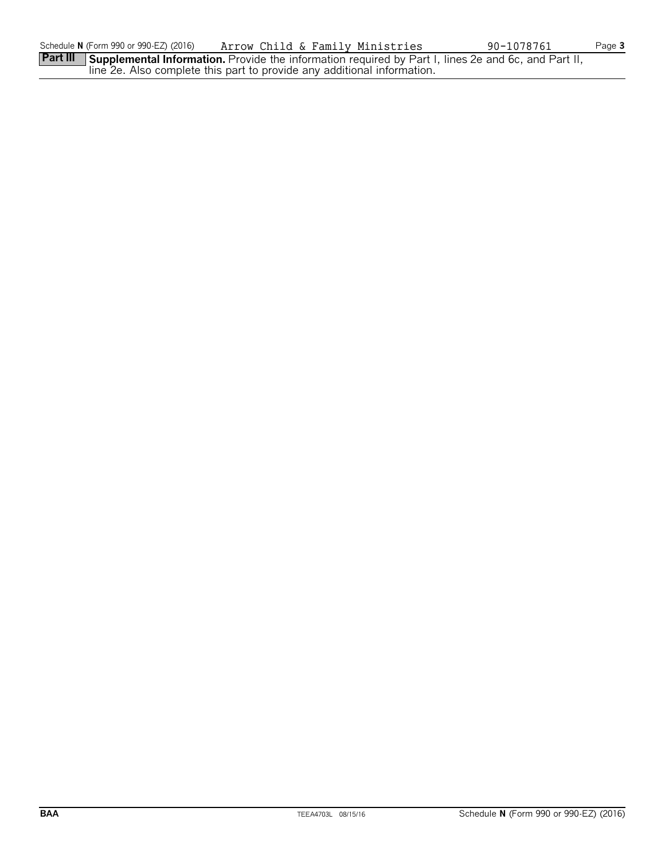Part III Supplemental Information. Provide the information required by Part I, lines 2e and 6c, and Part II, line 2e. Also complete this part to provide any additional information.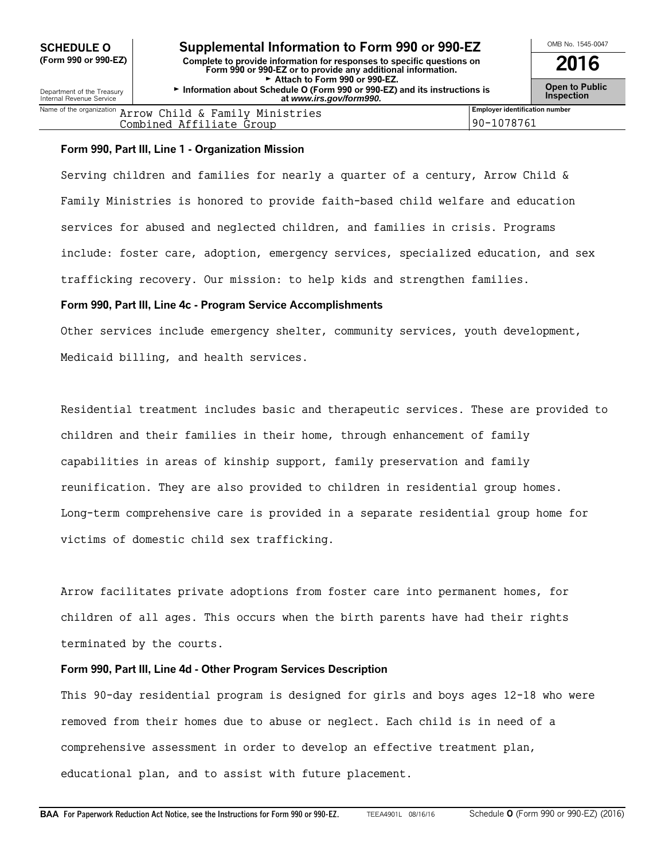| Name of the organization $\pi$ | Child & Family Ministries<br>Arrow | Employer identification number |
|--------------------------------|------------------------------------|--------------------------------|
|                                | Affiliate<br>Combined<br>Group ؛   | 8761<br>10                     |
|                                |                                    |                                |

#### **Form 990, Part III, Line 1 - Organization Mission**

Serving children and families for nearly a quarter of a century, Arrow Child & Family Ministries is honored to provide faith-based child welfare and education services for abused and neglected children, and families in crisis. Programs include: foster care, adoption, emergency services, specialized education, and sex trafficking recovery. Our mission: to help kids and strengthen families.

#### **Form 990, Part III, Line 4c - Program Service Accomplishments**

Other services include emergency shelter, community services, youth development, Medicaid billing, and health services.

Residential treatment includes basic and therapeutic services. These are provided to children and their families in their home, through enhancement of family capabilities in areas of kinship support, family preservation and family reunification. They are also provided to children in residential group homes. Long-term comprehensive care is provided in a separate residential group home for victims of domestic child sex trafficking.

Arrow facilitates private adoptions from foster care into permanent homes, for children of all ages. This occurs when the birth parents have had their rights terminated by the courts.

#### **Form 990, Part III, Line 4d - Other Program Services Description**

This 90-day residential program is designed for girls and boys ages 12-18 who were removed from their homes due to abuse or neglect. Each child is in need of a comprehensive assessment in order to develop an effective treatment plan, educational plan, and to assist with future placement.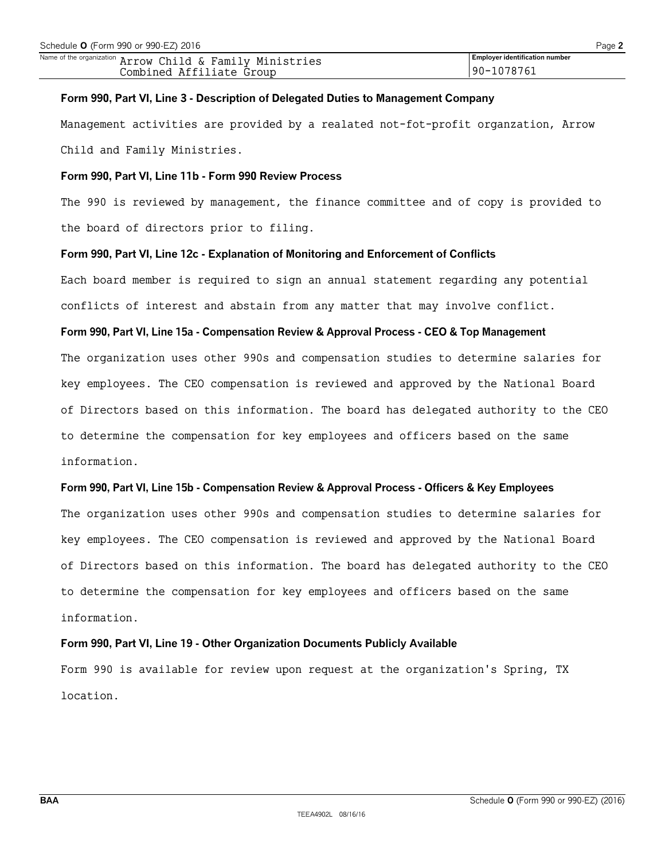#### **Form 990, Part VI, Line 3 - Description of Delegated Duties to Management Company**

Management activities are provided by a realated not-fot-profit organzation, Arrow Child and Family Ministries.

#### **Form 990, Part VI, Line 11b - Form 990 Review Process**

The 990 is reviewed by management, the finance committee and of copy is provided to the board of directors prior to filing.

#### **Form 990, Part VI, Line 12c - Explanation of Monitoring and Enforcement of Conflicts**

Each board member is required to sign an annual statement regarding any potential conflicts of interest and abstain from any matter that may involve conflict.

#### **Form 990, Part VI, Line 15a - Compensation Review & Approval Process - CEO & Top Management**

The organization uses other 990s and compensation studies to determine salaries for key employees. The CEO compensation is reviewed and approved by the National Board of Directors based on this information. The board has delegated authority to the CEO to determine the compensation for key employees and officers based on the same information.

#### **Form 990, Part VI, Line 15b - Compensation Review & Approval Process - Officers & Key Employees**

The organization uses other 990s and compensation studies to determine salaries for key employees. The CEO compensation is reviewed and approved by the National Board of Directors based on this information. The board has delegated authority to the CEO to determine the compensation for key employees and officers based on the same information.

#### **Form 990, Part VI, Line 19 - Other Organization Documents Publicly Available**

Form 990 is available for review upon request at the organization's Spring, TX location.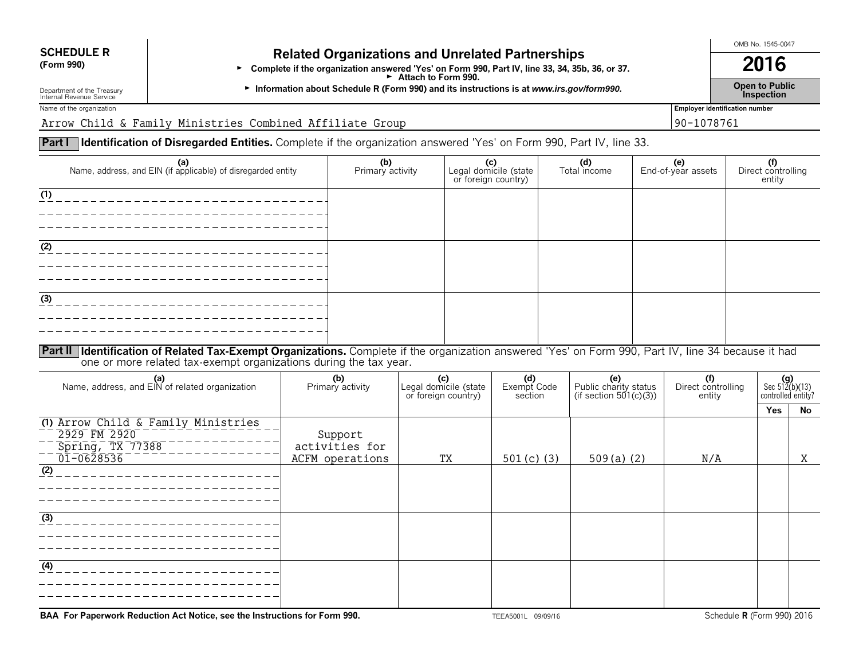# **SCHEDULE R Related Organizations and Unrelated Partnerships**<br>(Form 990) **Related Organization arguered "Yes' on Form 990, Bort IV, line 32, 24, 254**

**Exercice of gamizations and on clated if antiferently and struct of the organization answered 'Yes' on Form 990, Part IV, line 33, 34, 35b, 36, or 37. 2016** Attach to Form 990.

G **Open to Public** Department of the Treasury **Information about Schedule R (Form 990) and its instructions is at** *www.irs.gov/form990.* Internal Revenue Service **Inspection**

Name of the organization **Employer identification number** 

Arrow Child & Family Ministries Combined Affiliate Group 90-1078761

### **Part I Identification of Disregarded Entities.** Complete if the organization answered 'Yes' on Form 990, Part IV, line 33.

| (a)<br>Name, address, and EIN (if applicable) of disregarded entity                                                                                          | (b)<br>Primary activity | (c)<br>Legal domicile (state<br>or foreign country) | (d)<br>Total income | <b>(e)</b><br>End-of-year assets | (f)<br>Direct controlling<br>entity |
|--------------------------------------------------------------------------------------------------------------------------------------------------------------|-------------------------|-----------------------------------------------------|---------------------|----------------------------------|-------------------------------------|
| (1)                                                                                                                                                          |                         |                                                     |                     |                                  |                                     |
|                                                                                                                                                              |                         |                                                     |                     |                                  |                                     |
|                                                                                                                                                              |                         |                                                     |                     |                                  |                                     |
|                                                                                                                                                              |                         |                                                     |                     |                                  |                                     |
| (2)                                                                                                                                                          |                         |                                                     |                     |                                  |                                     |
|                                                                                                                                                              |                         |                                                     |                     |                                  |                                     |
|                                                                                                                                                              |                         |                                                     |                     |                                  |                                     |
| (3)                                                                                                                                                          |                         |                                                     |                     |                                  |                                     |
|                                                                                                                                                              |                         |                                                     |                     |                                  |                                     |
|                                                                                                                                                              |                         |                                                     |                     |                                  |                                     |
| <b>Dart II Identification of Delated Tay Evannit Quantizations</b> Complete if the examination appurered Wesler December December 11/ Jine 24 because it had |                         |                                                     |                     |                                  |                                     |
|                                                                                                                                                              |                         |                                                     |                     |                                  |                                     |

**Part II** Identification of Related Tax-Exempt Organizations. Complete if the organization answered 'Yes' on Form 990, Part IV, line 34 because it had one or more related tax-exempt organizations during the tax year.

| (a)<br>Name, address, and EIN of related organization                   | (b)<br>Primary activity   | Legal domicile (state<br>or foreign country) | (d)<br>Exempt Code<br>section | (e)<br>Public charity status<br>(if section $501(c)(3)$ ) | (f)<br>Direct controlling<br>entity | $(g)$<br>Sec 512(b)(13)<br>controlled entity? |    |
|-------------------------------------------------------------------------|---------------------------|----------------------------------------------|-------------------------------|-----------------------------------------------------------|-------------------------------------|-----------------------------------------------|----|
|                                                                         |                           |                                              |                               |                                                           |                                     | <b>Yes</b>                                    | No |
| (1) Arrow Child & Family Ministries<br>2929 FM 2920<br>Spring, TX 77388 | Support<br>activities for |                                              |                               |                                                           |                                     |                                               |    |
| 01-0628536<br>(2)                                                       | ACFM operations           | TX                                           | 501 $(c)$ (3)                 | $509(a)$ (2)                                              | N/A                                 |                                               | Χ  |
|                                                                         |                           |                                              |                               |                                                           |                                     |                                               |    |
| $\overline{(3)}$                                                        |                           |                                              |                               |                                                           |                                     |                                               |    |
| (4)                                                                     |                           |                                              |                               |                                                           |                                     |                                               |    |

**BAA For Paperwork Reduction Act Notice, see the Instructions for Form 990.** TEEA5001L 09/09/16 Schedule **R** (Form 990) 2016

OMB No. 1545-0047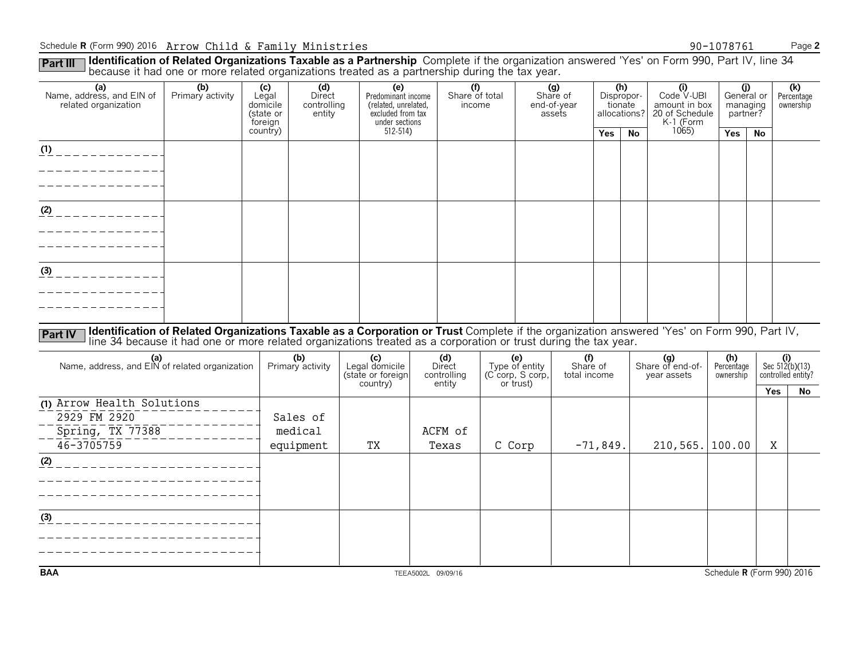#### Schedule **R** (Form 990) 2016 Page **2** Arrow Child & Family Ministries 90-1078761

Part III Identification of Related Organizations Taxable as a Partnership Complete if the organization answered 'Yes' on Form 990, Part IV, line 34<br>because it had one or more related organizations treated as a partnership

|                                                                                  |                                                                                                                                                                                                                                                                |                                                  |                                        |                                                                                                     |                                                     | ັ |                                                        |                                          |            |                                              |                                                                   |                             |                 |                                               |
|----------------------------------------------------------------------------------|----------------------------------------------------------------------------------------------------------------------------------------------------------------------------------------------------------------------------------------------------------------|--------------------------------------------------|----------------------------------------|-----------------------------------------------------------------------------------------------------|-----------------------------------------------------|---|--------------------------------------------------------|------------------------------------------|------------|----------------------------------------------|-------------------------------------------------------------------|-----------------------------|-----------------|-----------------------------------------------|
| (a)<br>Name, address, and EIN of<br>related organization                         | (b)<br>Primary activity                                                                                                                                                                                                                                        | (c)<br>Legal<br>domicile<br>(state or<br>foreign | (d)<br>Direct<br>controlling<br>entity | $\overline{e}$<br>Predominant income<br>(related, unrelated,<br>excluded from tax<br>under sections | $\overline{(\text{f})}$<br>Share of total<br>income |   |                                                        | (g)<br>Share of<br>end-of-year<br>assets |            | (h)<br>Dispropor-<br>tionate<br>allocations? | (i)<br>Code V-UBI<br>amount in box<br>20 of Schedule<br>K-1 (Form | (j)<br>managing<br>partner? | General or      | $\overline{(k)}$<br>Percentage<br>ownership   |
|                                                                                  |                                                                                                                                                                                                                                                                | country)                                         |                                        | $512 - 514$                                                                                         |                                                     |   |                                                        |                                          | <b>Yes</b> | <b>No</b>                                    | 1065                                                              | Yes                         | <b>No</b>       |                                               |
| (1)                                                                              |                                                                                                                                                                                                                                                                |                                                  |                                        |                                                                                                     |                                                     |   |                                                        |                                          |            |                                              |                                                                   |                             |                 |                                               |
| $(2)$ _ _ _ _ _ _ _ _ _ _ _ _                                                    |                                                                                                                                                                                                                                                                |                                                  |                                        |                                                                                                     |                                                     |   |                                                        |                                          |            |                                              |                                                                   |                             |                 |                                               |
| $\frac{(3)}{2}$ - - - - - - - - - - - -                                          |                                                                                                                                                                                                                                                                |                                                  |                                        |                                                                                                     |                                                     |   |                                                        |                                          |            |                                              |                                                                   |                             |                 |                                               |
| <b>Part IV</b>                                                                   | Identification of Related Organizations Taxable as a Corporation or Trust Complete if the organization answered 'Yes' on Form 990, Part IV,<br>line 34 because it had one or more related organizations treated as a corporation or trust during the tax year. |                                                  | (b)                                    |                                                                                                     | (d)<br>Direct                                       |   |                                                        | (f)                                      |            |                                              |                                                                   | (h)                         |                 |                                               |
| (a)<br>Name, address, and EIN of related organization                            |                                                                                                                                                                                                                                                                |                                                  | Primary activity                       | (c)<br>Legal domicile<br>(state or foreign<br>country)                                              | controlling<br>entity                               |   | (e)<br>Type of entity<br>(C corp, S corp,<br>or trust) | Share of<br>total income                 |            |                                              | (g)<br>Share of end-of-<br>year assets                            | Percentage<br>ownership     |                 | (i)<br>Sec $512(b)(13)$<br>controlled entity? |
| (1) Arrow Health Solutions<br>2929 FM 2920<br>Spring, TX 77388<br>$46 - 3705759$ |                                                                                                                                                                                                                                                                |                                                  | Sales of<br>medical<br>equipment       | TX                                                                                                  | ACFM of<br>Texas                                    |   | C Corp                                                 |                                          | $-71,849.$ |                                              | 210, 565.                                                         | 100.00                      | <b>Yes</b><br>Χ | No                                            |
| (2)                                                                              | ____________________                                                                                                                                                                                                                                           |                                                  |                                        |                                                                                                     |                                                     |   |                                                        |                                          |            |                                              |                                                                   |                             |                 |                                               |
| (3)                                                                              |                                                                                                                                                                                                                                                                |                                                  |                                        |                                                                                                     |                                                     |   |                                                        |                                          |            |                                              |                                                                   |                             |                 |                                               |
| <b>BAA</b>                                                                       |                                                                                                                                                                                                                                                                |                                                  |                                        |                                                                                                     | TEEA5002L 09/09/16                                  |   |                                                        |                                          |            |                                              |                                                                   |                             |                 | Schedule R (Form 990) 2016                    |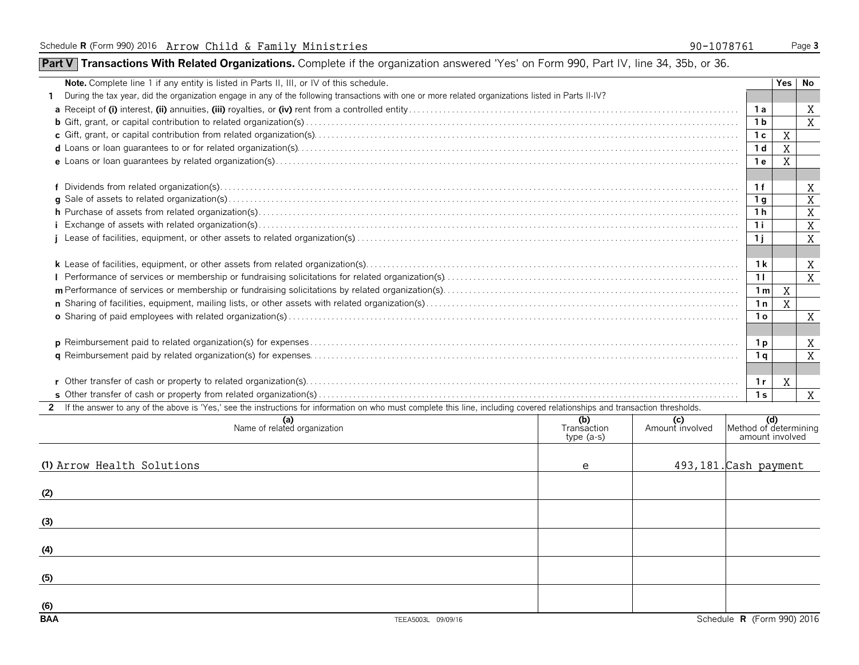## **Part V** Transactions With Related Organizations. Complete if the organization answered 'Yes' on Form 990, Part IV, line 34, 35b, or 36.

| <b>Note.</b> Complete line 1 if any entity is listed in Parts II, III, or IV of this schedule.                                                                                 |                | Yes l | No             |  |  |
|--------------------------------------------------------------------------------------------------------------------------------------------------------------------------------|----------------|-------|----------------|--|--|
| During the tax year, did the organization engage in any of the following transactions with one or more related organizations listed in Parts II-IV?                            |                |       |                |  |  |
|                                                                                                                                                                                | 1a             |       | X              |  |  |
|                                                                                                                                                                                | 1 <sub>b</sub> |       | X              |  |  |
|                                                                                                                                                                                | 1 <sub>c</sub> | X     |                |  |  |
|                                                                                                                                                                                | 1 <sub>d</sub> | X     |                |  |  |
|                                                                                                                                                                                | 1 e            | X     |                |  |  |
|                                                                                                                                                                                |                |       |                |  |  |
|                                                                                                                                                                                | 1f             |       | Χ              |  |  |
|                                                                                                                                                                                | 1 g            |       | $\overline{X}$ |  |  |
|                                                                                                                                                                                | 1 h            |       | X              |  |  |
|                                                                                                                                                                                | 1i             |       | X              |  |  |
|                                                                                                                                                                                | 1i             |       | X              |  |  |
|                                                                                                                                                                                |                |       |                |  |  |
|                                                                                                                                                                                | 1 k            |       | Χ              |  |  |
|                                                                                                                                                                                |                |       |                |  |  |
|                                                                                                                                                                                |                |       |                |  |  |
|                                                                                                                                                                                |                |       |                |  |  |
|                                                                                                                                                                                |                |       |                |  |  |
|                                                                                                                                                                                |                |       |                |  |  |
|                                                                                                                                                                                |                |       |                |  |  |
|                                                                                                                                                                                |                |       |                |  |  |
|                                                                                                                                                                                |                |       |                |  |  |
|                                                                                                                                                                                |                |       |                |  |  |
|                                                                                                                                                                                |                |       | X              |  |  |
| 2 If the answer to any of the above is 'Yes,' see the instructions for information on who must complete this line, including covered relationships and transaction thresholds. |                |       |                |  |  |
| (d)<br>Method of determining<br>(b)<br>(a)<br>Name of related organization<br>(c)<br>Amount involved<br>Transaction<br>amount involved<br>type $(a-s)$                         |                |       |                |  |  |

|                            | name or related organization | <i><b>Transaction</b></i><br>type (a-s) | Amount involved | Internod of determining<br>amount involved |
|----------------------------|------------------------------|-----------------------------------------|-----------------|--------------------------------------------|
| (1) Arrow Health Solutions |                              | e                                       |                 | 493, 181. Cash payment                     |
| (2)                        |                              |                                         |                 |                                            |
| (3)                        |                              |                                         |                 |                                            |
| (4)                        |                              |                                         |                 |                                            |
| (5)                        |                              |                                         |                 |                                            |
| $\underline{(6)}$          |                              |                                         |                 |                                            |
| <b>BAA</b>                 | TEEA5003L 09/09/16           |                                         |                 | Schedule R (Form 990) 2016                 |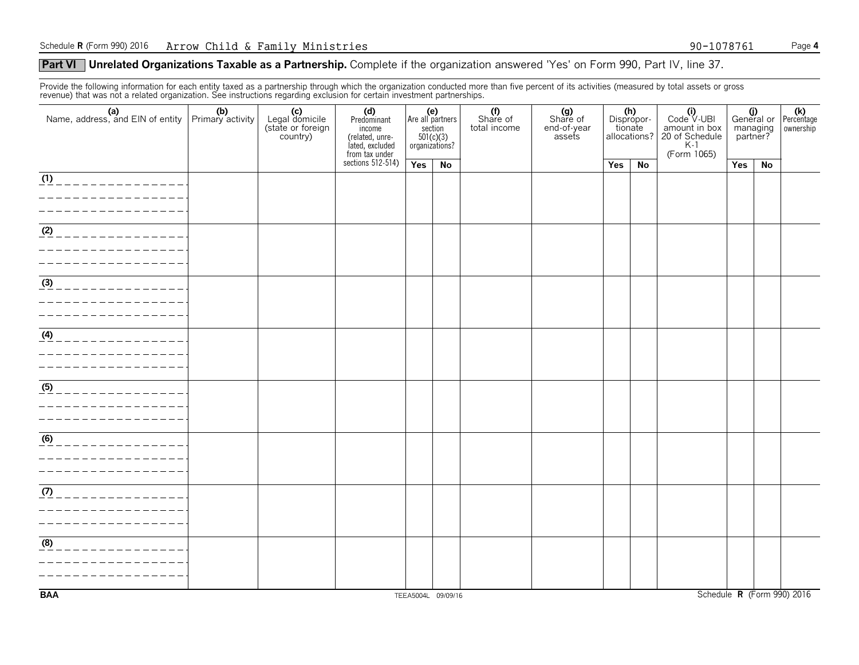#### **Part VI** Unrelated Organizations Taxable as a Partnership. Complete if the organization answered 'Yes' on Form 990, Part IV, line 37.

Provide the following information for each entity taxed as a partnership through which the organization conducted more than five percent of its activities (measured by total assets or gross revenue) that was not a related organization. See instructions regarding exclusion for certain investment partnerships.

| 0.0.1.20 mai mao moi a romioa organizationi obo moi: aotiono rogaranty onomaon nor oortam mrootmont partnorompo<br>Name, address, and EIN of entity $\begin{array}{ c c c c }\n\hline\n\text{Name, address, and EIN of entity} & \text{Primary activity}\n\hline\n\end{array}$ | (c)<br>Legal domicile<br>(state or foreign<br>country) | (d)<br>Predominant<br>income<br>(related, unre-<br>lated, excluded<br>from tax under |                    | (e)<br>Are all partners<br>section<br>$501(c)(3)$<br>organizations? | (f)<br>Share of<br>total income | (g)<br>Share of<br>end-of-year<br>assets | tionate | (h)<br>Dispropor-<br>allocations? | $(i)$<br>Code $\vee$ UBI<br>amount in box<br>20 of Schedule<br>K-1<br>(Form 1065) | managing<br>partner? |    | $\begin{array}{c c} \textbf{(j)} & \textbf{(k)} \\ \textbf{General or } \textbf{Percentage} \end{array}$<br>ownership |
|--------------------------------------------------------------------------------------------------------------------------------------------------------------------------------------------------------------------------------------------------------------------------------|--------------------------------------------------------|--------------------------------------------------------------------------------------|--------------------|---------------------------------------------------------------------|---------------------------------|------------------------------------------|---------|-----------------------------------|-----------------------------------------------------------------------------------|----------------------|----|-----------------------------------------------------------------------------------------------------------------------|
|                                                                                                                                                                                                                                                                                |                                                        | sections $512-514$ )                                                                 | Yes                | No                                                                  |                                 |                                          | Yes     | No                                |                                                                                   | Yes                  | No |                                                                                                                       |
| $\overline{(1)}$<br>_____________                                                                                                                                                                                                                                              |                                                        |                                                                                      |                    |                                                                     |                                 |                                          |         |                                   |                                                                                   |                      |    |                                                                                                                       |
| (2)                                                                                                                                                                                                                                                                            |                                                        |                                                                                      |                    |                                                                     |                                 |                                          |         |                                   |                                                                                   |                      |    |                                                                                                                       |
| $\frac{1}{(3)}$<br>______________                                                                                                                                                                                                                                              |                                                        |                                                                                      |                    |                                                                     |                                 |                                          |         |                                   |                                                                                   |                      |    |                                                                                                                       |
| $\frac{4}{4}$ _ _ _ _ _ _ _ _ _ _ _ _ _ _ _ _ _                                                                                                                                                                                                                                |                                                        |                                                                                      |                    |                                                                     |                                 |                                          |         |                                   |                                                                                   |                      |    |                                                                                                                       |
| (5)<br>______________                                                                                                                                                                                                                                                          |                                                        |                                                                                      |                    |                                                                     |                                 |                                          |         |                                   |                                                                                   |                      |    |                                                                                                                       |
| (6)                                                                                                                                                                                                                                                                            |                                                        |                                                                                      |                    |                                                                     |                                 |                                          |         |                                   |                                                                                   |                      |    |                                                                                                                       |
| $\frac{(\eta)}{\eta}$ _ _ _ _ _ _ _ _ _ _ _ _ _ _ _ _ _<br>_ _ _ _ _ _ _ _ _ _ _ _ _ _ _<br>_ _ _ _ _ _ _ _ _ _ _ _ _ _ _ _ _ _                                                                                                                                                |                                                        |                                                                                      |                    |                                                                     |                                 |                                          |         |                                   |                                                                                   |                      |    |                                                                                                                       |
| (8)<br>____________                                                                                                                                                                                                                                                            |                                                        |                                                                                      |                    |                                                                     |                                 |                                          |         |                                   |                                                                                   |                      |    |                                                                                                                       |
| <b>BAA</b>                                                                                                                                                                                                                                                                     |                                                        |                                                                                      | TEEA5004L 09/09/16 |                                                                     |                                 |                                          |         |                                   |                                                                                   |                      |    | Schedule R (Form 990) 2016                                                                                            |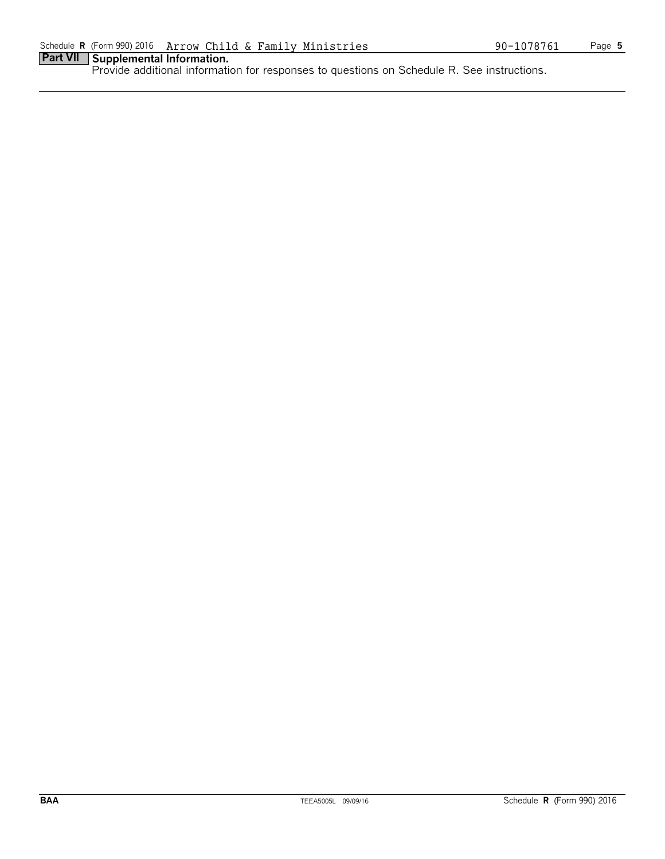## **Part VII Supplemental Information.**

Provide additional information for responses to questions on Schedule R. See instructions.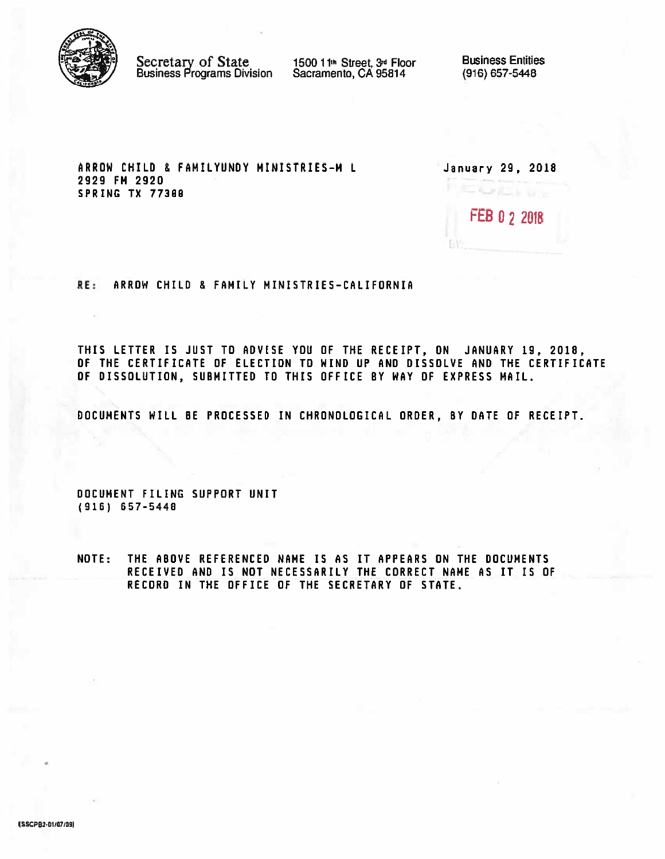

Secretary of State<br>Business Programs Division

1500 11<sup>th</sup> Street, 3<sup>d</sup> Floor<br>Sacramento, CA 95814

**Business Entities** (916) 657-5448

ARROW CHILD & FAMILYUNDY MINISTRIES-M L 2929 FM 2920 SPRING TX 77388

| January 29, 2018 |  |
|------------------|--|
| FEB 0 2 2018     |  |
|                  |  |

RE: ARROW CHILD & FAMILY MINISTRIES-CALIFORNIA

THIS LETTER IS JUST TO ADVISE YOU OF THE RECEIPT, ON JANUARY 19, 2018, OF THE CERTIFICATE OF ELECTION TO WIND UP AND DISSOLVE AND THE CERTIFICATE OF DISSOLUTION, SUBMITTED TO THIS OFFICE BY WAY OF EXPRESS MAIL.

DOCUMENTS WILL BE PROCESSED IN CHRONDLOGICAL ORDER, BY DATE OF RECEIPT.

DOCUMENT FILING SUPPORT UNIT  $(916) 657 - 5448$ 

THE ABOVE REFERENCED NAME IS AS IT APPEARS ON THE DOCUMENTS **NOTE:** RECEIVED AND IS NOT NECESSARILY THE CORRECT NAME AS IT IS OF RECORD IN THE OFFICE OF THE SECRETARY OF STATE.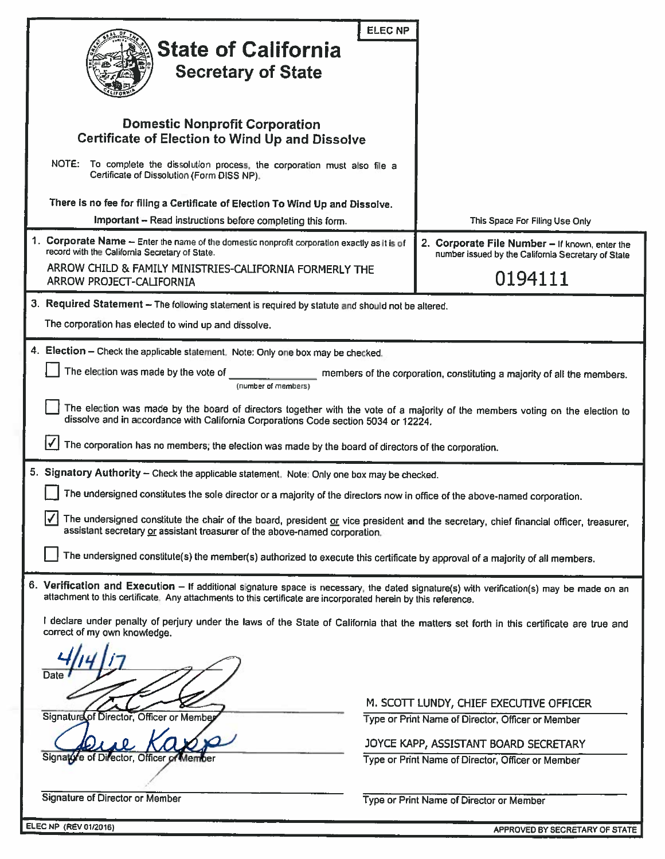|                                                                                                                                                                                                                                                             | <b>ELEC NP</b>                                                                                                                                                                                                       |  |  |  |  |  |
|-------------------------------------------------------------------------------------------------------------------------------------------------------------------------------------------------------------------------------------------------------------|----------------------------------------------------------------------------------------------------------------------------------------------------------------------------------------------------------------------|--|--|--|--|--|
| <b>State of California</b>                                                                                                                                                                                                                                  |                                                                                                                                                                                                                      |  |  |  |  |  |
| <b>Secretary of State</b>                                                                                                                                                                                                                                   |                                                                                                                                                                                                                      |  |  |  |  |  |
|                                                                                                                                                                                                                                                             |                                                                                                                                                                                                                      |  |  |  |  |  |
| <b>Domestic Nonprofit Corporation</b><br><b>Certificate of Election to Wind Up and Dissolve</b>                                                                                                                                                             |                                                                                                                                                                                                                      |  |  |  |  |  |
| NOTE: To complete the dissolution process, the corporation must also file a<br>Certificate of Dissolution (Form DISS NP).                                                                                                                                   |                                                                                                                                                                                                                      |  |  |  |  |  |
| There is no fee for filing a Certificate of Election To Wind Up and Dissolve.                                                                                                                                                                               |                                                                                                                                                                                                                      |  |  |  |  |  |
| Important - Read instructions before completing this form.                                                                                                                                                                                                  | This Space For Filing Use Only                                                                                                                                                                                       |  |  |  |  |  |
| 1. Corporate Name - Enter the name of the domestic nonprofit corporation exactly as it is of<br>record with the California Secretary of State.                                                                                                              | 2. Corporate File Number - If known, enter the<br>number issued by the California Secretary of State                                                                                                                 |  |  |  |  |  |
| ARROW CHILD & FAMILY MINISTRIES-CALIFORNIA FORMERLY THE<br>ARROW PROJECT-CALIFORNIA                                                                                                                                                                         | 0194111                                                                                                                                                                                                              |  |  |  |  |  |
| 3. Required Statement - The following statement is required by statute and should not be altered.                                                                                                                                                           |                                                                                                                                                                                                                      |  |  |  |  |  |
| The corporation has elected to wind up and dissolve.                                                                                                                                                                                                        |                                                                                                                                                                                                                      |  |  |  |  |  |
| 4. Election - Check the applicable statement. Note: Only one box may be checked.                                                                                                                                                                            |                                                                                                                                                                                                                      |  |  |  |  |  |
| The election was made by the vote of<br>(number of members)                                                                                                                                                                                                 | members of the corporation, constituting a majority of all the members.                                                                                                                                              |  |  |  |  |  |
|                                                                                                                                                                                                                                                             | The election was made by the board of directors together with the vote of a majority of the members voting on the election to<br>dissolve and in accordance with California Corporations Code section 5034 or 12224. |  |  |  |  |  |
| The corporation has no members; the election was made by the board of directors of the corporation.                                                                                                                                                         |                                                                                                                                                                                                                      |  |  |  |  |  |
| 5. Signatory Authority - Check the applicable statement. Note: Only one box may be checked.                                                                                                                                                                 |                                                                                                                                                                                                                      |  |  |  |  |  |
| The undersigned constitutes the sole director or a majority of the directors now in office of the above-named corporation.                                                                                                                                  |                                                                                                                                                                                                                      |  |  |  |  |  |
| The undersigned constitute the chair of the board, president or vice president and the secretary, chief financial officer, treasurer,<br>assistant secretary or assistant treasurer of the above-named corporation.                                         |                                                                                                                                                                                                                      |  |  |  |  |  |
| The undersigned constitute(s) the member(s) authorized to execute this certificate by approval of a majority of all members.                                                                                                                                |                                                                                                                                                                                                                      |  |  |  |  |  |
| 6. Verification and Execution - If additional signature space is necessary, the dated signature(s) with verification(s) may be made on an<br>attachment to this certificate. Any attachments to this certificate are incorporated herein by this reference. |                                                                                                                                                                                                                      |  |  |  |  |  |
| I declare under penalty of perjury under the laws of the State of California that the matters set forth in this certificate are true and<br>correct of my own knowledge.                                                                                    |                                                                                                                                                                                                                      |  |  |  |  |  |
| Date                                                                                                                                                                                                                                                        |                                                                                                                                                                                                                      |  |  |  |  |  |
|                                                                                                                                                                                                                                                             |                                                                                                                                                                                                                      |  |  |  |  |  |
| Signature of Director, Officer or Member                                                                                                                                                                                                                    | M. SCOTT LUNDY, CHIEF EXECUTIVE OFFICER<br>Type or Print Name of Director, Officer or Member                                                                                                                         |  |  |  |  |  |
|                                                                                                                                                                                                                                                             | JOYCE KAPP, ASSISTANT BOARD SECRETARY                                                                                                                                                                                |  |  |  |  |  |
| Signalore of Director, Officer of Member                                                                                                                                                                                                                    | Type or Print Name of Director, Officer or Member                                                                                                                                                                    |  |  |  |  |  |
|                                                                                                                                                                                                                                                             |                                                                                                                                                                                                                      |  |  |  |  |  |
| <b>Signature of Director or Member</b>                                                                                                                                                                                                                      | Type or Print Name of Director or Member                                                                                                                                                                             |  |  |  |  |  |
| <b>ELEC NP (REV 01/2016)</b>                                                                                                                                                                                                                                | APPROVED BY SECRETARY OF STATE                                                                                                                                                                                       |  |  |  |  |  |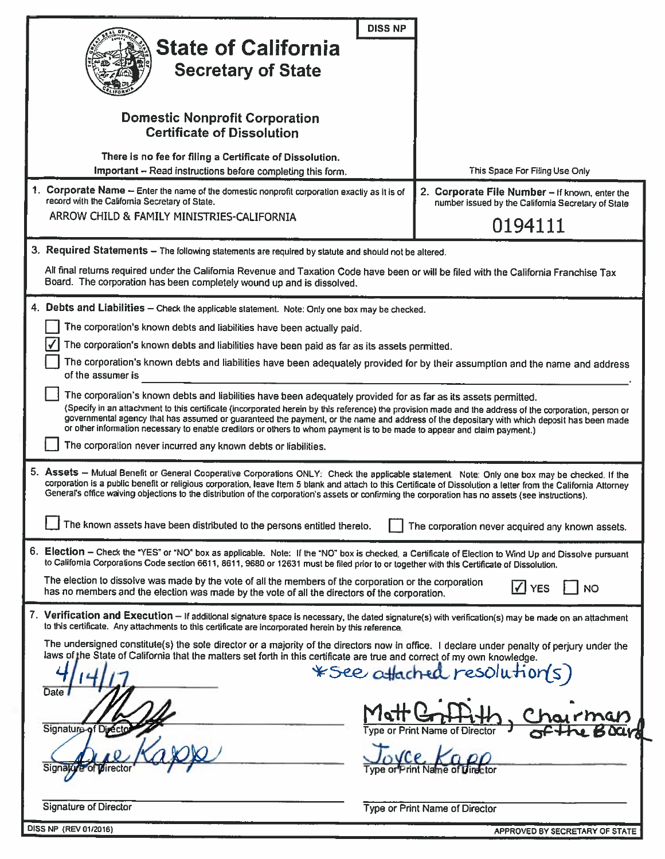| <b>DISS NP</b><br><b>State of California</b><br><b>Secretary of State</b>                                                                                                                                                                                                                                                                                                                                                                                                                                                                           |                                                                                                      |  |  |  |  |
|-----------------------------------------------------------------------------------------------------------------------------------------------------------------------------------------------------------------------------------------------------------------------------------------------------------------------------------------------------------------------------------------------------------------------------------------------------------------------------------------------------------------------------------------------------|------------------------------------------------------------------------------------------------------|--|--|--|--|
| <b>Domestic Nonprofit Corporation</b><br><b>Certificate of Dissolution</b>                                                                                                                                                                                                                                                                                                                                                                                                                                                                          |                                                                                                      |  |  |  |  |
| There is no fee for filing a Certificate of Dissolution.<br>Important - Read instructions before completing this form.                                                                                                                                                                                                                                                                                                                                                                                                                              | This Space For Filing Use Only                                                                       |  |  |  |  |
| 1. Corporate Name - Enter the name of the domestic nonprofit corporation exactly as it is of<br>record with the California Secretary of State.                                                                                                                                                                                                                                                                                                                                                                                                      | 2. Corporate File Number - If known, enter the<br>number issued by the California Secretary of State |  |  |  |  |
| ARROW CHILD & FAMILY MINISTRIES-CALIFORNIA                                                                                                                                                                                                                                                                                                                                                                                                                                                                                                          | 0194111                                                                                              |  |  |  |  |
| 3. Required Statements - The following statements are required by statute and should not be altered.                                                                                                                                                                                                                                                                                                                                                                                                                                                |                                                                                                      |  |  |  |  |
| All final returns required under the California Revenue and Taxation Code have been or will be filed with the California Franchise Tax<br>Board. The corporation has been completely wound up and is dissolved.                                                                                                                                                                                                                                                                                                                                     |                                                                                                      |  |  |  |  |
| 4. Debts and Liabilities - Check the applicable statement. Note: Only one box may be checked.                                                                                                                                                                                                                                                                                                                                                                                                                                                       |                                                                                                      |  |  |  |  |
| The corporation's known debts and liabilities have been actually paid.                                                                                                                                                                                                                                                                                                                                                                                                                                                                              |                                                                                                      |  |  |  |  |
| The corporation's known debts and liabilities have been paid as far as its assets permitted.                                                                                                                                                                                                                                                                                                                                                                                                                                                        |                                                                                                      |  |  |  |  |
| The corporation's known debts and liabilities have been adequately provided for by their assumption and the name and address<br>of the assumer is                                                                                                                                                                                                                                                                                                                                                                                                   |                                                                                                      |  |  |  |  |
| The corporation's known debts and liabilities have been adequately provided for as far as its assets permitted.<br>(Specify in an attachment to this certificate (incorporated herein by this reference) the provision made and the address of the corporation, person or<br>governmental agency that has assumed or guaranteed the payment, or the name and address of the depositary with which deposit has been made<br>or other information necessary to enable creditors or others to whom payment is to be made to appear and claim payment.) |                                                                                                      |  |  |  |  |
| The corporation never incurred any known debts or liabilities.                                                                                                                                                                                                                                                                                                                                                                                                                                                                                      |                                                                                                      |  |  |  |  |
| 5. Assets - Mutual Benefit or General Cooperative Corporations ONLY: Check the applicable statement. Note: Only one box may be checked. If the<br>corporation is a public benefit or religious corporation, leave Item 5 blank and attach to this Certificate of Dissolution a letter from the California Attorney<br>General's office waiving objections to the distribution of the corporation's assets or confirming the corporation has no assets (see instructions).                                                                           |                                                                                                      |  |  |  |  |
| The known assets have been distributed to the persons entitled thereto.                                                                                                                                                                                                                                                                                                                                                                                                                                                                             | The corporation never acquired any known assets.                                                     |  |  |  |  |
| 6. Election - Check the "YES" or "NO" box as applicable. Note: If the "NO" box is checked, a Certificate of Election to Wind Up and Dissolve pursuant<br>to California Corporations Code section 6611, 8611, 9680 or 12631 must be filed prior to or together with this Certificate of Dissolution.                                                                                                                                                                                                                                                 |                                                                                                      |  |  |  |  |
| The election to dissolve was made by the vote of all the members of the corporation or the corporation<br>has no members and the election was made by the vote of all the directors of the corporation.                                                                                                                                                                                                                                                                                                                                             | $\sqrt{}$<br><b>YES</b><br>NO                                                                        |  |  |  |  |
| 7. Verification and Execution - If additional signature space is necessary, the dated signature(s) with verification(s) may be made on an attachment<br>to this certificate. Any attachments to this certificate are incorporated herein by this reference.                                                                                                                                                                                                                                                                                         |                                                                                                      |  |  |  |  |
| The undersigned constitute(s) the sole director or a majority of the directors now in office. I declare under penalty of perjury under the<br>laws of the State of California that the matters set forth in this certificate are true and correct of my own knowledge.                                                                                                                                                                                                                                                                              |                                                                                                      |  |  |  |  |
| Date                                                                                                                                                                                                                                                                                                                                                                                                                                                                                                                                                | *See attached resolution(s)                                                                          |  |  |  |  |
| Signature of Direct                                                                                                                                                                                                                                                                                                                                                                                                                                                                                                                                 |                                                                                                      |  |  |  |  |
| Signalty e of pirector                                                                                                                                                                                                                                                                                                                                                                                                                                                                                                                              |                                                                                                      |  |  |  |  |
| <b>Signature of Director</b>                                                                                                                                                                                                                                                                                                                                                                                                                                                                                                                        | Type or Print Name of Director                                                                       |  |  |  |  |
| DISS NP (REV 01/2016)                                                                                                                                                                                                                                                                                                                                                                                                                                                                                                                               | APPROVED BY SECRETARY OF STATE                                                                       |  |  |  |  |